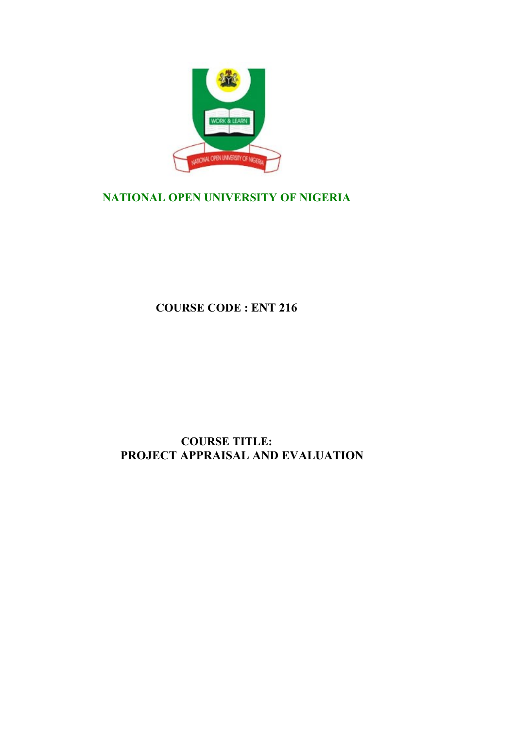

## **NATIONAL OPEN UNIVERSITY OF NIGERIA**

**COURSE CODE : ENT 216**

## **COURSE TITLE: PROJECT APPRAISAL AND EVALUATION**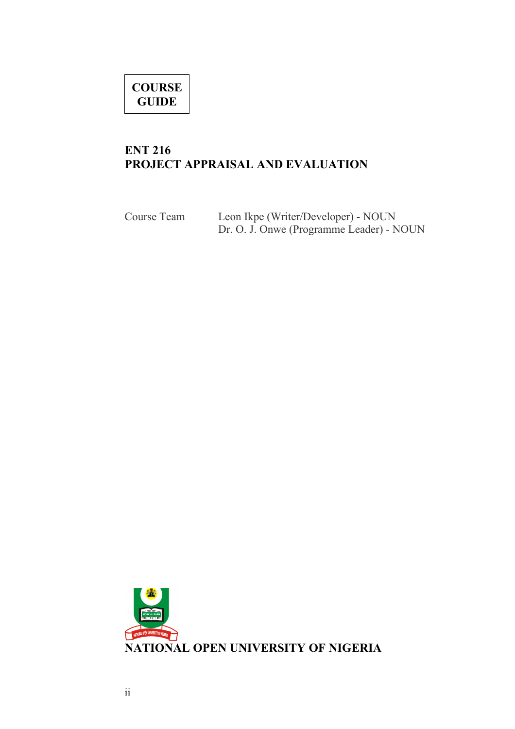# **COURSE GUIDE**

## **ENT 216 PROJECT APPRAISAL AND EVALUATION**

| Course Team | Leon Ikpe (Writer/Developer) - NOUN      |  |
|-------------|------------------------------------------|--|
|             | Dr. O. J. Onwe (Programme Leader) - NOUN |  |

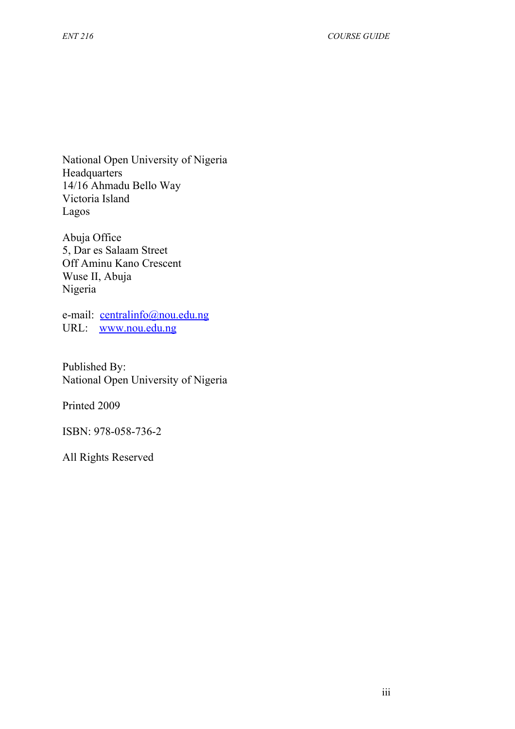National Open University of Nigeria Headquarters 14/16 Ahmadu Bello Way Victoria Island Lagos

Abuja Office 5, Dar es Salaam Street Off Aminu Kano Crescent Wuse II, Abuja Nigeria

e-mail: [centralinfo@nou.edu.ng](mailto:centralinfo@nou.edu.ng) URL: [www.nou.edu.ng](http://www.nou.edu.ng/)

Published By: National Open University of Nigeria

Printed 2009

ISBN: 978-058-736-2

All Rights Reserved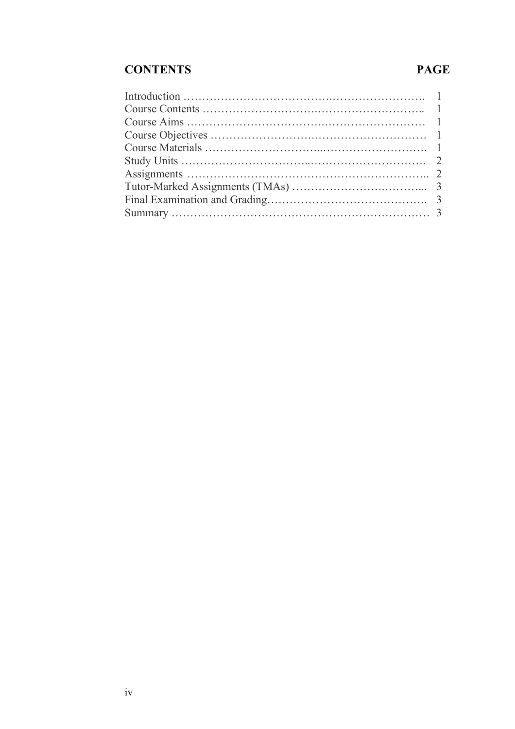## **CONTENTS PAGE**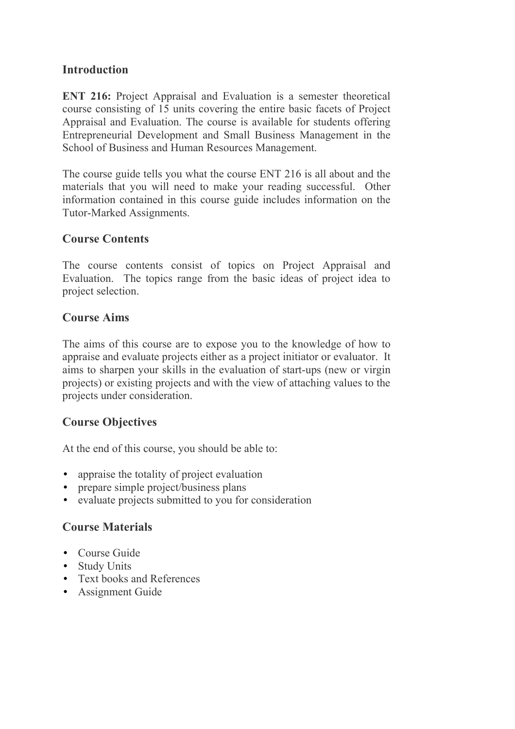#### **Introduction**

**ENT 216:** Project Appraisal and Evaluation is a semester theoretical course consisting of 15 units covering the entire basic facets of Project Appraisal and Evaluation. The course is available for students offering Entrepreneurial Development and Small Business Management in the School of Business and Human Resources Management.

The course guide tells you what the course ENT 216 is all about and the materials that you will need to make your reading successful. Other information contained in this course guide includes information on the Tutor-Marked Assignments.

#### **Course Contents**

The course contents consist of topics on Project Appraisal and Evaluation. The topics range from the basic ideas of project idea to project selection.

#### **Course Aims**

The aims of this course are to expose you to the knowledge of how to appraise and evaluate projects either as a project initiator or evaluator. It aims to sharpen your skills in the evaluation of start-ups (new or virgin projects) or existing projects and with the view of attaching values to the projects under consideration.

#### **Course Objectives**

At the end of this course, you should be able to:

- appraise the totality of project evaluation
- prepare simple project/business plans
- evaluate projects submitted to you for consideration

#### **Course Materials**

- Course Guide
- Study Units
- Text books and References
- Assignment Guide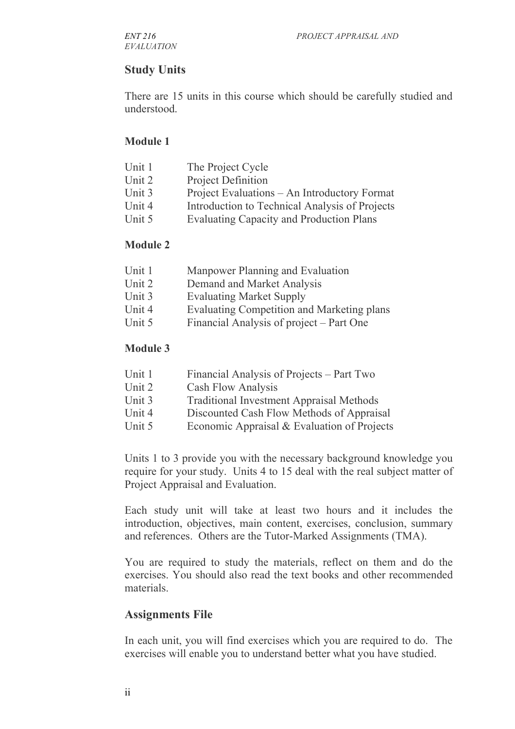## **Study Units**

There are 15 units in this course which should be carefully studied and understood.

#### **Module 1**

| Unit 1 | The Project Cycle                               |
|--------|-------------------------------------------------|
| Unit 2 | <b>Project Definition</b>                       |
| Unit 3 | Project Evaluations – An Introductory Format    |
| Unit 4 | Introduction to Technical Analysis of Projects  |
| Unit 5 | <b>Evaluating Capacity and Production Plans</b> |
|        |                                                 |

#### **Module 2**

| Unit 1 | Manpower Planning and Evaluation |
|--------|----------------------------------|
| Unit 2 | Demand and Market Analysis       |

- Unit 3 Evaluating Market Supply
- Unit 4 Evaluating Competition and Marketing plans
- Unit 5 Financial Analysis of project Part One

#### **Module 3**

| Unit 1 | Financial Analysis of Projects – Part Two       |
|--------|-------------------------------------------------|
| Unit 2 | <b>Cash Flow Analysis</b>                       |
| Unit 3 | <b>Traditional Investment Appraisal Methods</b> |
| Unit 4 | Discounted Cash Flow Methods of Appraisal       |
|        |                                                 |

Unit 5 Economic Appraisal & Evaluation of Projects

Units 1 to 3 provide you with the necessary background knowledge you require for your study. Units 4 to 15 deal with the real subject matter of Project Appraisal and Evaluation.

Each study unit will take at least two hours and it includes the introduction, objectives, main content, exercises, conclusion, summary and references. Others are the Tutor-Marked Assignments (TMA).

You are required to study the materials, reflect on them and do the exercises. You should also read the text books and other recommended materials.

#### **Assignments File**

In each unit, you will find exercises which you are required to do. The exercises will enable you to understand better what you have studied.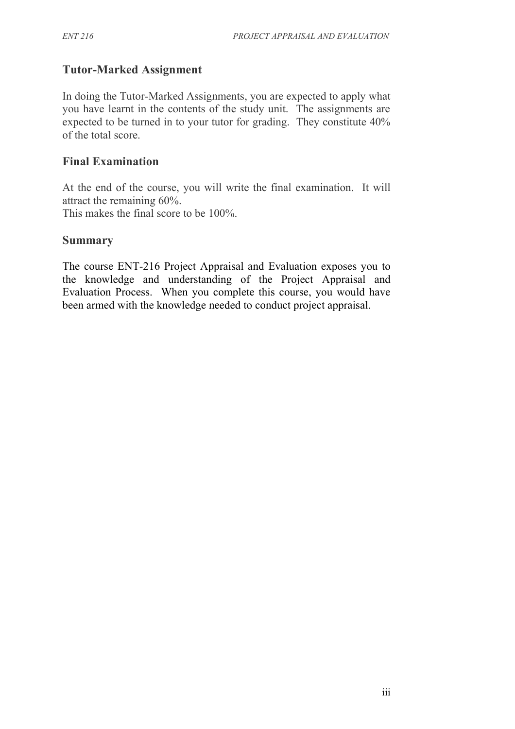## **Tutor-Marked Assignment**

In doing the Tutor-Marked Assignments, you are expected to apply what you have learnt in the contents of the study unit. The assignments are expected to be turned in to your tutor for grading. They constitute 40% of the total score.

#### **Final Examination**

At the end of the course, you will write the final examination. It will attract the remaining 60%.

This makes the final score to be 100%.

#### **Summary**

The course ENT-216 Project Appraisal and Evaluation exposes you to the knowledge and understanding of the Project Appraisal and Evaluation Process. When you complete this course, you would have been armed with the knowledge needed to conduct project appraisal.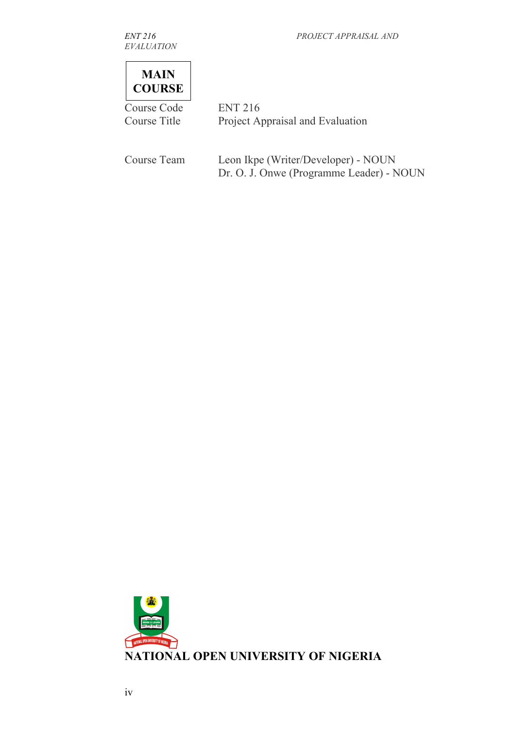*EVALUATION*

*ENT 216 PROJECT APPRAISAL AND*



Course Code ENT 216 Course Title Project Appraisal and Evaluation

| Course Team | Leon Ikpe (Writer/Developer) - NOUN      |
|-------------|------------------------------------------|
|             | Dr. O. J. Onwe (Programme Leader) - NOUN |

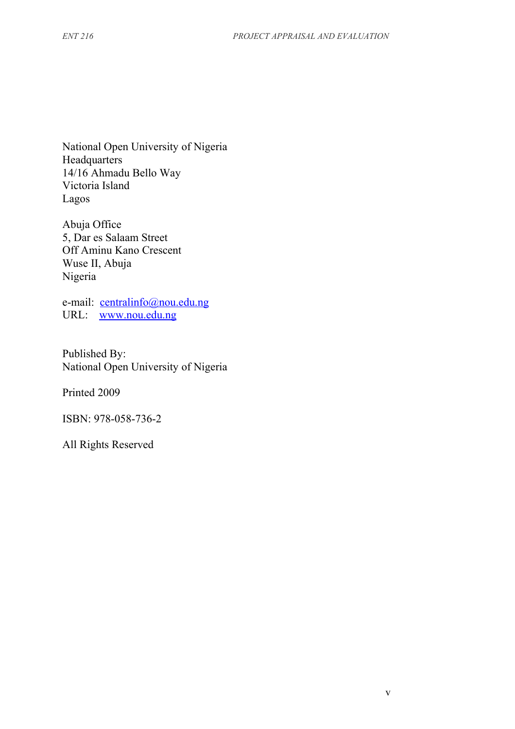National Open University of Nigeria Headquarters 14/16 Ahmadu Bello Way Victoria Island Lagos

Abuja Office 5, Dar es Salaam Street Off Aminu Kano Crescent Wuse II, Abuja Nigeria

e-mail: [centralinfo@nou.edu.ng](mailto:centralinfo@nou.edu.ng) URL: [www.nou.edu.ng](http://www.nou.edu.ng/)

Published By: National Open University of Nigeria

Printed 2009

ISBN: 978-058-736-2

All Rights Reserved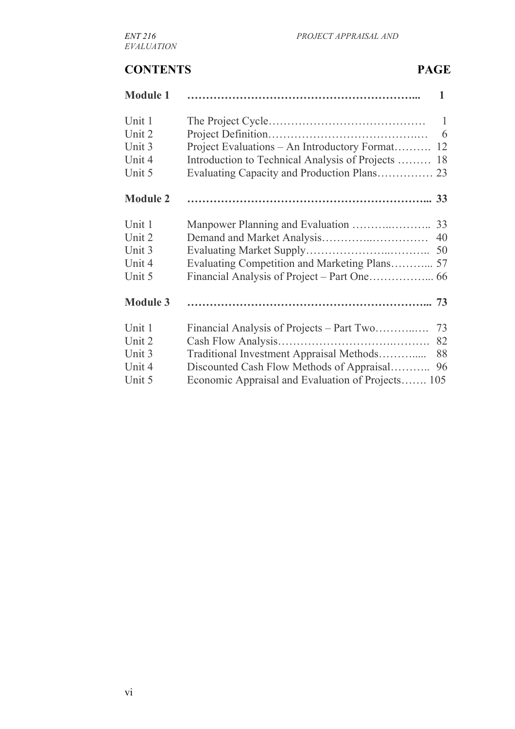## **CONTENTS PAGE**

| <b>Module 1</b> |                                                   | $\mathbf{1}$ |
|-----------------|---------------------------------------------------|--------------|
| Unit 1          |                                                   | $\mathbf{1}$ |
| Unit 2          |                                                   | 6            |
| Unit 3          | Project Evaluations – An Introductory Format      | 12           |
| Unit 4          | Introduction to Technical Analysis of Projects    | 18           |
| Unit 5          |                                                   |              |
| <b>Module 2</b> |                                                   |              |
| Unit 1          |                                                   | 33           |
| Unit 2          |                                                   | 40           |
| Unit 3          |                                                   | 50           |
| Unit 4          |                                                   |              |
| Unit 5          |                                                   |              |
| <b>Module 3</b> |                                                   |              |
| Unit 1          | Financial Analysis of Projects – Part Two         | 73           |
| Unit 2          |                                                   | 82           |
| Unit 3          | Traditional Investment Appraisal Methods          | 88           |
| Unit 4          | Discounted Cash Flow Methods of Appraisal         | 96           |
| Unit 5          | Economic Appraisal and Evaluation of Projects 105 |              |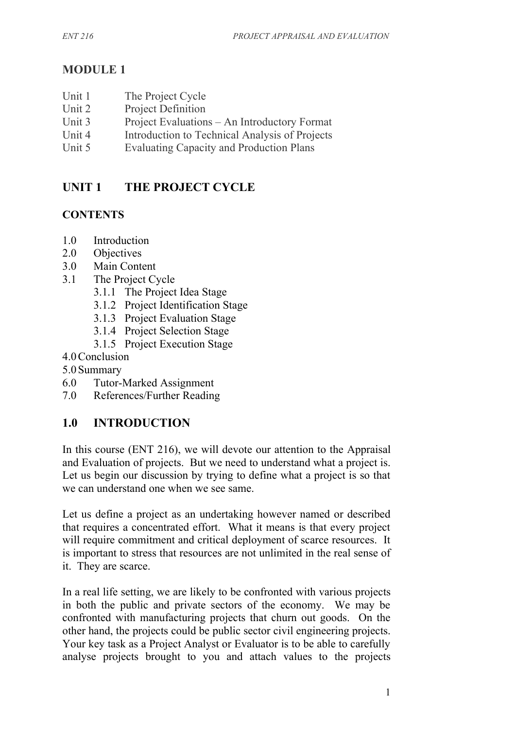## **MODULE 1**

- Unit 1 The Project Cycle Unit 2 Project Definition Unit 3 Project Evaluations – An Introductory Format Unit 4 Introduction to Technical Analysis of Projects
- Unit 5 Evaluating Capacity and Production Plans

## **UNIT 1 THE PROJECT CYCLE**

## **CONTENTS**

- 1.0 Introduction
- 2.0 Objectives
- 3.0 Main Content
- 3.1 The Project Cycle
	- 3.1.1 The Project Idea Stage
	- 3.1.2 Project Identification Stage
	- 3.1.3 Project Evaluation Stage
	- 3.1.4 Project Selection Stage
	- 3.1.5 Project Execution Stage
- 4.0Conclusion
- 5.0Summary
- 6.0 Tutor-Marked Assignment
- 7.0 References/Further Reading

## **1.0 INTRODUCTION**

In this course (ENT 216), we will devote our attention to the Appraisal and Evaluation of projects. But we need to understand what a project is. Let us begin our discussion by trying to define what a project is so that we can understand one when we see same.

Let us define a project as an undertaking however named or described that requires a concentrated effort. What it means is that every project will require commitment and critical deployment of scarce resources. It is important to stress that resources are not unlimited in the real sense of it. They are scarce.

In a real life setting, we are likely to be confronted with various projects in both the public and private sectors of the economy. We may be confronted with manufacturing projects that churn out goods. On the other hand, the projects could be public sector civil engineering projects. Your key task as a Project Analyst or Evaluator is to be able to carefully analyse projects brought to you and attach values to the projects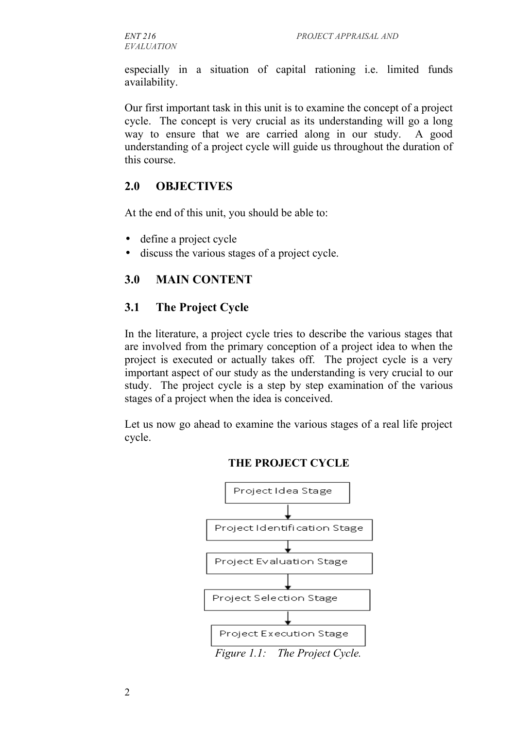especially in a situation of capital rationing i.e. limited funds availability.

Our first important task in this unit is to examine the concept of a project cycle. The concept is very crucial as its understanding will go a long way to ensure that we are carried along in our study. A good understanding of a project cycle will guide us throughout the duration of this course.

#### **2.0 OBJECTIVES**

At the end of this unit, you should be able to:

- define a project cycle
- discuss the various stages of a project cycle.

#### **3.0 MAIN CONTENT**

#### **3.1 The Project Cycle**

In the literature, a project cycle tries to describe the various stages that are involved from the primary conception of a project idea to when the project is executed or actually takes off. The project cycle is a very important aspect of our study as the understanding is very crucial to our study. The project cycle is a step by step examination of the various stages of a project when the idea is conceived.

Let us now go ahead to examine the various stages of a real life project cycle.



#### **THE PROJECT CYCLE**

*Figure 1.1: The Project Cycle.*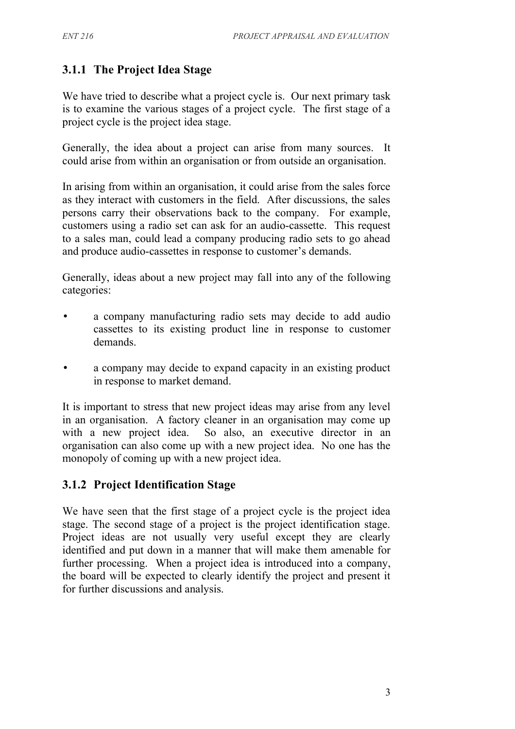#### **3.1.1 The Project Idea Stage**

We have tried to describe what a project cycle is. Our next primary task is to examine the various stages of a project cycle. The first stage of a project cycle is the project idea stage.

Generally, the idea about a project can arise from many sources. It could arise from within an organisation or from outside an organisation.

In arising from within an organisation, it could arise from the sales force as they interact with customers in the field. After discussions, the sales persons carry their observations back to the company. For example, customers using a radio set can ask for an audio-cassette. This request to a sales man, could lead a company producing radio sets to go ahead and produce audio-cassettes in response to customer's demands.

Generally, ideas about a new project may fall into any of the following categories:

- a company manufacturing radio sets may decide to add audio cassettes to its existing product line in response to customer demands.
- a company may decide to expand capacity in an existing product in response to market demand.

It is important to stress that new project ideas may arise from any level in an organisation. A factory cleaner in an organisation may come up with a new project idea. So also, an executive director in an organisation can also come up with a new project idea. No one has the monopoly of coming up with a new project idea.

#### **3.1.2 Project Identification Stage**

We have seen that the first stage of a project cycle is the project idea stage. The second stage of a project is the project identification stage. Project ideas are not usually very useful except they are clearly identified and put down in a manner that will make them amenable for further processing. When a project idea is introduced into a company, the board will be expected to clearly identify the project and present it for further discussions and analysis.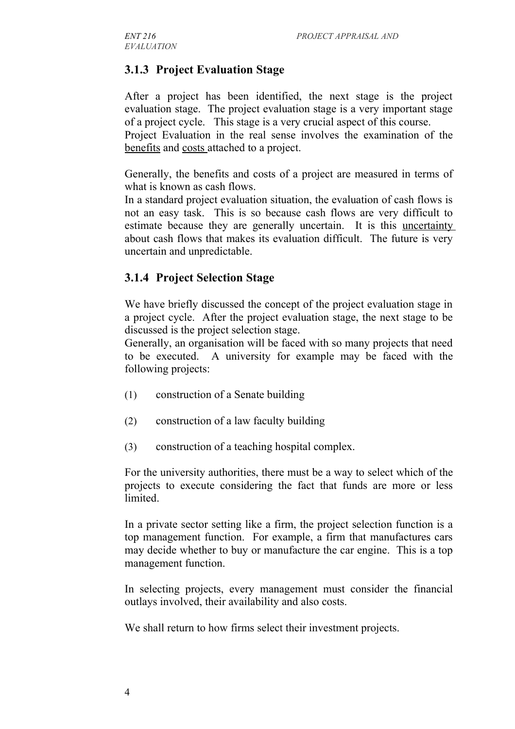## **3.1.3 Project Evaluation Stage**

After a project has been identified, the next stage is the project evaluation stage. The project evaluation stage is a very important stage of a project cycle. This stage is a very crucial aspect of this course. Project Evaluation in the real sense involves the examination of the benefits and costs attached to a project.

Generally, the benefits and costs of a project are measured in terms of what is known as cash flows.

In a standard project evaluation situation, the evaluation of cash flows is not an easy task. This is so because cash flows are very difficult to estimate because they are generally uncertain. It is this uncertainty about cash flows that makes its evaluation difficult. The future is very uncertain and unpredictable.

#### **3.1.4 Project Selection Stage**

We have briefly discussed the concept of the project evaluation stage in a project cycle. After the project evaluation stage, the next stage to be discussed is the project selection stage.

Generally, an organisation will be faced with so many projects that need to be executed. A university for example may be faced with the following projects:

- (1) construction of a Senate building
- (2) construction of a law faculty building
- (3) construction of a teaching hospital complex.

For the university authorities, there must be a way to select which of the projects to execute considering the fact that funds are more or less **limited** 

In a private sector setting like a firm, the project selection function is a top management function. For example, a firm that manufactures cars may decide whether to buy or manufacture the car engine. This is a top management function.

In selecting projects, every management must consider the financial outlays involved, their availability and also costs.

We shall return to how firms select their investment projects.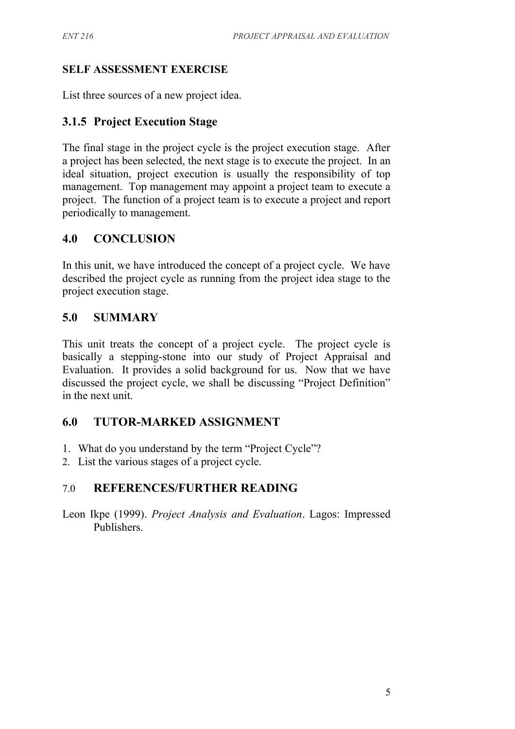#### **SELF ASSESSMENT EXERCISE**

List three sources of a new project idea.

## **3.1.5 Project Execution Stage**

The final stage in the project cycle is the project execution stage. After a project has been selected, the next stage is to execute the project. In an ideal situation, project execution is usually the responsibility of top management. Top management may appoint a project team to execute a project. The function of a project team is to execute a project and report periodically to management.

## **4.0 CONCLUSION**

In this unit, we have introduced the concept of a project cycle. We have described the project cycle as running from the project idea stage to the project execution stage.

## **5.0 SUMMARY**

This unit treats the concept of a project cycle. The project cycle is basically a stepping-stone into our study of Project Appraisal and Evaluation. It provides a solid background for us. Now that we have discussed the project cycle, we shall be discussing "Project Definition" in the next unit.

## **6.0 TUTOR-MARKED ASSIGNMENT**

- 1. What do you understand by the term "Project Cycle"?
- 2. List the various stages of a project cycle.

## 7.0 **REFERENCES/FURTHER READING**

Leon Ikpe (1999). *Project Analysis and Evaluation*. Lagos: Impressed Publishers.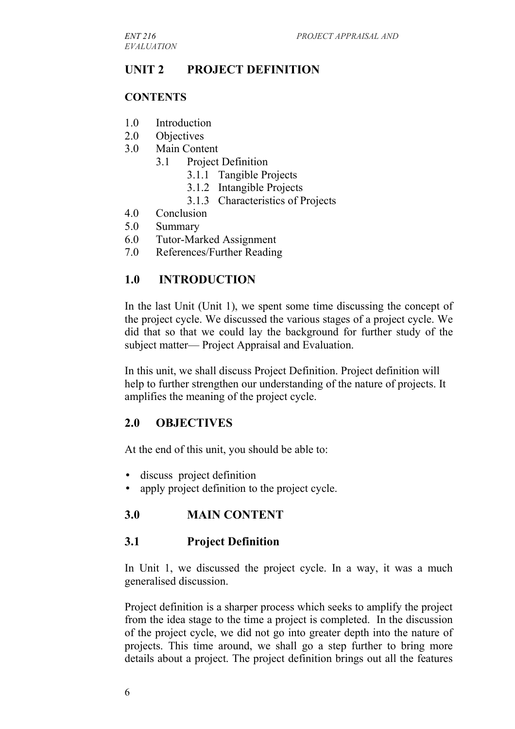*EVALUATION*

#### **UNIT 2 PROJECT DEFINITION**

#### **CONTENTS**

- 1.0 Introduction
- 2.0 Objectives
- 3.0 Main Content
	- 3.1 Project Definition
		- 3.1.1 Tangible Projects
		- 3.1.2 Intangible Projects
		- 3.1.3 Characteristics of Projects
- 4.0 Conclusion
- 5.0 Summary
- 6.0 Tutor-Marked Assignment
- 7.0 References/Further Reading

#### **1.0 INTRODUCTION**

In the last Unit (Unit 1), we spent some time discussing the concept of the project cycle. We discussed the various stages of a project cycle. We did that so that we could lay the background for further study of the subject matter— Project Appraisal and Evaluation.

In this unit, we shall discuss Project Definition. Project definition will help to further strengthen our understanding of the nature of projects. It amplifies the meaning of the project cycle.

#### **2.0 OBJECTIVES**

At the end of this unit, you should be able to:

- discuss project definition
- apply project definition to the project cycle.

#### **3.0 MAIN CONTENT**

#### **3.1 Project Definition**

In Unit 1, we discussed the project cycle. In a way, it was a much generalised discussion.

Project definition is a sharper process which seeks to amplify the project from the idea stage to the time a project is completed. In the discussion of the project cycle, we did not go into greater depth into the nature of projects. This time around, we shall go a step further to bring more details about a project. The project definition brings out all the features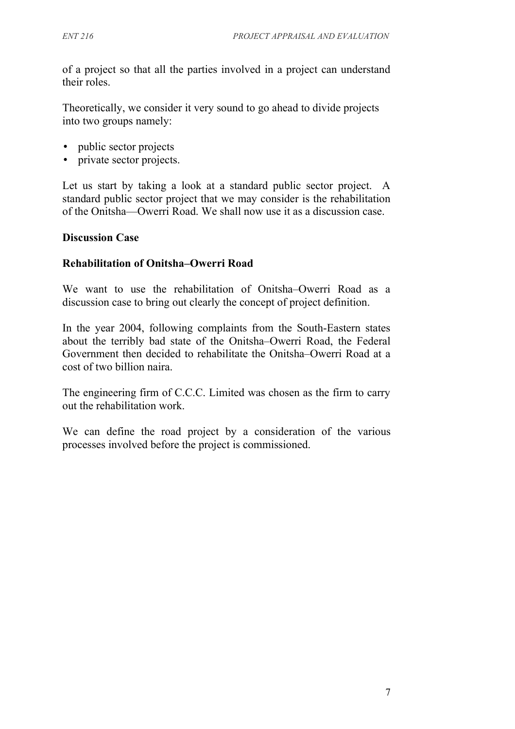of a project so that all the parties involved in a project can understand their roles.

Theoretically, we consider it very sound to go ahead to divide projects into two groups namely:

- public sector projects
- private sector projects.

Let us start by taking a look at a standard public sector project. A standard public sector project that we may consider is the rehabilitation of the Onitsha—Owerri Road. We shall now use it as a discussion case.

#### **Discussion Case**

#### **Rehabilitation of Onitsha–Owerri Road**

We want to use the rehabilitation of Onitsha–Owerri Road as a discussion case to bring out clearly the concept of project definition.

In the year 2004, following complaints from the South-Eastern states about the terribly bad state of the Onitsha–Owerri Road, the Federal Government then decided to rehabilitate the Onitsha–Owerri Road at a cost of two billion naira.

The engineering firm of C.C.C. Limited was chosen as the firm to carry out the rehabilitation work.

We can define the road project by a consideration of the various processes involved before the project is commissioned.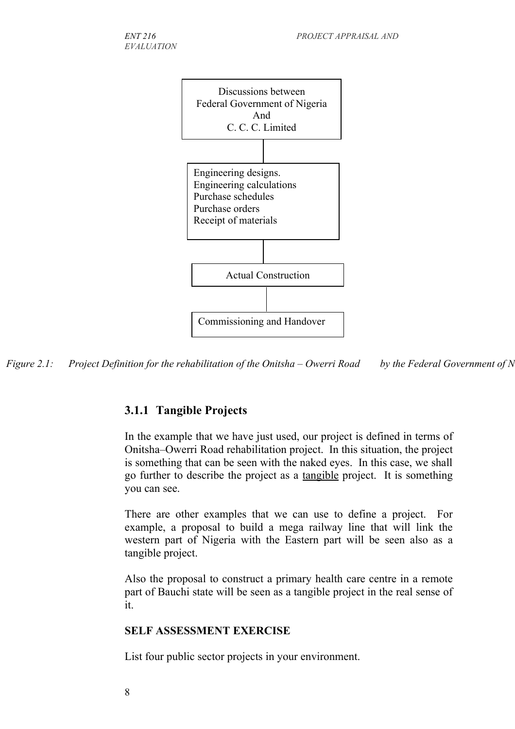



## **3.1.1 Tangible Projects**

In the example that we have just used, our project is defined in terms of Onitsha–Owerri Road rehabilitation project. In this situation, the project is something that can be seen with the naked eyes. In this case, we shall go further to describe the project as a tangible project. It is something you can see.

There are other examples that we can use to define a project. For example, a proposal to build a mega railway line that will link the western part of Nigeria with the Eastern part will be seen also as a tangible project.

Also the proposal to construct a primary health care centre in a remote part of Bauchi state will be seen as a tangible project in the real sense of it.

## **SELF ASSESSMENT EXERCISE**

List four public sector projects in your environment.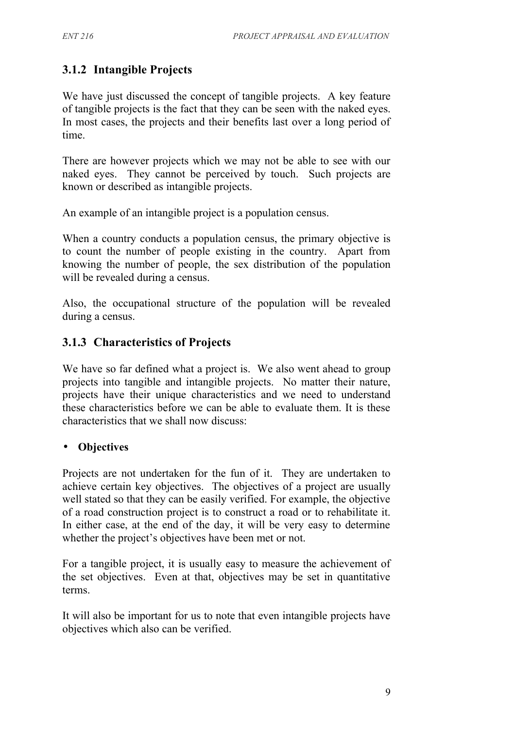## **3.1.2 Intangible Projects**

We have just discussed the concept of tangible projects. A key feature of tangible projects is the fact that they can be seen with the naked eyes. In most cases, the projects and their benefits last over a long period of time.

There are however projects which we may not be able to see with our naked eyes. They cannot be perceived by touch. Such projects are known or described as intangible projects.

An example of an intangible project is a population census.

When a country conducts a population census, the primary objective is to count the number of people existing in the country. Apart from knowing the number of people, the sex distribution of the population will be revealed during a census.

Also, the occupational structure of the population will be revealed during a census.

## **3.1.3 Characteristics of Projects**

We have so far defined what a project is. We also went ahead to group projects into tangible and intangible projects. No matter their nature, projects have their unique characteristics and we need to understand these characteristics before we can be able to evaluate them. It is these characteristics that we shall now discuss:

#### • **Objectives**

Projects are not undertaken for the fun of it. They are undertaken to achieve certain key objectives. The objectives of a project are usually well stated so that they can be easily verified. For example, the objective of a road construction project is to construct a road or to rehabilitate it. In either case, at the end of the day, it will be very easy to determine whether the project's objectives have been met or not.

For a tangible project, it is usually easy to measure the achievement of the set objectives. Even at that, objectives may be set in quantitative terms.

It will also be important for us to note that even intangible projects have objectives which also can be verified.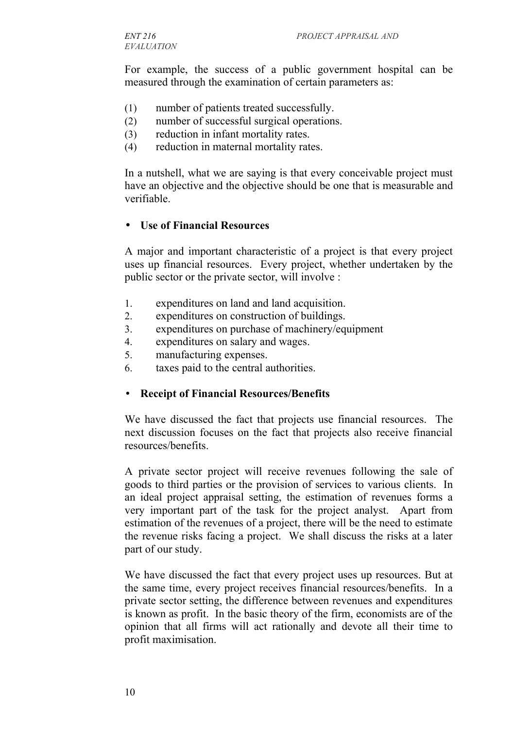For example, the success of a public government hospital can be measured through the examination of certain parameters as:

- (1) number of patients treated successfully.
- (2) number of successful surgical operations.
- (3) reduction in infant mortality rates.
- (4) reduction in maternal mortality rates.

In a nutshell, what we are saying is that every conceivable project must have an objective and the objective should be one that is measurable and verifiable.

#### • **Use of Financial Resources**

A major and important characteristic of a project is that every project uses up financial resources. Every project, whether undertaken by the public sector or the private sector, will involve :

- 1. expenditures on land and land acquisition.
- 2. expenditures on construction of buildings.
- 3. expenditures on purchase of machinery/equipment
- 4. expenditures on salary and wages.
- 5. manufacturing expenses.
- 6. taxes paid to the central authorities.

#### • **Receipt of Financial Resources/Benefits**

We have discussed the fact that projects use financial resources. The next discussion focuses on the fact that projects also receive financial resources/benefits.

A private sector project will receive revenues following the sale of goods to third parties or the provision of services to various clients. In an ideal project appraisal setting, the estimation of revenues forms a very important part of the task for the project analyst. Apart from estimation of the revenues of a project, there will be the need to estimate the revenue risks facing a project. We shall discuss the risks at a later part of our study.

We have discussed the fact that every project uses up resources. But at the same time, every project receives financial resources/benefits. In a private sector setting, the difference between revenues and expenditures is known as profit. In the basic theory of the firm, economists are of the opinion that all firms will act rationally and devote all their time to profit maximisation.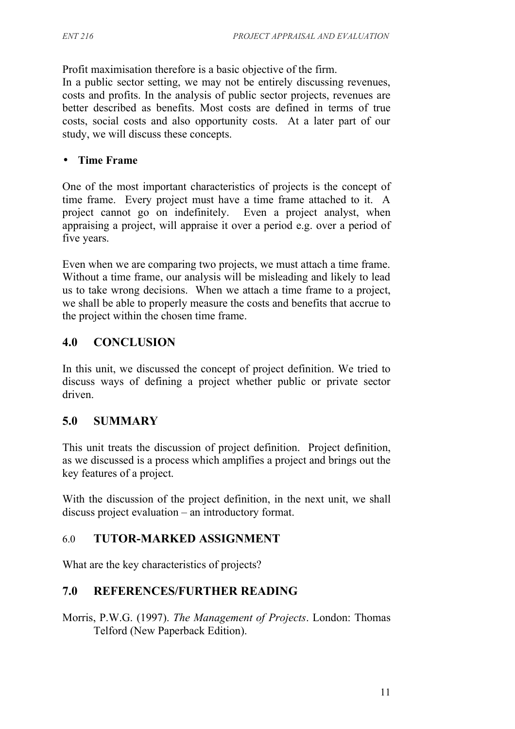Profit maximisation therefore is a basic objective of the firm.

In a public sector setting, we may not be entirely discussing revenues, costs and profits. In the analysis of public sector projects, revenues are better described as benefits. Most costs are defined in terms of true costs, social costs and also opportunity costs. At a later part of our study, we will discuss these concepts.

#### • **Time Frame**

One of the most important characteristics of projects is the concept of time frame. Every project must have a time frame attached to it. A project cannot go on indefinitely. Even a project analyst, when appraising a project, will appraise it over a period e.g. over a period of five years.

Even when we are comparing two projects, we must attach a time frame. Without a time frame, our analysis will be misleading and likely to lead us to take wrong decisions. When we attach a time frame to a project, we shall be able to properly measure the costs and benefits that accrue to the project within the chosen time frame.

## **4.0 CONCLUSION**

In this unit, we discussed the concept of project definition. We tried to discuss ways of defining a project whether public or private sector driven.

## **5.0 SUMMARY**

This unit treats the discussion of project definition. Project definition, as we discussed is a process which amplifies a project and brings out the key features of a project.

With the discussion of the project definition, in the next unit, we shall discuss project evaluation – an introductory format.

## 6.0 **TUTOR-MARKED ASSIGNMENT**

What are the key characteristics of projects?

## **7.0 REFERENCES/FURTHER READING**

Morris, P.W.G. (1997). *The Management of Projects*. London: Thomas Telford (New Paperback Edition).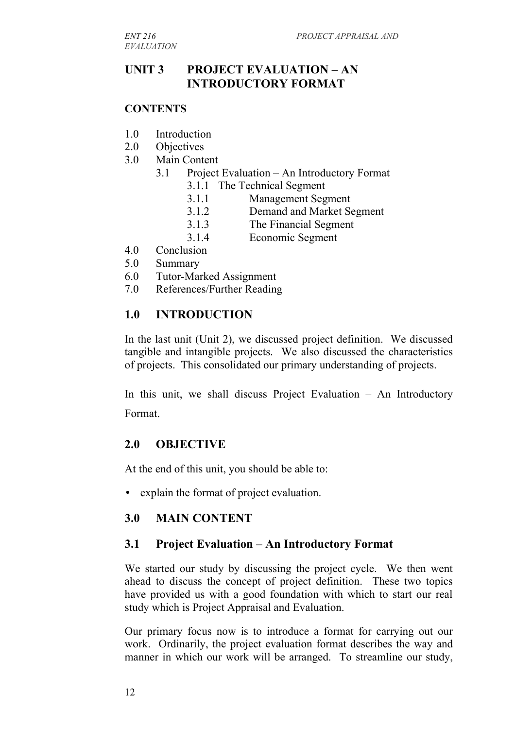#### **UNIT 3 PROJECT EVALUATION – AN INTRODUCTORY FORMAT**

#### **CONTENTS**

- 1.0 Introduction
- 2.0 Objectives
- 3.0 Main Content
	- 3.1 Project Evaluation An Introductory Format
		- 3.1.1 The Technical Segment
		- 3.1.1 Management Segment
		- 3.1.2 Demand and Market Segment
		- 3.1.3 The Financial Segment
		- 3.1.4 Economic Segment
- 4.0 Conclusion
- 5.0 Summary
- 6.0 Tutor-Marked Assignment
- 7.0 References/Further Reading

#### **1.0 INTRODUCTION**

In the last unit (Unit 2), we discussed project definition. We discussed tangible and intangible projects. We also discussed the characteristics of projects. This consolidated our primary understanding of projects.

In this unit, we shall discuss Project Evaluation – An Introductory Format.

#### **2.0 OBJECTIVE**

At the end of this unit, you should be able to:

• explain the format of project evaluation.

#### **3.0 MAIN CONTENT**

#### **3.1 Project Evaluation – An Introductory Format**

We started our study by discussing the project cycle. We then went ahead to discuss the concept of project definition. These two topics have provided us with a good foundation with which to start our real study which is Project Appraisal and Evaluation.

Our primary focus now is to introduce a format for carrying out our work. Ordinarily, the project evaluation format describes the way and manner in which our work will be arranged. To streamline our study,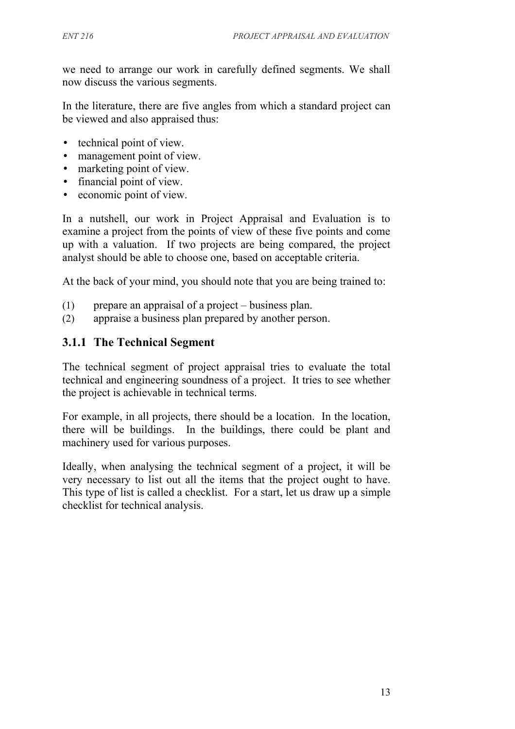we need to arrange our work in carefully defined segments. We shall now discuss the various segments.

In the literature, there are five angles from which a standard project can be viewed and also appraised thus:

- technical point of view.
- management point of view.
- marketing point of view.
- financial point of view.
- economic point of view.

In a nutshell, our work in Project Appraisal and Evaluation is to examine a project from the points of view of these five points and come up with a valuation. If two projects are being compared, the project analyst should be able to choose one, based on acceptable criteria.

At the back of your mind, you should note that you are being trained to:

- (1) prepare an appraisal of a project business plan.
- (2) appraise a business plan prepared by another person.

#### **3.1.1 The Technical Segment**

The technical segment of project appraisal tries to evaluate the total technical and engineering soundness of a project. It tries to see whether the project is achievable in technical terms.

For example, in all projects, there should be a location. In the location, there will be buildings. In the buildings, there could be plant and machinery used for various purposes.

Ideally, when analysing the technical segment of a project, it will be very necessary to list out all the items that the project ought to have. This type of list is called a checklist. For a start, let us draw up a simple checklist for technical analysis.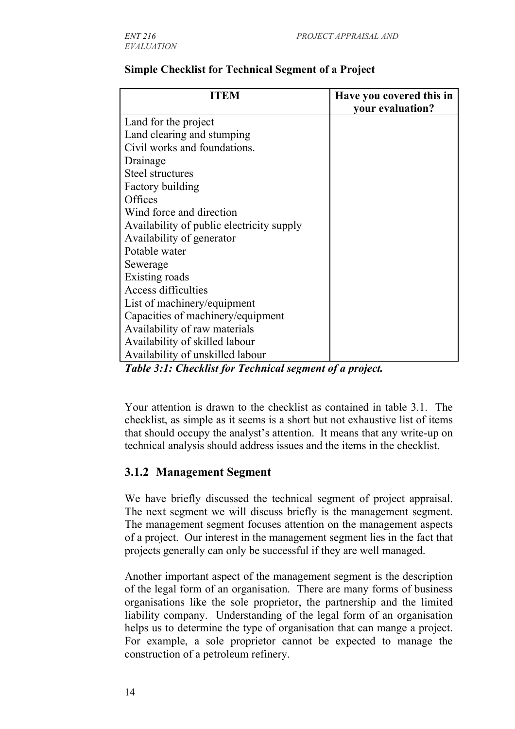| ITEM                                      | Have you covered this in<br>your evaluation? |
|-------------------------------------------|----------------------------------------------|
| Land for the project                      |                                              |
| Land clearing and stumping                |                                              |
| Civil works and foundations.              |                                              |
| Drainage                                  |                                              |
| <b>Steel structures</b>                   |                                              |
| <b>Factory building</b>                   |                                              |
| Offices                                   |                                              |
| Wind force and direction                  |                                              |
| Availability of public electricity supply |                                              |
| Availability of generator                 |                                              |
| Potable water                             |                                              |
| Sewerage                                  |                                              |
| Existing roads                            |                                              |
| Access difficulties                       |                                              |
| List of machinery/equipment               |                                              |
| Capacities of machinery/equipment         |                                              |
| Availability of raw materials             |                                              |
| Availability of skilled labour            |                                              |
| Availability of unskilled labour          |                                              |

#### **Simple Checklist for Technical Segment of a Project**

*Table 3:1: Checklist for Technical segment of a project.*

Your attention is drawn to the checklist as contained in table 3.1. The checklist, as simple as it seems is a short but not exhaustive list of items that should occupy the analyst's attention. It means that any write-up on technical analysis should address issues and the items in the checklist.

## **3.1.2 Management Segment**

We have briefly discussed the technical segment of project appraisal. The next segment we will discuss briefly is the management segment. The management segment focuses attention on the management aspects of a project. Our interest in the management segment lies in the fact that projects generally can only be successful if they are well managed.

Another important aspect of the management segment is the description of the legal form of an organisation. There are many forms of business organisations like the sole proprietor, the partnership and the limited liability company. Understanding of the legal form of an organisation helps us to determine the type of organisation that can mange a project. For example, a sole proprietor cannot be expected to manage the construction of a petroleum refinery.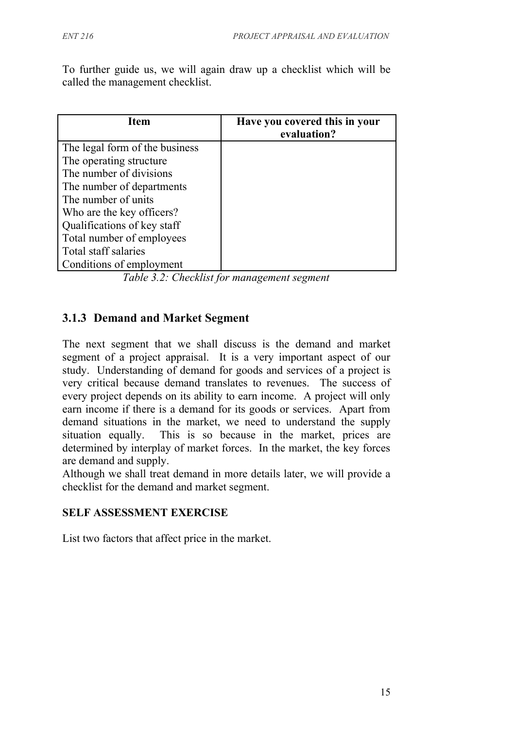To further guide us, we will again draw up a checklist which will be called the management checklist.

| <b>Item</b>                    | Have you covered this in your<br>evaluation? |
|--------------------------------|----------------------------------------------|
| The legal form of the business |                                              |
| The operating structure        |                                              |
| The number of divisions        |                                              |
| The number of departments      |                                              |
| The number of units            |                                              |
| Who are the key officers?      |                                              |
| Qualifications of key staff    |                                              |
| Total number of employees      |                                              |
| Total staff salaries           |                                              |
| Conditions of employment       |                                              |

*Table 3.2: Checklist for management segment*

#### **3.1.3 Demand and Market Segment**

The next segment that we shall discuss is the demand and market segment of a project appraisal. It is a very important aspect of our study. Understanding of demand for goods and services of a project is very critical because demand translates to revenues. The success of every project depends on its ability to earn income. A project will only earn income if there is a demand for its goods or services. Apart from demand situations in the market, we need to understand the supply situation equally. This is so because in the market, prices are determined by interplay of market forces. In the market, the key forces are demand and supply.

Although we shall treat demand in more details later, we will provide a checklist for the demand and market segment.

#### **SELF ASSESSMENT EXERCISE**

List two factors that affect price in the market.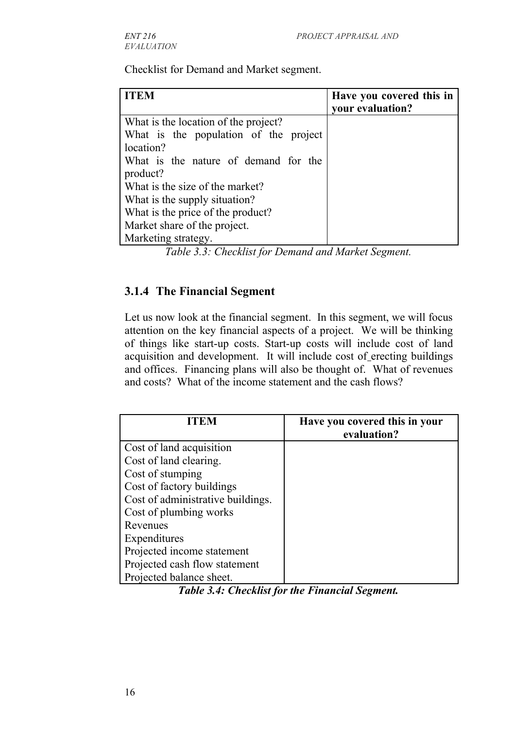Checklist for Demand and Market segment.

| <b>ITEM</b>                           | Have you covered this in<br>your evaluation? |
|---------------------------------------|----------------------------------------------|
| What is the location of the project?  |                                              |
| What is the population of the project |                                              |
| location?                             |                                              |
| What is the nature of demand for the  |                                              |
| product?                              |                                              |
| What is the size of the market?       |                                              |
| What is the supply situation?         |                                              |
| What is the price of the product?     |                                              |
| Market share of the project.          |                                              |
| Marketing strategy.                   |                                              |

*Table 3.3: Checklist for Demand and Market Segment.*

#### **3.1.4 The Financial Segment**

Let us now look at the financial segment. In this segment, we will focus attention on the key financial aspects of a project. We will be thinking of things like start-up costs. Start-up costs will include cost of land acquisition and development. It will include cost of erecting buildings and offices. Financing plans will also be thought of. What of revenues and costs? What of the income statement and the cash flows?

| <b>ITEM</b>                       | Have you covered this in your<br>evaluation? |
|-----------------------------------|----------------------------------------------|
| Cost of land acquisition          |                                              |
| Cost of land clearing.            |                                              |
| Cost of stumping                  |                                              |
| Cost of factory buildings         |                                              |
| Cost of administrative buildings. |                                              |
| Cost of plumbing works            |                                              |
| Revenues                          |                                              |
| Expenditures                      |                                              |
| Projected income statement        |                                              |
| Projected cash flow statement     |                                              |
| Projected balance sheet.          |                                              |

*Table 3.4: Checklist for the Financial Segment.*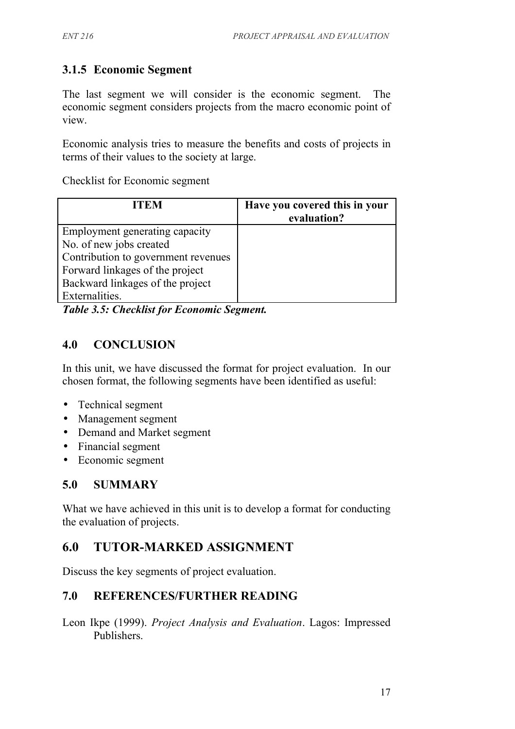## **3.1.5 Economic Segment**

The last segment we will consider is the economic segment. The economic segment considers projects from the macro economic point of view.

Economic analysis tries to measure the benefits and costs of projects in terms of their values to the society at large.

Checklist for Economic segment

| <b>ITEM</b>                         | Have you covered this in your<br>evaluation? |
|-------------------------------------|----------------------------------------------|
| Employment generating capacity      |                                              |
| No. of new jobs created             |                                              |
| Contribution to government revenues |                                              |
| Forward linkages of the project     |                                              |
| Backward linkages of the project    |                                              |
| Externalities.                      |                                              |

*Table 3.5: Checklist for Economic Segment.*

## **4.0 CONCLUSION**

In this unit, we have discussed the format for project evaluation. In our chosen format, the following segments have been identified as useful:

- Technical segment
- Management segment
- Demand and Market segment
- Financial segment
- Economic segment

## **5.0 SUMMARY**

What we have achieved in this unit is to develop a format for conducting the evaluation of projects.

## **6.0 TUTOR-MARKED ASSIGNMENT**

Discuss the key segments of project evaluation.

#### **7.0 REFERENCES/FURTHER READING**

Leon Ikpe (1999). *Project Analysis and Evaluation*. Lagos: Impressed Publishers.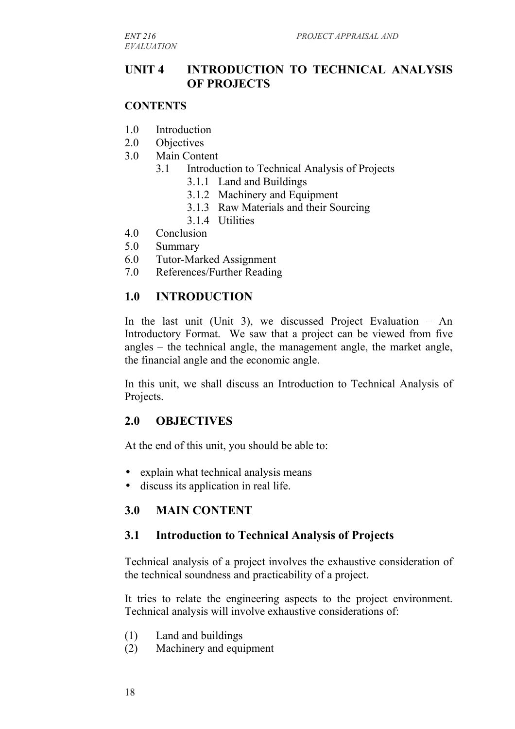*EVALUATION*

#### **UNIT 4 INTRODUCTION TO TECHNICAL ANALYSIS OF PROJECTS**

#### **CONTENTS**

- 1.0 Introduction
- 2.0 Objectives
- 3.0 Main Content
	- 3.1 Introduction to Technical Analysis of Projects
		- 3.1.1 Land and Buildings
		- 3.1.2 Machinery and Equipment
		- 3.1.3 Raw Materials and their Sourcing
		- 3.1.4 Utilities
- 4.0 Conclusion
- 5.0 Summary
- 6.0 Tutor-Marked Assignment
- 7.0 References/Further Reading

#### **1.0 INTRODUCTION**

In the last unit (Unit 3), we discussed Project Evaluation – An Introductory Format. We saw that a project can be viewed from five angles – the technical angle, the management angle, the market angle, the financial angle and the economic angle.

In this unit, we shall discuss an Introduction to Technical Analysis of Projects.

#### **2.0 OBJECTIVES**

At the end of this unit, you should be able to:

- explain what technical analysis means
- discuss its application in real life.

#### **3.0 MAIN CONTENT**

#### **3.1 Introduction to Technical Analysis of Projects**

Technical analysis of a project involves the exhaustive consideration of the technical soundness and practicability of a project.

It tries to relate the engineering aspects to the project environment. Technical analysis will involve exhaustive considerations of:

- (1) Land and buildings
- (2) Machinery and equipment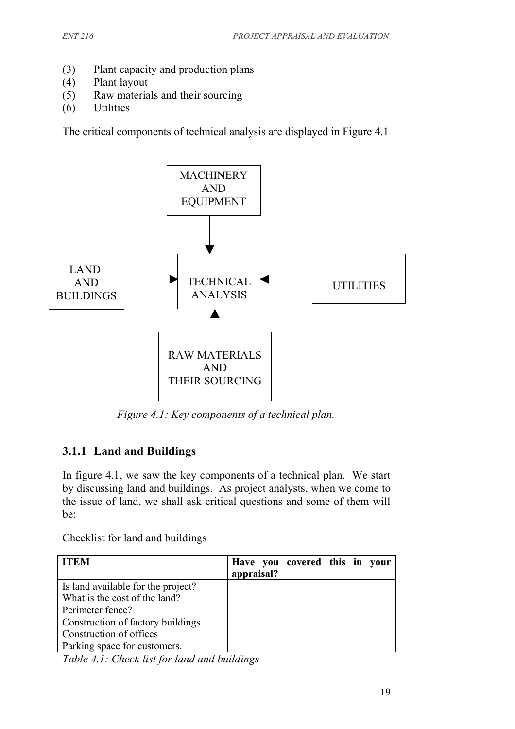- (3) Plant capacity and production plans
- (4) Plant layout
- (5) Raw materials and their sourcing
- (6) Utilities

The critical components of technical analysis are displayed in Figure 4.1



*Figure 4.1: Key components of a technical plan.*

## **3.1.1 Land and Buildings**

In figure 4.1, we saw the key components of a technical plan. We start by discussing land and buildings. As project analysts, when we come to the issue of land, we shall ask critical questions and some of them will be:

Checklist for land and buildings

| <b>ITEM</b>                        | Have you covered this in your<br>appraisal? |  |  |
|------------------------------------|---------------------------------------------|--|--|
| Is land available for the project? |                                             |  |  |
| What is the cost of the land?      |                                             |  |  |
| Perimeter fence?                   |                                             |  |  |
| Construction of factory buildings  |                                             |  |  |
| Construction of offices            |                                             |  |  |
| Parking space for customers.       |                                             |  |  |

*Table 4.1: Check list for land and buildings*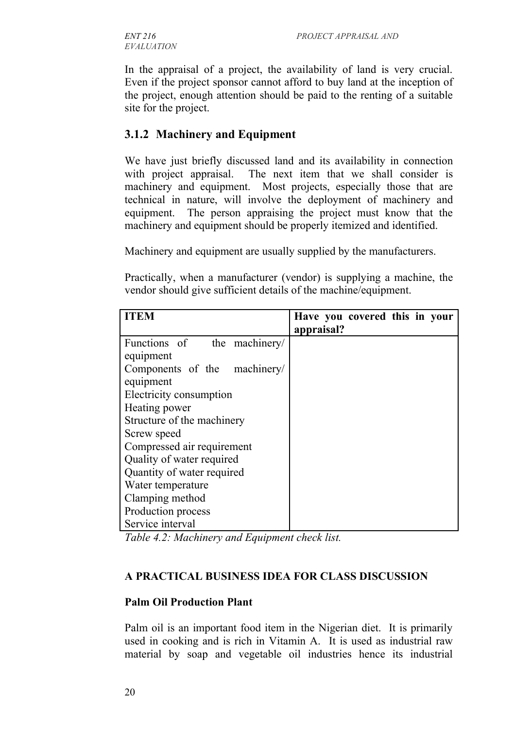In the appraisal of a project, the availability of land is very crucial. Even if the project sponsor cannot afford to buy land at the inception of the project, enough attention should be paid to the renting of a suitable site for the project.

## **3.1.2 Machinery and Equipment**

We have just briefly discussed land and its availability in connection with project appraisal. The next item that we shall consider is machinery and equipment. Most projects, especially those that are technical in nature, will involve the deployment of machinery and equipment. The person appraising the project must know that the machinery and equipment should be properly itemized and identified.

Machinery and equipment are usually supplied by the manufacturers.

Practically, when a manufacturer (vendor) is supplying a machine, the vendor should give sufficient details of the machine/equipment.

| <b>ITEM</b>                  | Have you covered this in your |
|------------------------------|-------------------------------|
|                              | appraisal?                    |
| Functions of the machinery/  |                               |
| equipment                    |                               |
| Components of the machinery/ |                               |
| equipment                    |                               |
| Electricity consumption      |                               |
| Heating power                |                               |
| Structure of the machinery   |                               |
| Screw speed                  |                               |
| Compressed air requirement   |                               |
| Quality of water required    |                               |
| Quantity of water required   |                               |
| Water temperature            |                               |
| Clamping method              |                               |
| Production process           |                               |
| Service interval             |                               |

*Table 4.2: Machinery and Equipment check list.*

#### **A PRACTICAL BUSINESS IDEA FOR CLASS DISCUSSION**

#### **Palm Oil Production Plant**

Palm oil is an important food item in the Nigerian diet. It is primarily used in cooking and is rich in Vitamin A. It is used as industrial raw material by soap and vegetable oil industries hence its industrial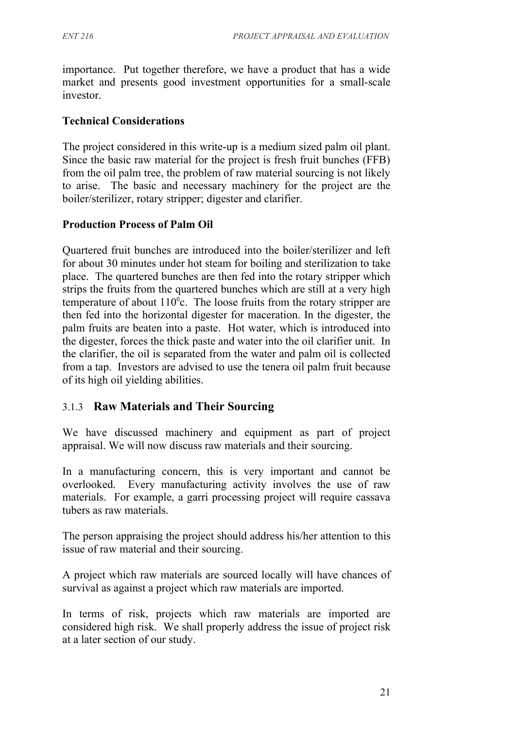importance. Put together therefore, we have a product that has a wide market and presents good investment opportunities for a small-scale investor.

#### **Technical Considerations**

The project considered in this write-up is a medium sized palm oil plant. Since the basic raw material for the project is fresh fruit bunches (FFB) from the oil palm tree, the problem of raw material sourcing is not likely to arise. The basic and necessary machinery for the project are the boiler/sterilizer, rotary stripper; digester and clarifier.

#### **Production Process of Palm Oil**

Quartered fruit bunches are introduced into the boiler/sterilizer and left for about 30 minutes under hot steam for boiling and sterilization to take place. The quartered bunches are then fed into the rotary stripper which strips the fruits from the quartered bunches which are still at a very high temperature of about  $110^{\circ}$ c. The loose fruits from the rotary stripper are then fed into the horizontal digester for maceration. In the digester, the palm fruits are beaten into a paste. Hot water, which is introduced into the digester, forces the thick paste and water into the oil clarifier unit. In the clarifier, the oil is separated from the water and palm oil is collected from a tap. Investors are advised to use the tenera oil palm fruit because of its high oil yielding abilities.

#### 3.1.3 **Raw Materials and Their Sourcing**

We have discussed machinery and equipment as part of project appraisal. We will now discuss raw materials and their sourcing.

In a manufacturing concern, this is very important and cannot be overlooked. Every manufacturing activity involves the use of raw materials. For example, a garri processing project will require cassava tubers as raw materials.

The person appraising the project should address his/her attention to this issue of raw material and their sourcing.

A project which raw materials are sourced locally will have chances of survival as against a project which raw materials are imported.

In terms of risk, projects which raw materials are imported are considered high risk. We shall properly address the issue of project risk at a later section of our study.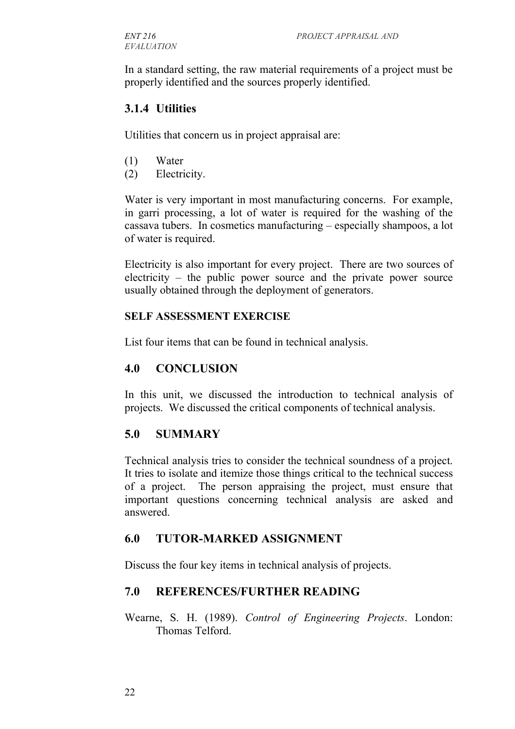In a standard setting, the raw material requirements of a project must be properly identified and the sources properly identified.

#### **3.1.4 Utilities**

Utilities that concern us in project appraisal are:

- (1) Water
- (2) Electricity.

Water is very important in most manufacturing concerns. For example, in garri processing, a lot of water is required for the washing of the cassava tubers. In cosmetics manufacturing – especially shampoos, a lot of water is required.

Electricity is also important for every project. There are two sources of electricity – the public power source and the private power source usually obtained through the deployment of generators.

#### **SELF ASSESSMENT EXERCISE**

List four items that can be found in technical analysis.

#### **4.0 CONCLUSION**

In this unit, we discussed the introduction to technical analysis of projects. We discussed the critical components of technical analysis.

## **5.0 SUMMARY**

Technical analysis tries to consider the technical soundness of a project. It tries to isolate and itemize those things critical to the technical success of a project. The person appraising the project, must ensure that important questions concerning technical analysis are asked and answered.

#### **6.0 TUTOR-MARKED ASSIGNMENT**

Discuss the four key items in technical analysis of projects.

#### **7.0 REFERENCES/FURTHER READING**

Wearne, S. H. (1989). *Control of Engineering Projects*. London: Thomas Telford.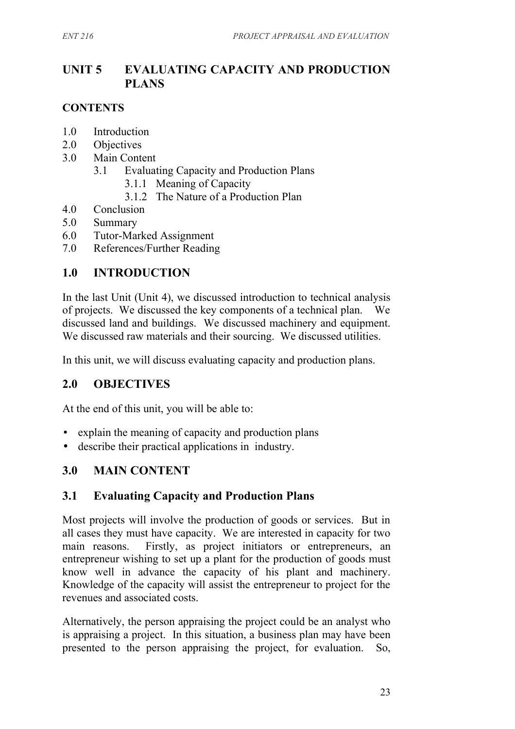## **UNIT 5 EVALUATING CAPACITY AND PRODUCTION PLANS**

#### **CONTENTS**

- 1.0 Introduction
- 2.0 Objectives
- 3.0 Main Content
	- 3.1 Evaluating Capacity and Production Plans
		- 3.1.1 Meaning of Capacity
		- 3.1.2 The Nature of a Production Plan
- 4.0 Conclusion
- 5.0 Summary
- 6.0 Tutor-Marked Assignment
- 7.0 References/Further Reading

#### **1.0 INTRODUCTION**

In the last Unit (Unit 4), we discussed introduction to technical analysis of projects. We discussed the key components of a technical plan. We discussed land and buildings. We discussed machinery and equipment. We discussed raw materials and their sourcing. We discussed utilities.

In this unit, we will discuss evaluating capacity and production plans.

#### **2.0 OBJECTIVES**

At the end of this unit, you will be able to:

- explain the meaning of capacity and production plans
- describe their practical applications in industry.

#### **3.0 MAIN CONTENT**

#### **3.1 Evaluating Capacity and Production Plans**

Most projects will involve the production of goods or services. But in all cases they must have capacity. We are interested in capacity for two main reasons. Firstly, as project initiators or entrepreneurs, an entrepreneur wishing to set up a plant for the production of goods must know well in advance the capacity of his plant and machinery. Knowledge of the capacity will assist the entrepreneur to project for the revenues and associated costs.

Alternatively, the person appraising the project could be an analyst who is appraising a project. In this situation, a business plan may have been presented to the person appraising the project, for evaluation. So,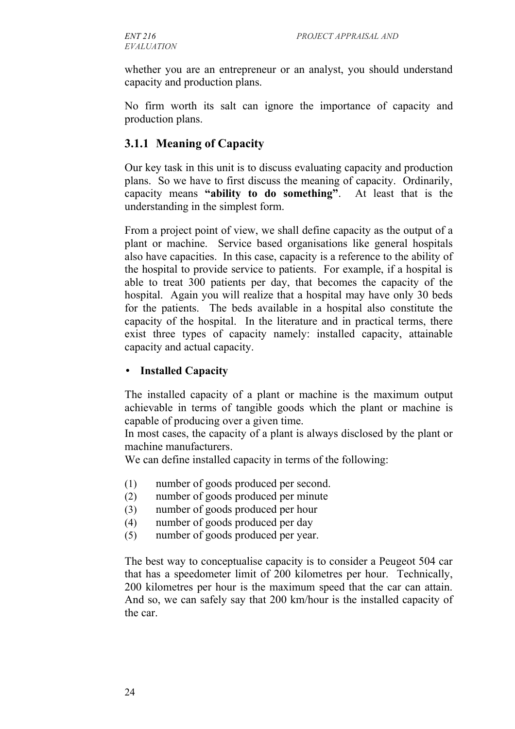whether you are an entrepreneur or an analyst, you should understand capacity and production plans.

No firm worth its salt can ignore the importance of capacity and production plans.

#### **3.1.1 Meaning of Capacity**

Our key task in this unit is to discuss evaluating capacity and production plans. So we have to first discuss the meaning of capacity. Ordinarily, capacity means **"ability to do something"**. At least that is the understanding in the simplest form.

From a project point of view, we shall define capacity as the output of a plant or machine. Service based organisations like general hospitals also have capacities. In this case, capacity is a reference to the ability of the hospital to provide service to patients. For example, if a hospital is able to treat 300 patients per day, that becomes the capacity of the hospital. Again you will realize that a hospital may have only 30 beds for the patients. The beds available in a hospital also constitute the capacity of the hospital. In the literature and in practical terms, there exist three types of capacity namely: installed capacity, attainable capacity and actual capacity.

#### • **Installed Capacity**

The installed capacity of a plant or machine is the maximum output achievable in terms of tangible goods which the plant or machine is capable of producing over a given time.

In most cases, the capacity of a plant is always disclosed by the plant or machine manufacturers.

We can define installed capacity in terms of the following:

- (1) number of goods produced per second.
- (2) number of goods produced per minute
- (3) number of goods produced per hour
- (4) number of goods produced per day
- (5) number of goods produced per year.

The best way to conceptualise capacity is to consider a Peugeot 504 car that has a speedometer limit of 200 kilometres per hour. Technically, 200 kilometres per hour is the maximum speed that the car can attain. And so, we can safely say that 200 km/hour is the installed capacity of the car.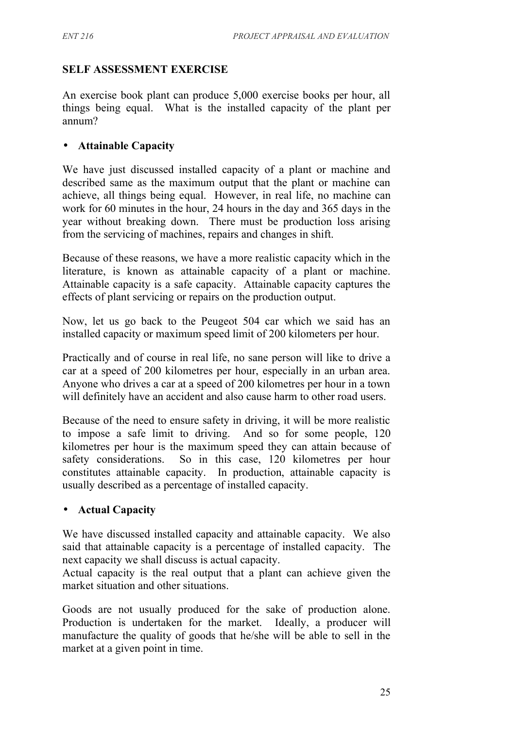#### **SELF ASSESSMENT EXERCISE**

An exercise book plant can produce 5,000 exercise books per hour, all things being equal. What is the installed capacity of the plant per annum?

#### • **Attainable Capacity**

We have just discussed installed capacity of a plant or machine and described same as the maximum output that the plant or machine can achieve, all things being equal. However, in real life, no machine can work for 60 minutes in the hour, 24 hours in the day and 365 days in the year without breaking down. There must be production loss arising from the servicing of machines, repairs and changes in shift.

Because of these reasons, we have a more realistic capacity which in the literature, is known as attainable capacity of a plant or machine. Attainable capacity is a safe capacity. Attainable capacity captures the effects of plant servicing or repairs on the production output.

Now, let us go back to the Peugeot 504 car which we said has an installed capacity or maximum speed limit of 200 kilometers per hour.

Practically and of course in real life, no sane person will like to drive a car at a speed of 200 kilometres per hour, especially in an urban area. Anyone who drives a car at a speed of 200 kilometres per hour in a town will definitely have an accident and also cause harm to other road users.

Because of the need to ensure safety in driving, it will be more realistic to impose a safe limit to driving. And so for some people, 120 kilometres per hour is the maximum speed they can attain because of safety considerations. So in this case, 120 kilometres per hour constitutes attainable capacity. In production, attainable capacity is usually described as a percentage of installed capacity.

#### • **Actual Capacity**

We have discussed installed capacity and attainable capacity. We also said that attainable capacity is a percentage of installed capacity. The next capacity we shall discuss is actual capacity.

Actual capacity is the real output that a plant can achieve given the market situation and other situations.

Goods are not usually produced for the sake of production alone. Production is undertaken for the market. Ideally, a producer will manufacture the quality of goods that he/she will be able to sell in the market at a given point in time.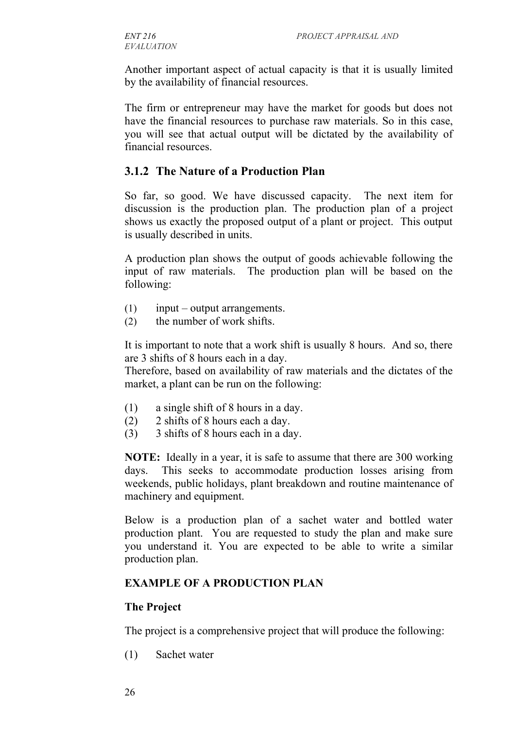Another important aspect of actual capacity is that it is usually limited by the availability of financial resources.

The firm or entrepreneur may have the market for goods but does not have the financial resources to purchase raw materials. So in this case, you will see that actual output will be dictated by the availability of financial resources.

#### **3.1.2 The Nature of a Production Plan**

So far, so good. We have discussed capacity. The next item for discussion is the production plan. The production plan of a project shows us exactly the proposed output of a plant or project. This output is usually described in units.

A production plan shows the output of goods achievable following the input of raw materials. The production plan will be based on the following:

- (1) input output arrangements.
- (2) the number of work shifts.

It is important to note that a work shift is usually 8 hours. And so, there are 3 shifts of 8 hours each in a day.

Therefore, based on availability of raw materials and the dictates of the market, a plant can be run on the following:

- (1) a single shift of 8 hours in a day.
- (2) 2 shifts of 8 hours each a day.
- (3) 3 shifts of 8 hours each in a day.

**NOTE:** Ideally in a year, it is safe to assume that there are 300 working days. This seeks to accommodate production losses arising from weekends, public holidays, plant breakdown and routine maintenance of machinery and equipment.

Below is a production plan of a sachet water and bottled water production plant. You are requested to study the plan and make sure you understand it. You are expected to be able to write a similar production plan.

#### **EXAMPLE OF A PRODUCTION PLAN**

#### **The Project**

The project is a comprehensive project that will produce the following:

(1) Sachet water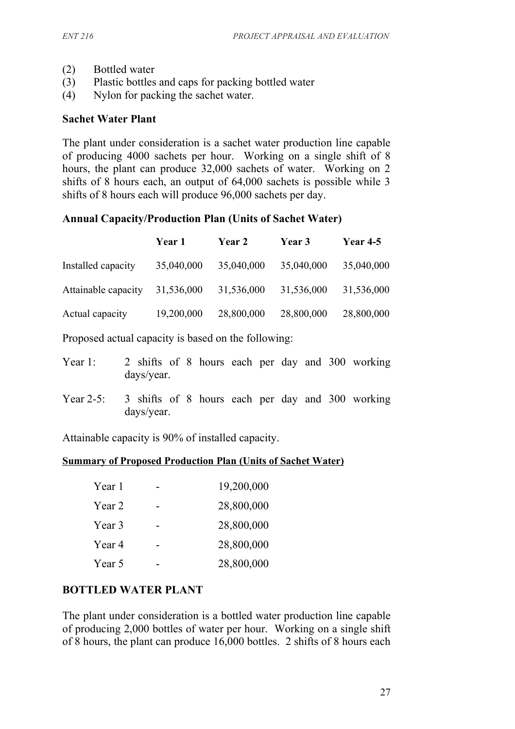- (2) Bottled water
- (3) Plastic bottles and caps for packing bottled water
- (4) Nylon for packing the sachet water.

#### **Sachet Water Plant**

The plant under consideration is a sachet water production line capable of producing 4000 sachets per hour. Working on a single shift of 8 hours, the plant can produce 32,000 sachets of water. Working on 2 shifts of 8 hours each, an output of 64,000 sachets is possible while 3 shifts of 8 hours each will produce 96,000 sachets per day.

#### **Annual Capacity/Production Plan (Units of Sachet Water)**

|                     | Year 1     | <b>Year 2</b> | Year 3     | <b>Year 4-5</b> |
|---------------------|------------|---------------|------------|-----------------|
| Installed capacity  | 35,040,000 | 35,040,000    | 35,040,000 | 35,040,000      |
| Attainable capacity | 31,536,000 | 31,536,000    | 31,536,000 | 31,536,000      |
| Actual capacity     | 19,200,000 | 28,800,000    | 28,800,000 | 28,800,000      |

Proposed actual capacity is based on the following:

| Year 1: 2 shifts of 8 hours each per day and 300 working |            |  |  |  |  |  |
|----------------------------------------------------------|------------|--|--|--|--|--|
|                                                          | days/year. |  |  |  |  |  |

Year 2-5: 3 shifts of 8 hours each per day and 300 working days/year.

Attainable capacity is 90% of installed capacity.

#### **Summary of Proposed Production Plan (Units of Sachet Water)**

| Year 1 | 19,200,000 |
|--------|------------|
| Year 2 | 28,800,000 |
| Year 3 | 28,800,000 |
| Year 4 | 28,800,000 |
| Year 5 | 28,800,000 |

#### **BOTTLED WATER PLANT**

The plant under consideration is a bottled water production line capable of producing 2,000 bottles of water per hour. Working on a single shift of 8 hours, the plant can produce 16,000 bottles. 2 shifts of 8 hours each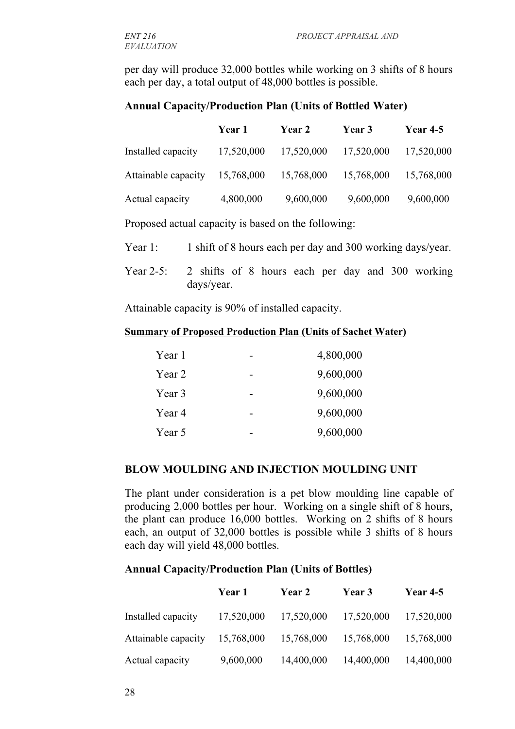per day will produce 32,000 bottles while working on 3 shifts of 8 hours each per day, a total output of 48,000 bottles is possible.

#### **Annual Capacity/Production Plan (Units of Bottled Water)**

|                     | Year 1     | <b>Year 2</b> | <b>Year 3</b> | <b>Year 4-5</b> |
|---------------------|------------|---------------|---------------|-----------------|
| Installed capacity  | 17,520,000 | 17,520,000    | 17,520,000    | 17,520,000      |
| Attainable capacity | 15,768,000 | 15,768,000    | 15,768,000    | 15,768,000      |
| Actual capacity     | 4,800,000  | 9,600,000     | 9,600,000     | 9,600,000       |

Proposed actual capacity is based on the following:

Year 1: 1 shift of 8 hours each per day and 300 working days/year.

Year 2-5: 2 shifts of 8 hours each per day and 300 working days/year.

Attainable capacity is 90% of installed capacity.

#### **Summary of Proposed Production Plan (Units of Sachet Water)**

| Year 1 | 4,800,000 |
|--------|-----------|
| Year 2 | 9,600,000 |
| Year 3 | 9,600,000 |
| Year 4 | 9,600,000 |
| Year 5 | 9,600,000 |

#### **BLOW MOULDING AND INJECTION MOULDING UNIT**

The plant under consideration is a pet blow moulding line capable of producing 2,000 bottles per hour. Working on a single shift of 8 hours, the plant can produce 16,000 bottles. Working on 2 shifts of 8 hours each, an output of 32,000 bottles is possible while 3 shifts of 8 hours each day will yield 48,000 bottles.

#### **Annual Capacity/Production Plan (Units of Bottles)**

|                     | Year 1     | <b>Year 2</b> | Year 3     | <b>Year 4-5</b> |
|---------------------|------------|---------------|------------|-----------------|
| Installed capacity  | 17,520,000 | 17,520,000    | 17,520,000 | 17,520,000      |
| Attainable capacity | 15,768,000 | 15,768,000    | 15,768,000 | 15,768,000      |
| Actual capacity     | 9,600,000  | 14,400,000    | 14,400,000 | 14,400,000      |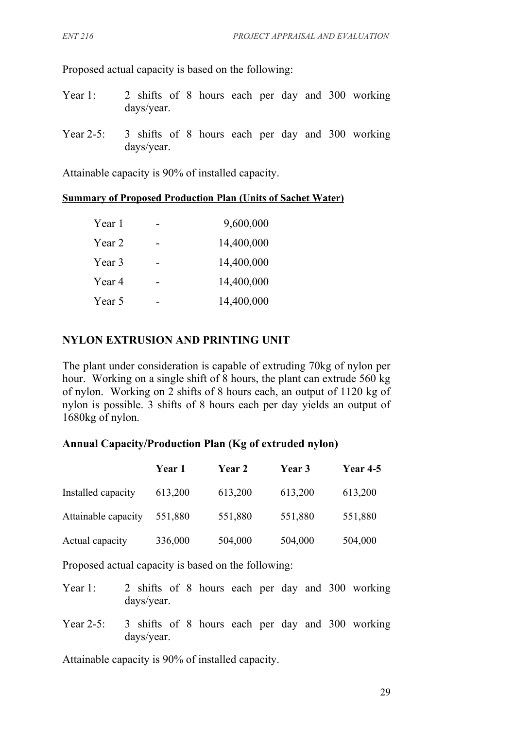Proposed actual capacity is based on the following:

- Year 1: 2 shifts of 8 hours each per day and 300 working days/year.
- Year 2-5: 3 shifts of 8 hours each per day and 300 working days/year.

Attainable capacity is 90% of installed capacity.

#### **Summary of Proposed Production Plan (Units of Sachet Water)**

| Year 1 | 9,600,000  |
|--------|------------|
| Year 2 | 14,400,000 |
| Year 3 | 14,400,000 |
| Year 4 | 14,400,000 |
| Year 5 | 14,400,000 |

#### **NYLON EXTRUSION AND PRINTING UNIT**

The plant under consideration is capable of extruding 70kg of nylon per hour. Working on a single shift of 8 hours, the plant can extrude 560 kg of nylon. Working on 2 shifts of 8 hours each, an output of 1120 kg of nylon is possible. 3 shifts of 8 hours each per day yields an output of 1680kg of nylon.

#### **Annual Capacity/Production Plan (Kg of extruded nylon)**

|                     | <b>Year 1</b> | <b>Year 2</b> | <b>Year</b> 3 | <b>Year 4-5</b> |
|---------------------|---------------|---------------|---------------|-----------------|
| Installed capacity  | 613,200       | 613,200       | 613,200       | 613,200         |
| Attainable capacity | 551,880       | 551,880       | 551,880       | 551,880         |
| Actual capacity     | 336,000       | 504,000       | 504,000       | 504,000         |

Proposed actual capacity is based on the following:

- Year 1: 2 shifts of 8 hours each per day and 300 working days/year.
- Year 2-5: 3 shifts of 8 hours each per day and 300 working days/year.

Attainable capacity is 90% of installed capacity.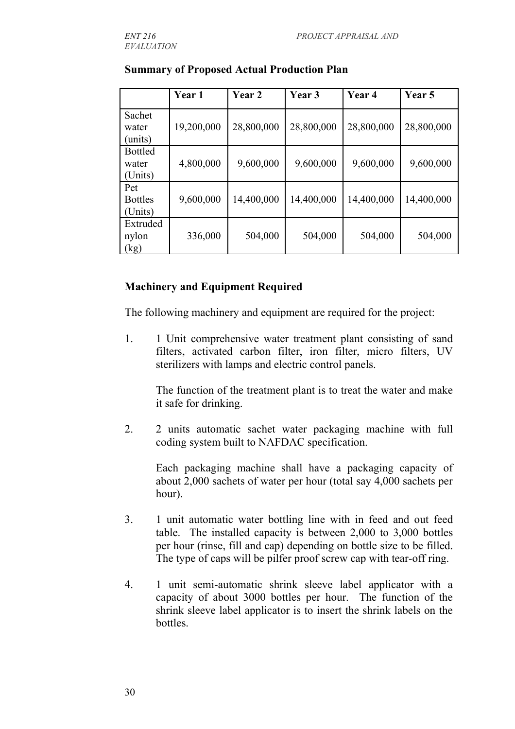|                | Year 1     | Year 2     | Year 3     | Year 4     | <b>Year</b> 5 |
|----------------|------------|------------|------------|------------|---------------|
| Sachet         |            |            |            |            |               |
| water          | 19,200,000 | 28,800,000 | 28,800,000 | 28,800,000 | 28,800,000    |
| (units)        |            |            |            |            |               |
| <b>Bottled</b> |            |            |            |            |               |
| water          | 4,800,000  | 9,600,000  | 9,600,000  | 9,600,000  | 9,600,000     |
| (Units)        |            |            |            |            |               |
| Pet            |            |            |            |            |               |
| <b>Bottles</b> | 9,600,000  | 14,400,000 | 14,400,000 | 14,400,000 | 14,400,000    |
| (Units)        |            |            |            |            |               |
| Extruded       |            |            |            |            |               |
| nylon          | 336,000    | 504,000    | 504,000    | 504,000    | 504,000       |
| (kg)           |            |            |            |            |               |

#### **Summary of Proposed Actual Production Plan**

#### **Machinery and Equipment Required**

The following machinery and equipment are required for the project:

1. 1 Unit comprehensive water treatment plant consisting of sand filters, activated carbon filter, iron filter, micro filters, UV sterilizers with lamps and electric control panels.

The function of the treatment plant is to treat the water and make it safe for drinking.

2. 2 units automatic sachet water packaging machine with full coding system built to NAFDAC specification.

Each packaging machine shall have a packaging capacity of about 2,000 sachets of water per hour (total say 4,000 sachets per hour).

- 3. 1 unit automatic water bottling line with in feed and out feed table. The installed capacity is between 2,000 to 3,000 bottles per hour (rinse, fill and cap) depending on bottle size to be filled. The type of caps will be pilfer proof screw cap with tear-off ring.
- 4. 1 unit semi-automatic shrink sleeve label applicator with a capacity of about 3000 bottles per hour. The function of the shrink sleeve label applicator is to insert the shrink labels on the bottles.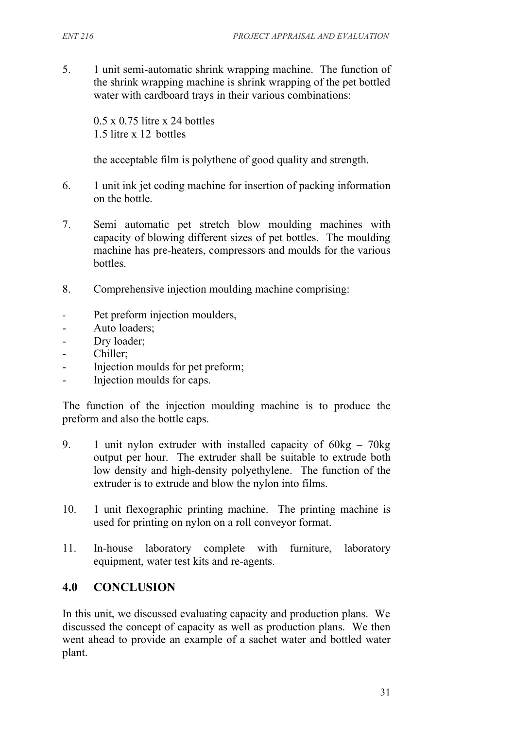5. 1 unit semi-automatic shrink wrapping machine. The function of the shrink wrapping machine is shrink wrapping of the pet bottled water with cardboard trays in their various combinations:

0.5 x 0.75 litre x 24 bottles 1.5 litre x 12 bottles

the acceptable film is polythene of good quality and strength.

- 6. 1 unit ink jet coding machine for insertion of packing information on the bottle.
- 7. Semi automatic pet stretch blow moulding machines with capacity of blowing different sizes of pet bottles. The moulding machine has pre-heaters, compressors and moulds for the various bottles.
- 8. Comprehensive injection moulding machine comprising:
- Pet preform injection moulders,
- Auto loaders;
- Dry loader;
- Chiller;
- Injection moulds for pet preform;
- Injection moulds for caps.

The function of the injection moulding machine is to produce the preform and also the bottle caps.

- 9. 1 unit nylon extruder with installed capacity of 60kg 70kg output per hour. The extruder shall be suitable to extrude both low density and high-density polyethylene. The function of the extruder is to extrude and blow the nylon into films.
- 10. 1 unit flexographic printing machine. The printing machine is used for printing on nylon on a roll conveyor format.
- 11. In-house laboratory complete with furniture, laboratory equipment, water test kits and re-agents.

## **4.0 CONCLUSION**

In this unit, we discussed evaluating capacity and production plans. We discussed the concept of capacity as well as production plans. We then went ahead to provide an example of a sachet water and bottled water plant.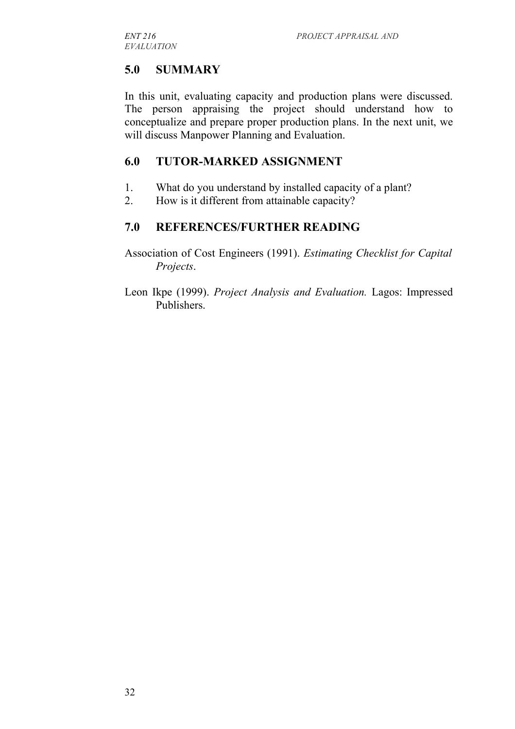## **5.0 SUMMARY**

In this unit, evaluating capacity and production plans were discussed. The person appraising the project should understand how to conceptualize and prepare proper production plans. In the next unit, we will discuss Manpower Planning and Evaluation.

### **6.0 TUTOR-MARKED ASSIGNMENT**

- 1. What do you understand by installed capacity of a plant?
- 2. How is it different from attainable capacity?

## **7.0 REFERENCES/FURTHER READING**

Association of Cost Engineers (1991). *Estimating Checklist for Capital Projects*.

Leon Ikpe (1999). *Project Analysis and Evaluation.* Lagos: Impressed Publishers.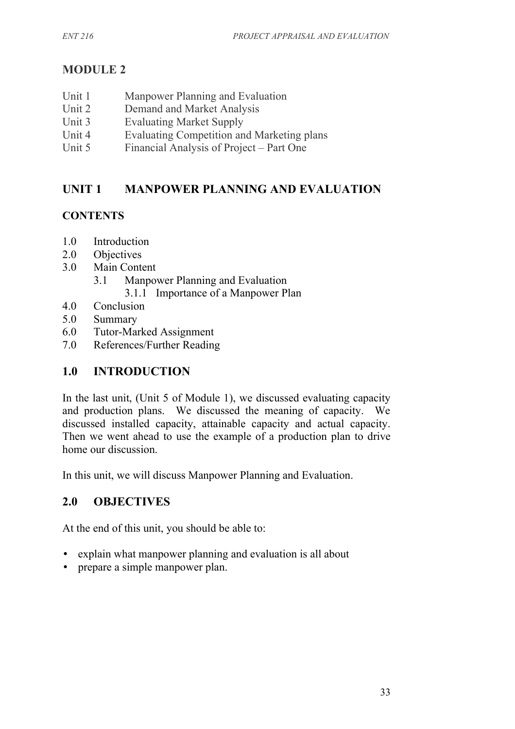## **MODULE 2**

- Unit 1 Manpower Planning and Evaluation
- Unit 2 Demand and Market Analysis
- Unit 3 Evaluating Market Supply
- Unit 4 Evaluating Competition and Marketing plans
- Unit 5 Financial Analysis of Project Part One

## **UNIT 1 MANPOWER PLANNING AND EVALUATION**

## **CONTENTS**

- 1.0 Introduction
- 2.0 Objectives
- 3.0 Main Content
	- 3.1 Manpower Planning and Evaluation
		- 3.1.1 Importance of a Manpower Plan
- 4.0 Conclusion
- 5.0 Summary
- 6.0 Tutor-Marked Assignment
- 7.0 References/Further Reading

## **1.0 INTRODUCTION**

In the last unit, (Unit 5 of Module 1), we discussed evaluating capacity and production plans. We discussed the meaning of capacity. We discussed installed capacity, attainable capacity and actual capacity. Then we went ahead to use the example of a production plan to drive home our discussion.

In this unit, we will discuss Manpower Planning and Evaluation.

## **2.0 OBJECTIVES**

At the end of this unit, you should be able to:

- explain what manpower planning and evaluation is all about
- prepare a simple manpower plan.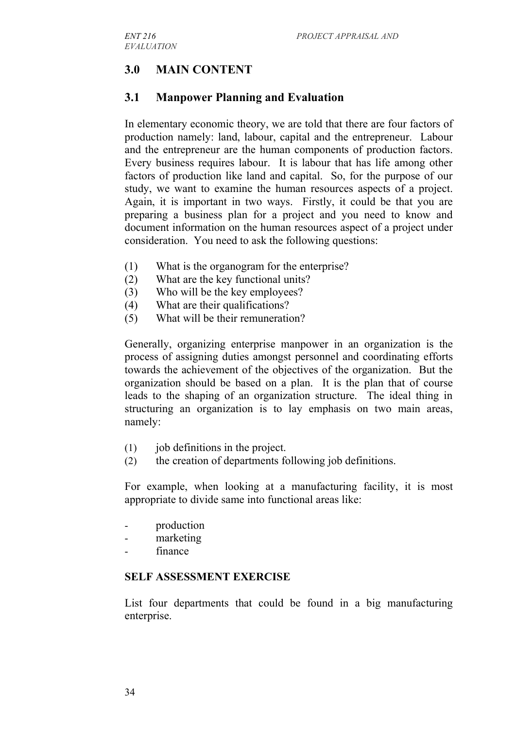## **3.0 MAIN CONTENT**

### **3.1 Manpower Planning and Evaluation**

In elementary economic theory, we are told that there are four factors of production namely: land, labour, capital and the entrepreneur. Labour and the entrepreneur are the human components of production factors. Every business requires labour. It is labour that has life among other factors of production like land and capital. So, for the purpose of our study, we want to examine the human resources aspects of a project. Again, it is important in two ways. Firstly, it could be that you are preparing a business plan for a project and you need to know and document information on the human resources aspect of a project under consideration. You need to ask the following questions:

- (1) What is the organogram for the enterprise?
- (2) What are the key functional units?
- (3) Who will be the key employees?
- (4) What are their qualifications?
- (5) What will be their remuneration?

Generally, organizing enterprise manpower in an organization is the process of assigning duties amongst personnel and coordinating efforts towards the achievement of the objectives of the organization. But the organization should be based on a plan. It is the plan that of course leads to the shaping of an organization structure. The ideal thing in structuring an organization is to lay emphasis on two main areas, namely:

- (1) job definitions in the project.
- (2) the creation of departments following job definitions.

For example, when looking at a manufacturing facility, it is most appropriate to divide same into functional areas like:

- production
- marketing
- finance

#### **SELF ASSESSMENT EXERCISE**

List four departments that could be found in a big manufacturing enterprise.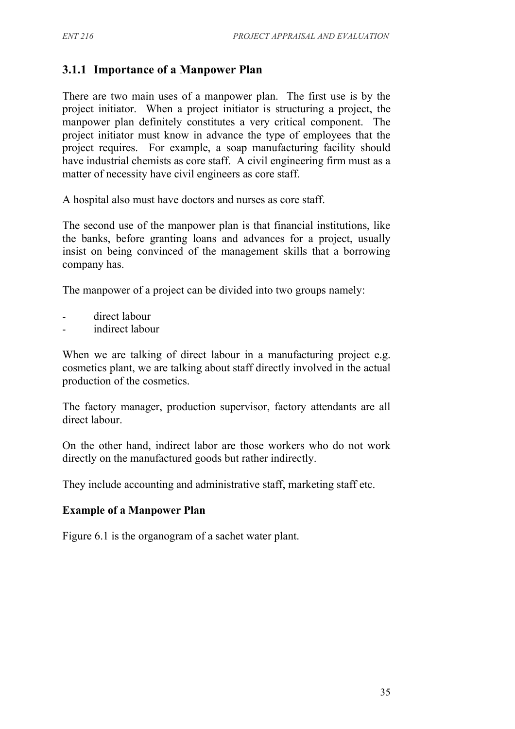## **3.1.1 Importance of a Manpower Plan**

There are two main uses of a manpower plan. The first use is by the project initiator. When a project initiator is structuring a project, the manpower plan definitely constitutes a very critical component. The project initiator must know in advance the type of employees that the project requires. For example, a soap manufacturing facility should have industrial chemists as core staff. A civil engineering firm must as a matter of necessity have civil engineers as core staff.

A hospital also must have doctors and nurses as core staff.

The second use of the manpower plan is that financial institutions, like the banks, before granting loans and advances for a project, usually insist on being convinced of the management skills that a borrowing company has.

The manpower of a project can be divided into two groups namely:

- direct labour
- indirect labour

When we are talking of direct labour in a manufacturing project e.g. cosmetics plant, we are talking about staff directly involved in the actual production of the cosmetics.

The factory manager, production supervisor, factory attendants are all direct labour.

On the other hand, indirect labor are those workers who do not work directly on the manufactured goods but rather indirectly.

They include accounting and administrative staff, marketing staff etc.

#### **Example of a Manpower Plan**

Figure 6.1 is the organogram of a sachet water plant.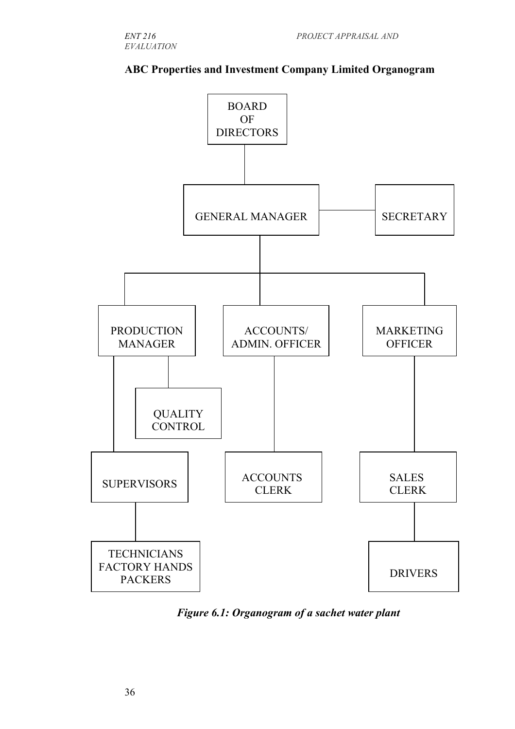

### **ABC Properties and Investment Company Limited Organogram**

*Figure 6.1: Organogram of a sachet water plant*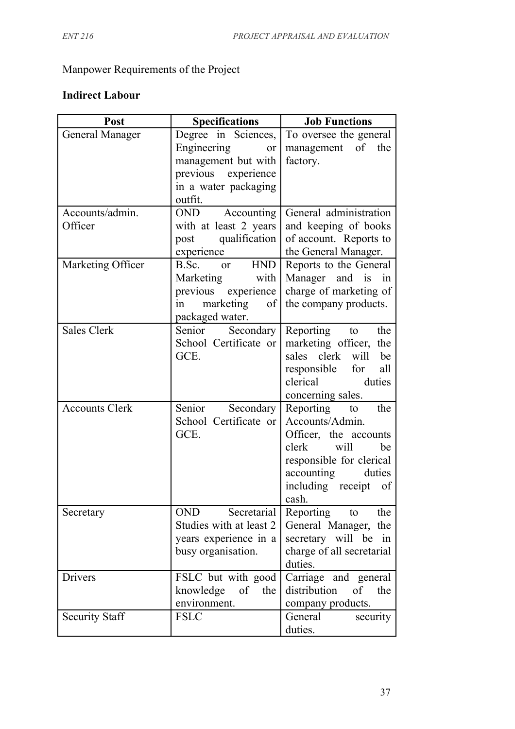# Manpower Requirements of the Project

# **Indirect Labour**

| Post                       | <b>Specifications</b>                                                                                                     | <b>Job Functions</b>                                                                                                                                                           |
|----------------------------|---------------------------------------------------------------------------------------------------------------------------|--------------------------------------------------------------------------------------------------------------------------------------------------------------------------------|
| <b>General Manager</b>     | Degree in Sciences,<br>Engineering<br>or<br>management but with<br>previous experience<br>in a water packaging<br>outfit. | To oversee the general<br>management of the<br>factory.                                                                                                                        |
| Accounts/admin.<br>Officer | OND Accounting<br>with at least 2 years<br>qualification<br>post<br>experience                                            | General administration<br>and keeping of books<br>of account. Reports to<br>the General Manager.                                                                               |
| Marketing Officer          | or HND<br>B.Sc.<br>Marketing<br>with<br>previous experience<br>marketing<br>of<br>1n<br>packaged water.                   | Reports to the General<br>Manager and is<br>in<br>charge of marketing of<br>the company products.                                                                              |
| <b>Sales Clerk</b>         | Secondary  <br>Senior<br>School Certificate or<br>GCE.                                                                    | Reporting to<br>the<br>marketing officer, the<br>sales clerk will<br>be<br>responsible for<br>all<br>clerical<br>duties<br>concerning sales.                                   |
| <b>Accounts Clerk</b>      | Senior<br>Secondary<br>School Certificate or<br>GCE.                                                                      | Reporting to<br>the<br>Accounts/Admin.<br>Officer, the accounts<br>will<br>clerk<br>be<br>responsible for clerical<br>accounting<br>duties<br>including receipt<br>of<br>cash. |
| Secretary                  | Secretarial<br>OND<br>Studies with at least 2<br>years experience in a<br>busy organisation.                              | Reporting<br>the<br>to<br>General Manager, the<br>secretary will be in<br>charge of all secretarial<br>duties.                                                                 |
| Drivers                    | FSLC but with good<br>knowledge of the<br>environment.                                                                    | Carriage and general<br>distribution of<br>the<br>company products.                                                                                                            |
| <b>Security Staff</b>      | <b>FSLC</b>                                                                                                               | General<br>security<br>duties.                                                                                                                                                 |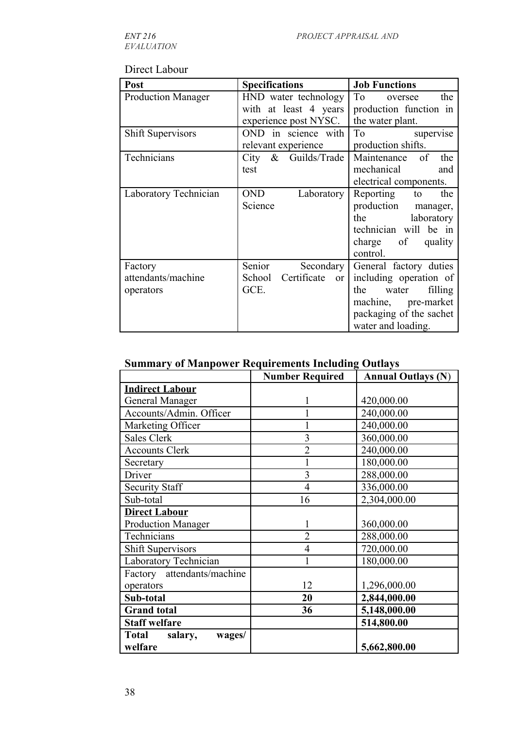*EVALUATION*

## Direct Labour

| Post                      | <b>Specifications</b>                  | <b>Job Functions</b>                                                                                                                                                                                                                        |
|---------------------------|----------------------------------------|---------------------------------------------------------------------------------------------------------------------------------------------------------------------------------------------------------------------------------------------|
| <b>Production Manager</b> | HND water technology                   | To<br>the<br>oversee                                                                                                                                                                                                                        |
|                           | with at least 4 years                  | production function in                                                                                                                                                                                                                      |
|                           | experience post NYSC.                  | the water plant.                                                                                                                                                                                                                            |
| <b>Shift Supervisors</b>  | OND in science with                    | To the contract of the contract of the contract of the contract of the contract of the contract of the contract of the contract of the contract of the contract of the contract of the contract of the contract of the contrac<br>supervise |
|                           | relevant experience                    | production shifts.                                                                                                                                                                                                                          |
| Technicians               | City & Guilds/Trade                    | Maintenance of<br>the                                                                                                                                                                                                                       |
|                           | test                                   | mechanical<br>and                                                                                                                                                                                                                           |
|                           |                                        | electrical components.                                                                                                                                                                                                                      |
| Laboratory Technician     | <b>OND</b><br>Laboratory               | Reporting<br>the<br>to                                                                                                                                                                                                                      |
|                           | Science                                | production manager,                                                                                                                                                                                                                         |
|                           |                                        | the<br>laboratory                                                                                                                                                                                                                           |
|                           |                                        | technician will be in                                                                                                                                                                                                                       |
|                           |                                        | charge of<br>quality                                                                                                                                                                                                                        |
|                           |                                        | control.                                                                                                                                                                                                                                    |
| Factory                   | Senior<br>Secondary                    | General factory duties                                                                                                                                                                                                                      |
| attendants/machine        | Certificate<br>School<br><sub>or</sub> | including operation of                                                                                                                                                                                                                      |
| operators                 | GCE.                                   | filling<br>water<br>the                                                                                                                                                                                                                     |
|                           |                                        | machine, pre-market                                                                                                                                                                                                                         |
|                           |                                        | packaging of the sachet                                                                                                                                                                                                                     |
|                           |                                        | water and loading.                                                                                                                                                                                                                          |

# **Summary of Manpower Requirements Including Outlays**

|                                              | <b>Number Required</b> | <b>Annual Outlays (N)</b> |
|----------------------------------------------|------------------------|---------------------------|
| <b>Indirect Labour</b>                       |                        |                           |
| <b>General Manager</b>                       |                        | 420,000.00                |
| Accounts/Admin. Officer                      |                        | 240,000.00                |
| Marketing Officer                            |                        | 240,000.00                |
| <b>Sales Clerk</b>                           | 3                      | 360,000.00                |
| <b>Accounts Clerk</b>                        | $\overline{2}$         | 240,000.00                |
| Secretary                                    |                        | 180,000.00                |
| Driver                                       | $\overline{3}$         | 288,000.00                |
| <b>Security Staff</b>                        | $\overline{4}$         | 336,000.00                |
| Sub-total                                    | 16                     | 2,304,000.00              |
| <b>Direct Labour</b>                         |                        |                           |
| <b>Production Manager</b>                    |                        | 360,000.00                |
| Technicians                                  | $\overline{2}$         | 288,000.00                |
| <b>Shift Supervisors</b>                     | $\overline{4}$         | 720,000.00                |
| Laboratory Technician                        |                        | 180,000.00                |
| Factory attendants/machine                   |                        |                           |
| operators                                    | 12                     | 1,296,000.00              |
| Sub-total                                    | 20                     | 2,844,000.00              |
| <b>Grand</b> total                           | 36                     | 5,148,000.00              |
| <b>Staff welfare</b>                         |                        | 514,800.00                |
| <b>Total</b><br>salary,<br>wages/<br>welfare |                        | 5,662,800.00              |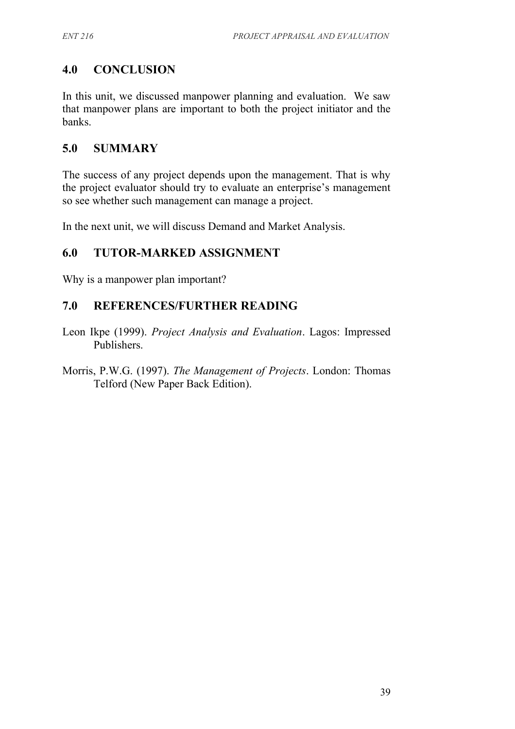## **4.0 CONCLUSION**

In this unit, we discussed manpower planning and evaluation. We saw that manpower plans are important to both the project initiator and the banks.

## **5.0 SUMMARY**

The success of any project depends upon the management. That is why the project evaluator should try to evaluate an enterprise's management so see whether such management can manage a project.

In the next unit, we will discuss Demand and Market Analysis.

## **6.0 TUTOR-MARKED ASSIGNMENT**

Why is a manpower plan important?

## **7.0 REFERENCES/FURTHER READING**

- Leon Ikpe (1999). *Project Analysis and Evaluation*. Lagos: Impressed Publishers.
- Morris, P.W.G. (1997). *The Management of Projects*. London: Thomas Telford (New Paper Back Edition).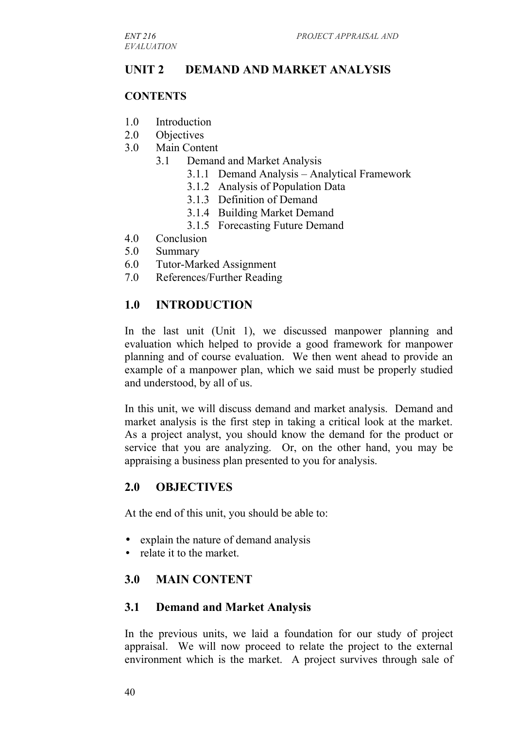## **UNIT 2 DEMAND AND MARKET ANALYSIS**

#### **CONTENTS**

- 1.0 Introduction
- 2.0 Objectives
- 3.0 Main Content
	- 3.1 Demand and Market Analysis
		- 3.1.1 Demand Analysis Analytical Framework
		- 3.1.2 Analysis of Population Data
		- 3.1.3 Definition of Demand
		- 3.1.4 Building Market Demand
		- 3.1.5 Forecasting Future Demand
- 4.0 Conclusion
- 5.0 Summary
- 6.0 Tutor-Marked Assignment
- 7.0 References/Further Reading

## **1.0 INTRODUCTION**

In the last unit (Unit 1), we discussed manpower planning and evaluation which helped to provide a good framework for manpower planning and of course evaluation. We then went ahead to provide an example of a manpower plan, which we said must be properly studied and understood, by all of us.

In this unit, we will discuss demand and market analysis. Demand and market analysis is the first step in taking a critical look at the market. As a project analyst, you should know the demand for the product or service that you are analyzing. Or, on the other hand, you may be appraising a business plan presented to you for analysis.

## **2.0 OBJECTIVES**

At the end of this unit, you should be able to:

- explain the nature of demand analysis
- relate it to the market.

## **3.0 MAIN CONTENT**

#### **3.1 Demand and Market Analysis**

In the previous units, we laid a foundation for our study of project appraisal. We will now proceed to relate the project to the external environment which is the market. A project survives through sale of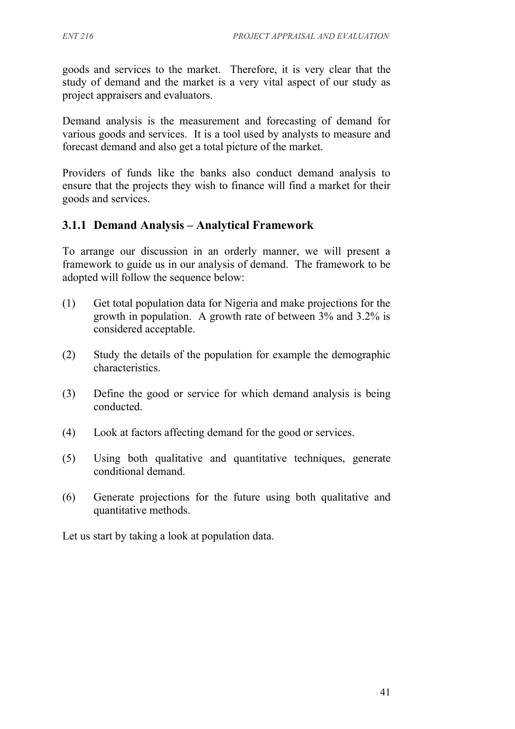goods and services to the market. Therefore, it is very clear that the study of demand and the market is a very vital aspect of our study as project appraisers and evaluators.

Demand analysis is the measurement and forecasting of demand for various goods and services. It is a tool used by analysts to measure and forecast demand and also get a total picture of the market.

Providers of funds like the banks also conduct demand analysis to ensure that the projects they wish to finance will find a market for their goods and services.

## **3.1.1 Demand Analysis – Analytical Framework**

To arrange our discussion in an orderly manner, we will present a framework to guide us in our analysis of demand. The framework to be adopted will follow the sequence below:

- (1) Get total population data for Nigeria and make projections for the growth in population. A growth rate of between 3% and 3.2% is considered acceptable.
- (2) Study the details of the population for example the demographic characteristics.
- (3) Define the good or service for which demand analysis is being conducted.
- (4) Look at factors affecting demand for the good or services.
- (5) Using both qualitative and quantitative techniques, generate conditional demand.
- (6) Generate projections for the future using both qualitative and quantitative methods.

Let us start by taking a look at population data.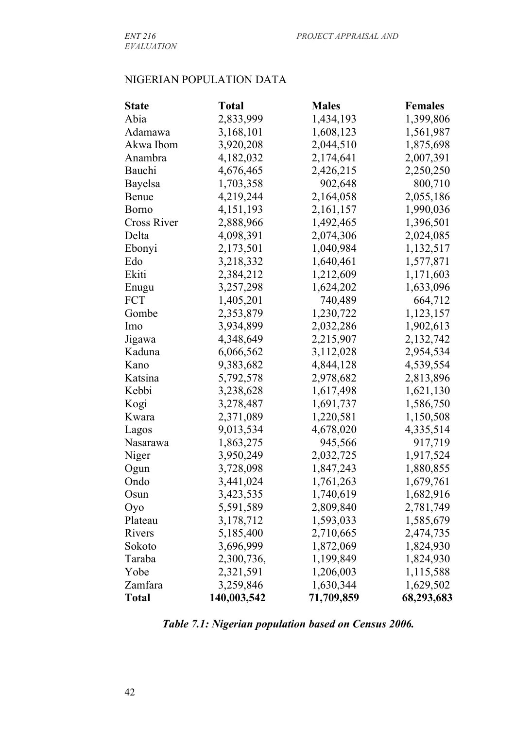## NIGERIAN POPULATION DATA

| <b>State</b>       | <b>Total</b> | <b>Males</b> | <b>Females</b> |
|--------------------|--------------|--------------|----------------|
| Abia               | 2,833,999    | 1,434,193    | 1,399,806      |
| Adamawa            | 3,168,101    | 1,608,123    | 1,561,987      |
| Akwa Ibom          | 3,920,208    | 2,044,510    | 1,875,698      |
| Anambra            | 4,182,032    | 2,174,641    | 2,007,391      |
| Bauchi             | 4,676,465    | 2,426,215    | 2,250,250      |
| Bayelsa            | 1,703,358    | 902,648      | 800,710        |
| Benue              | 4,219,244    | 2,164,058    | 2,055,186      |
| <b>Borno</b>       | 4, 151, 193  | 2,161,157    | 1,990,036      |
| <b>Cross River</b> | 2,888,966    | 1,492,465    | 1,396,501      |
| Delta              | 4,098,391    | 2,074,306    | 2,024,085      |
| Ebonyi             | 2,173,501    | 1,040,984    | 1,132,517      |
| Edo                | 3,218,332    | 1,640,461    | 1,577,871      |
| Ekiti              | 2,384,212    | 1,212,609    | 1,171,603      |
| Enugu              | 3,257,298    | 1,624,202    | 1,633,096      |
| <b>FCT</b>         | 1,405,201    | 740,489      | 664,712        |
| Gombe              | 2,353,879    | 1,230,722    | 1,123,157      |
| Imo                | 3,934,899    | 2,032,286    | 1,902,613      |
| Jigawa             | 4,348,649    | 2,215,907    | 2,132,742      |
| Kaduna             | 6,066,562    | 3,112,028    | 2,954,534      |
| Kano               | 9,383,682    | 4,844,128    | 4,539,554      |
| Katsina            | 5,792,578    | 2,978,682    | 2,813,896      |
| Kebbi              | 3,238,628    | 1,617,498    | 1,621,130      |
| Kogi               | 3,278,487    | 1,691,737    | 1,586,750      |
| Kwara              | 2,371,089    | 1,220,581    | 1,150,508      |
| Lagos              | 9,013,534    | 4,678,020    | 4,335,514      |
| Nasarawa           | 1,863,275    | 945,566      | 917,719        |
| Niger              | 3,950,249    | 2,032,725    | 1,917,524      |
| Ogun               | 3,728,098    | 1,847,243    | 1,880,855      |
| Ondo               | 3,441,024    | 1,761,263    | 1,679,761      |
| Osun               | 3,423,535    | 1,740,619    | 1,682,916      |
| Oyo                | 5,591,589    | 2,809,840    | 2,781,749      |
| Plateau            | 3,178,712    | 1,593,033    | 1,585,679      |
| Rivers             | 5,185,400    | 2,710,665    | 2,474,735      |
| Sokoto             | 3,696,999    | 1,872,069    | 1,824,930      |
| Taraba             | 2,300,736,   | 1,199,849    | 1,824,930      |
| Yobe               | 2,321,591    | 1,206,003    | 1,115,588      |
| Zamfara            | 3,259,846    | 1,630,344    | 1,629,502      |
| <b>Total</b>       | 140,003,542  | 71,709,859   | 68,293,683     |

*Table 7.1: Nigerian population based on Census 2006.*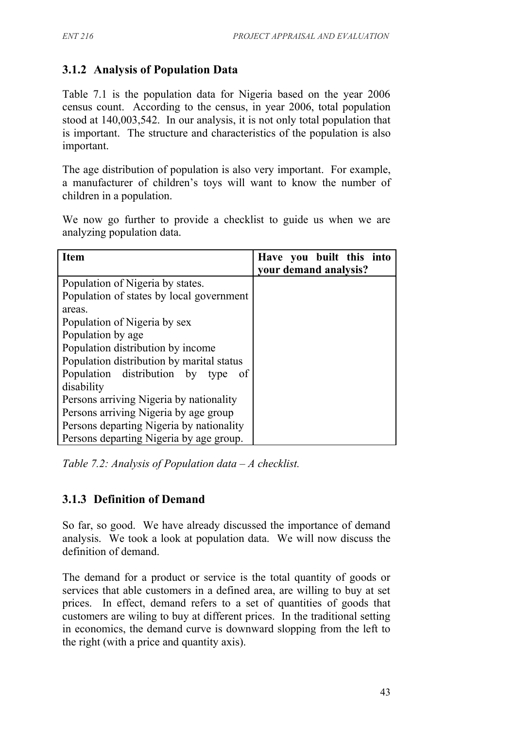# **3.1.2 Analysis of Population Data**

Table 7.1 is the population data for Nigeria based on the year 2006 census count. According to the census, in year 2006, total population stood at 140,003,542. In our analysis, it is not only total population that is important. The structure and characteristics of the population is also important.

The age distribution of population is also very important. For example, a manufacturer of children's toys will want to know the number of children in a population.

We now go further to provide a checklist to guide us when we are analyzing population data.

| <b>Item</b>                                       | Have you built this into<br>your demand analysis? |
|---------------------------------------------------|---------------------------------------------------|
| Population of Nigeria by states.                  |                                                   |
| Population of states by local government          |                                                   |
| areas.                                            |                                                   |
| Population of Nigeria by sex                      |                                                   |
| Population by age                                 |                                                   |
| Population distribution by income                 |                                                   |
| Population distribution by marital status         |                                                   |
| Population distribution by type<br>0 <sup>f</sup> |                                                   |
| disability                                        |                                                   |
| Persons arriving Nigeria by nationality           |                                                   |
| Persons arriving Nigeria by age group             |                                                   |
| Persons departing Nigeria by nationality          |                                                   |
| Persons departing Nigeria by age group.           |                                                   |

*Table 7.2: Analysis of Population data – A checklist.*

## **3.1.3 Definition of Demand**

So far, so good. We have already discussed the importance of demand analysis. We took a look at population data. We will now discuss the definition of demand.

The demand for a product or service is the total quantity of goods or services that able customers in a defined area, are willing to buy at set prices. In effect, demand refers to a set of quantities of goods that customers are wiling to buy at different prices. In the traditional setting in economics, the demand curve is downward slopping from the left to the right (with a price and quantity axis).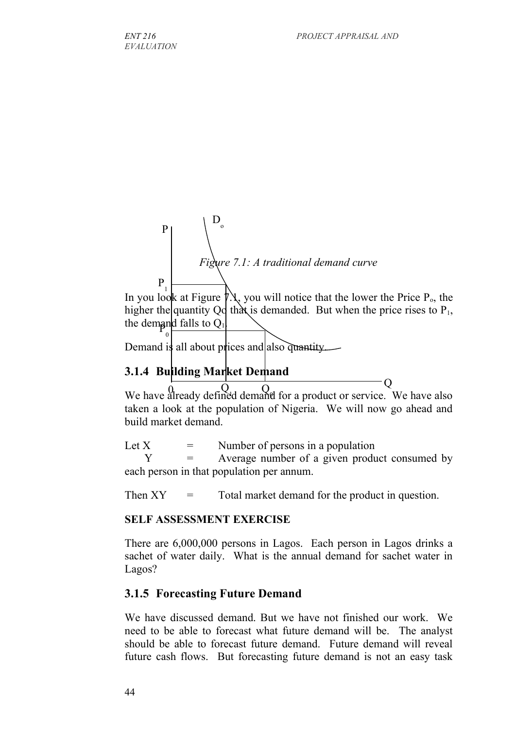

In you look at Figure  $\beta \lambda$ , you will notice that the lower the Price P<sub>o</sub>, the higher the quantity Qo that is demanded. But when the price rises to  $P_1$ , the demand falls to  $Q_1$ .

Demand is all about prices and also quantity.

## **3.1.4 Building Market Demand**

0

We have already defined demand for a product or service. We have also taken a look at the population of Nigeria. We will now go ahead and build market demand.  $\overline{\phantom{0}}$ 

Let  $X =$  Number of persons in a population

 Y = Average number of a given product consumed by each person in that population per annum.

Then  $XY =$  Total market demand for the product in question.

#### **SELF ASSESSMENT EXERCISE**

There are 6,000,000 persons in Lagos. Each person in Lagos drinks a sachet of water daily. What is the annual demand for sachet water in Lagos?

## **3.1.5 Forecasting Future Demand**

We have discussed demand. But we have not finished our work. We need to be able to forecast what future demand will be. The analyst should be able to forecast future demand. Future demand will reveal future cash flows. But forecasting future demand is not an easy task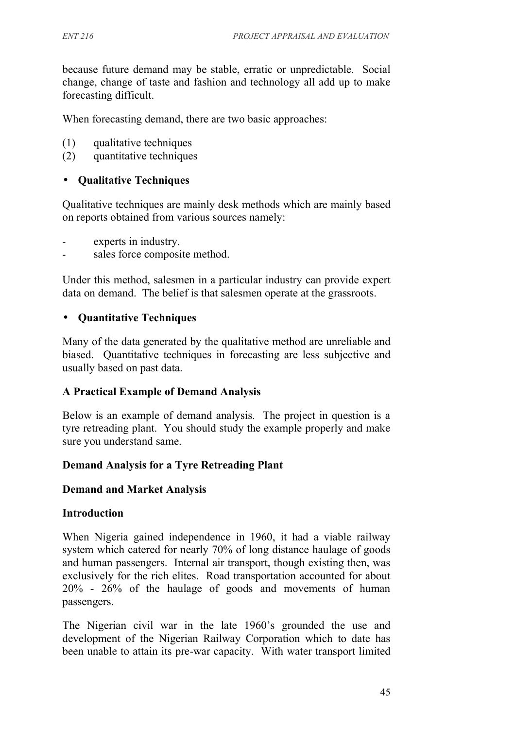because future demand may be stable, erratic or unpredictable. Social change, change of taste and fashion and technology all add up to make forecasting difficult.

When forecasting demand, there are two basic approaches:

- (1) qualitative techniques
- (2) quantitative techniques

### • **Qualitative Techniques**

Qualitative techniques are mainly desk methods which are mainly based on reports obtained from various sources namely:

- experts in industry.
- sales force composite method.

Under this method, salesmen in a particular industry can provide expert data on demand. The belief is that salesmen operate at the grassroots.

### • **Quantitative Techniques**

Many of the data generated by the qualitative method are unreliable and biased. Quantitative techniques in forecasting are less subjective and usually based on past data.

#### **A Practical Example of Demand Analysis**

Below is an example of demand analysis. The project in question is a tyre retreading plant. You should study the example properly and make sure you understand same.

## **Demand Analysis for a Tyre Retreading Plant**

#### **Demand and Market Analysis**

#### **Introduction**

When Nigeria gained independence in 1960, it had a viable railway system which catered for nearly 70% of long distance haulage of goods and human passengers. Internal air transport, though existing then, was exclusively for the rich elites. Road transportation accounted for about 20% - 26% of the haulage of goods and movements of human passengers.

The Nigerian civil war in the late 1960's grounded the use and development of the Nigerian Railway Corporation which to date has been unable to attain its pre-war capacity. With water transport limited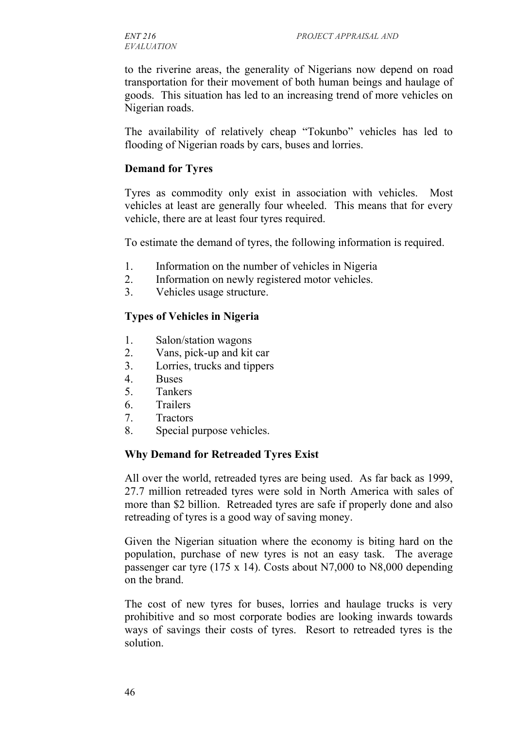to the riverine areas, the generality of Nigerians now depend on road transportation for their movement of both human beings and haulage of goods. This situation has led to an increasing trend of more vehicles on Nigerian roads.

The availability of relatively cheap "Tokunbo" vehicles has led to flooding of Nigerian roads by cars, buses and lorries.

#### **Demand for Tyres**

Tyres as commodity only exist in association with vehicles. Most vehicles at least are generally four wheeled. This means that for every vehicle, there are at least four tyres required.

To estimate the demand of tyres, the following information is required.

- 1. Information on the number of vehicles in Nigeria
- 2. Information on newly registered motor vehicles.
- 3. Vehicles usage structure.

#### **Types of Vehicles in Nigeria**

- 1. Salon/station wagons
- 2. Vans, pick-up and kit car
- 3. Lorries, trucks and tippers
- 4. Buses
- 5. Tankers
- 6. Trailers
- 7. Tractors
- 8. Special purpose vehicles.

#### **Why Demand for Retreaded Tyres Exist**

All over the world, retreaded tyres are being used. As far back as 1999, 27.7 million retreaded tyres were sold in North America with sales of more than \$2 billion. Retreaded tyres are safe if properly done and also retreading of tyres is a good way of saving money.

Given the Nigerian situation where the economy is biting hard on the population, purchase of new tyres is not an easy task. The average passenger car tyre (175 x 14). Costs about N7,000 to N8,000 depending on the brand.

The cost of new tyres for buses, lorries and haulage trucks is very prohibitive and so most corporate bodies are looking inwards towards ways of savings their costs of tyres. Resort to retreaded tyres is the solution.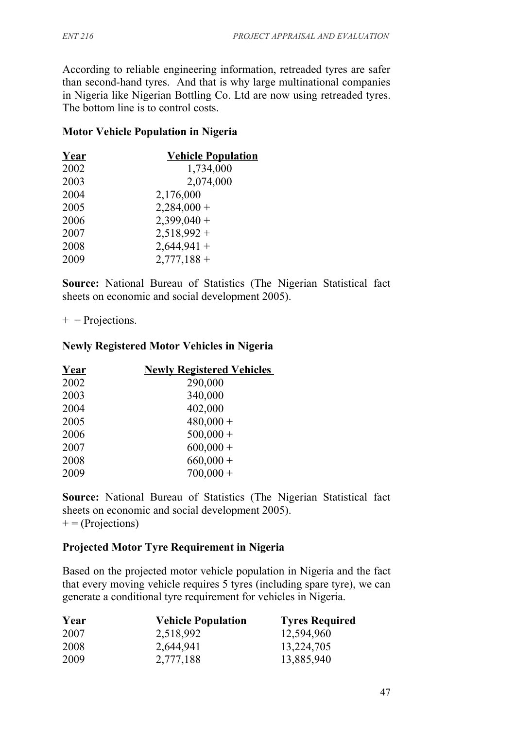According to reliable engineering information, retreaded tyres are safer than second-hand tyres. And that is why large multinational companies in Nigeria like Nigerian Bottling Co. Ltd are now using retreaded tyres. The bottom line is to control costs.

### **Motor Vehicle Population in Nigeria**

| 1,734,000<br>2002<br>2,074,000<br>2003<br>2004<br>2,176,000<br>$2,284,000+$<br>2005<br>$2,399,040+$<br>2006<br>$2,518,992+$<br>2007<br>$2,644,941 +$<br>2008<br>$2,777,188+$<br>2009 | Year | <b>Vehicle Population</b> |
|--------------------------------------------------------------------------------------------------------------------------------------------------------------------------------------|------|---------------------------|
|                                                                                                                                                                                      |      |                           |
|                                                                                                                                                                                      |      |                           |
|                                                                                                                                                                                      |      |                           |
|                                                                                                                                                                                      |      |                           |
|                                                                                                                                                                                      |      |                           |
|                                                                                                                                                                                      |      |                           |
|                                                                                                                                                                                      |      |                           |
|                                                                                                                                                                                      |      |                           |

**Source:** National Bureau of Statistics (The Nigerian Statistical fact sheets on economic and social development 2005).

 $+$  = Projections.

#### **Newly Registered Motor Vehicles in Nigeria**

| Year | <b>Newly Registered Vehicles</b> |
|------|----------------------------------|
| 2002 | 290,000                          |
| 2003 | 340,000                          |
| 2004 | 402,000                          |
| 2005 | $480,000 +$                      |
| 2006 | $500,000 +$                      |
| 2007 | $600,000 +$                      |
| 2008 | $660,000 +$                      |
| 2009 | $700,000 +$                      |

**Source:** National Bureau of Statistics (The Nigerian Statistical fact sheets on economic and social development 2005).  $+$  = (Projections)

#### **Projected Motor Tyre Requirement in Nigeria**

Based on the projected motor vehicle population in Nigeria and the fact that every moving vehicle requires 5 tyres (including spare tyre), we can generate a conditional tyre requirement for vehicles in Nigeria.

| Year | <b>Vehicle Population</b> | <b>Tyres Required</b> |
|------|---------------------------|-----------------------|
| 2007 | 2,518,992                 | 12,594,960            |
| 2008 | 2,644,941                 | 13,224,705            |
| 2009 | 2,777,188                 | 13,885,940            |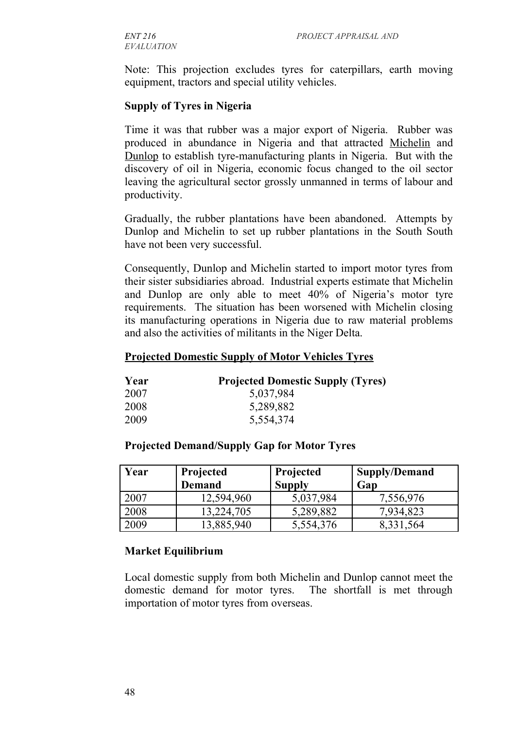*EVALUATION*

Note: This projection excludes tyres for caterpillars, earth moving equipment, tractors and special utility vehicles.

#### **Supply of Tyres in Nigeria**

Time it was that rubber was a major export of Nigeria. Rubber was produced in abundance in Nigeria and that attracted Michelin and Dunlop to establish tyre-manufacturing plants in Nigeria. But with the discovery of oil in Nigeria, economic focus changed to the oil sector leaving the agricultural sector grossly unmanned in terms of labour and productivity.

Gradually, the rubber plantations have been abandoned. Attempts by Dunlop and Michelin to set up rubber plantations in the South South have not been very successful.

Consequently, Dunlop and Michelin started to import motor tyres from their sister subsidiaries abroad. Industrial experts estimate that Michelin and Dunlop are only able to meet 40% of Nigeria's motor tyre requirements. The situation has been worsened with Michelin closing its manufacturing operations in Nigeria due to raw material problems and also the activities of militants in the Niger Delta.

#### **Projected Domestic Supply of Motor Vehicles Tyres**

| Year | <b>Projected Domestic Supply (Tyres)</b> |
|------|------------------------------------------|
| 2007 | 5,037,984                                |
| 2008 | 5,289,882                                |
| 2009 | 5,554,374                                |

#### **Projected Demand/Supply Gap for Motor Tyres**

| Year | Projected     | Projected     | Supply/Demand |
|------|---------------|---------------|---------------|
|      | <b>Demand</b> | <b>Supply</b> | Gap           |
| 2007 | 12,594,960    | 5,037,984     | 7,556,976     |
| 2008 | 13,224,705    | 5,289,882     | 7,934,823     |
| 2009 | 13,885,940    | 5,554,376     | 8,331,564     |

#### **Market Equilibrium**

Local domestic supply from both Michelin and Dunlop cannot meet the domestic demand for motor tyres. The shortfall is met through importation of motor tyres from overseas.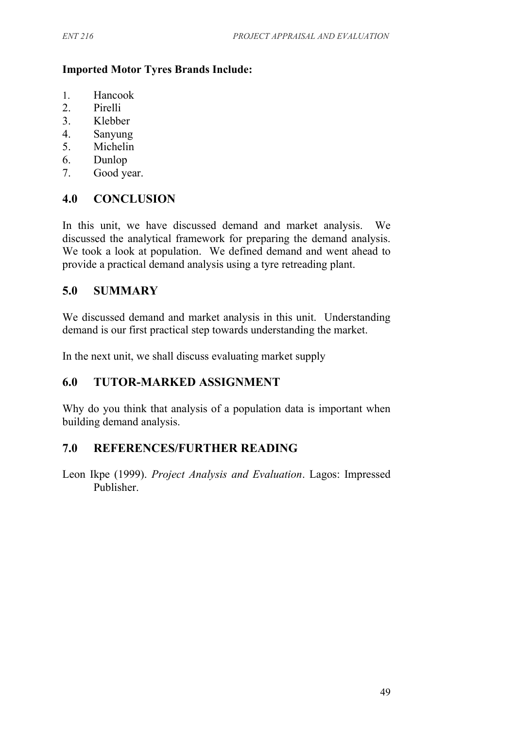#### **Imported Motor Tyres Brands Include:**

- 1. Hancook
- 2. Pirelli
- 3. Klebber
- 4. Sanyung
- 5. Michelin
- 6. Dunlop
- 7. Good year.

## **4.0 CONCLUSION**

In this unit, we have discussed demand and market analysis. We discussed the analytical framework for preparing the demand analysis. We took a look at population. We defined demand and went ahead to provide a practical demand analysis using a tyre retreading plant.

## **5.0 SUMMARY**

We discussed demand and market analysis in this unit. Understanding demand is our first practical step towards understanding the market.

In the next unit, we shall discuss evaluating market supply

## **6.0 TUTOR-MARKED ASSIGNMENT**

Why do you think that analysis of a population data is important when building demand analysis.

## **7.0 REFERENCES/FURTHER READING**

Leon Ikpe (1999). *Project Analysis and Evaluation*. Lagos: Impressed Publisher.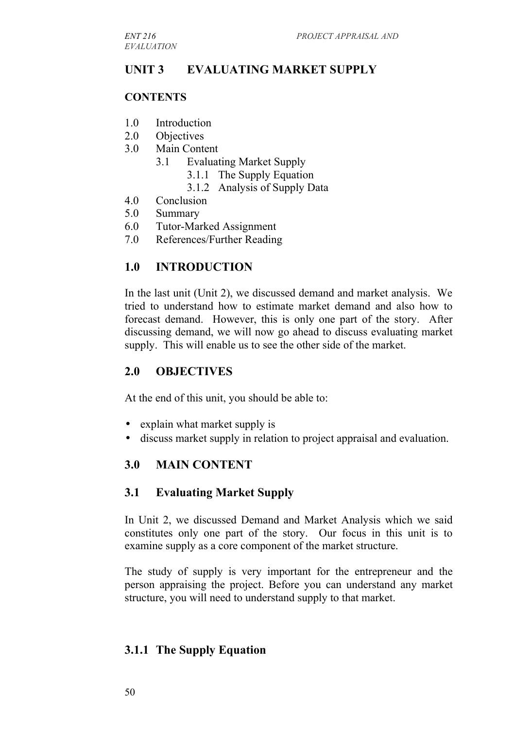## **UNIT 3 EVALUATING MARKET SUPPLY**

### **CONTENTS**

- 1.0 Introduction
- 2.0 Objectives
- 3.0 Main Content
	- 3.1 Evaluating Market Supply
		- 3.1.1 The Supply Equation
		- 3.1.2 Analysis of Supply Data
- 4.0 Conclusion
- 5.0 Summary
- 6.0 Tutor-Marked Assignment
- 7.0 References/Further Reading

## **1.0 INTRODUCTION**

In the last unit (Unit 2), we discussed demand and market analysis. We tried to understand how to estimate market demand and also how to forecast demand. However, this is only one part of the story. After discussing demand, we will now go ahead to discuss evaluating market supply. This will enable us to see the other side of the market.

#### **2.0 OBJECTIVES**

At the end of this unit, you should be able to:

- explain what market supply is
- discuss market supply in relation to project appraisal and evaluation.

## **3.0 MAIN CONTENT**

#### **3.1 Evaluating Market Supply**

In Unit 2, we discussed Demand and Market Analysis which we said constitutes only one part of the story. Our focus in this unit is to examine supply as a core component of the market structure.

The study of supply is very important for the entrepreneur and the person appraising the project. Before you can understand any market structure, you will need to understand supply to that market.

## **3.1.1 The Supply Equation**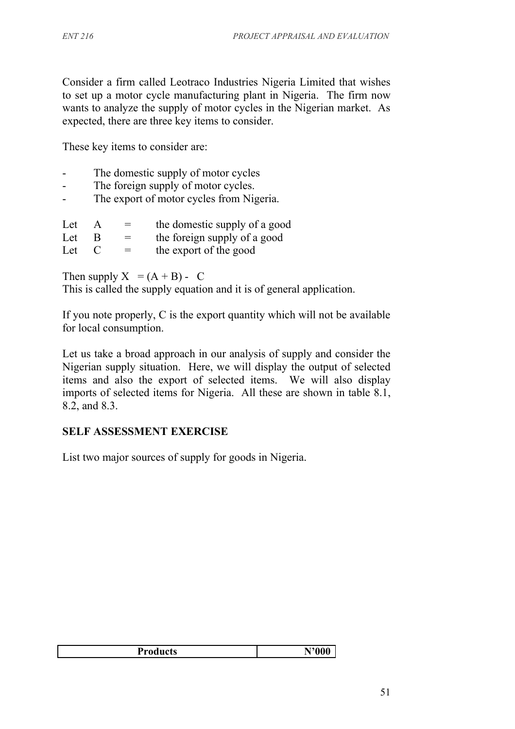Consider a firm called Leotraco Industries Nigeria Limited that wishes to set up a motor cycle manufacturing plant in Nigeria. The firm now wants to analyze the supply of motor cycles in the Nigerian market. As expected, there are three key items to consider.

These key items to consider are:

- The domestic supply of motor cycles
- The foreign supply of motor cycles.
- The export of motor cycles from Nigeria.

| Let | $=$ | the domestic supply of a good |
|-----|-----|-------------------------------|
| Let | $=$ | the foreign supply of a good  |
| Let | $=$ | the export of the good        |

Then supply  $X = (A + B) - C$ 

This is called the supply equation and it is of general application.

If you note properly, C is the export quantity which will not be available for local consumption.

Let us take a broad approach in our analysis of supply and consider the Nigerian supply situation. Here, we will display the output of selected items and also the export of selected items. We will also display imports of selected items for Nigeria. All these are shown in table 8.1, 8.2, and 8.3.

#### **SELF ASSESSMENT EXERCISE**

List two major sources of supply for goods in Nigeria.

| <b>Products</b> |
|-----------------|
|-----------------|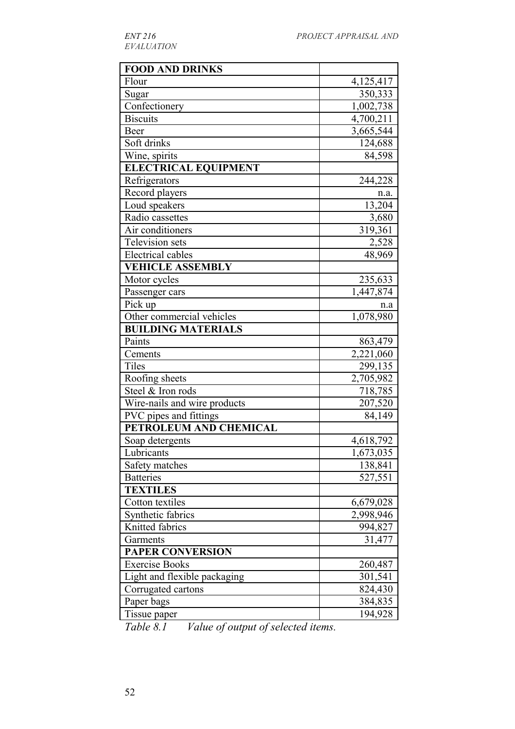| <b>FOOD AND DRINKS</b>       |           |
|------------------------------|-----------|
| Flour                        | 4,125,417 |
| Sugar                        | 350,333   |
| Confectionery                | 1,002,738 |
| <b>Biscuits</b>              | 4,700,211 |
| Beer                         | 3,665,544 |
| Soft drinks                  | 124,688   |
| Wine, spirits                | 84,598    |
| <b>ELECTRICAL EQUIPMENT</b>  |           |
| Refrigerators                | 244,228   |
| Record players               | n.a.      |
| Loud speakers                | 13,204    |
| Radio cassettes              | 3,680     |
| Air conditioners             | 319,361   |
| <b>Television sets</b>       | 2,528     |
| <b>Electrical cables</b>     | 48,969    |
| <b>VEHICLE ASSEMBLY</b>      |           |
| Motor cycles                 | 235,633   |
| Passenger cars               | 1,447,874 |
| Pick up                      | n.a       |
| Other commercial vehicles    | 1,078,980 |
| <b>BUILDING MATERIALS</b>    |           |
| Paints                       | 863,479   |
| Cements                      | 2,221,060 |
| <b>Tiles</b>                 | 299,135   |
| Roofing sheets               | 2,705,982 |
| Steel & Iron rods            | 718,785   |
| Wire-nails and wire products | 207,520   |
| PVC pipes and fittings       | 84,149    |
| PETROLEUM AND CHEMICAL       |           |
| Soap detergents              | 4,618,792 |
| Lubricants                   | 1,673,035 |
| Safety matches               | 138,841   |
| <b>Batteries</b>             | 527,551   |
| <b>TEXTILES</b>              |           |
| Cotton textiles              | 6,679,028 |
| Synthetic fabrics            | 2,998,946 |
| Knitted fabrics              | 994,827   |
| Garments                     | 31,477    |
| <b>PAPER CONVERSION</b>      |           |
| <b>Exercise Books</b>        | 260,487   |
| Light and flexible packaging | 301,541   |
| Corrugated cartons           | 824,430   |
| Paper bags                   | 384,835   |
| Tissue paper                 | 194,928   |

*Table 8.1 Value of output of selected items.*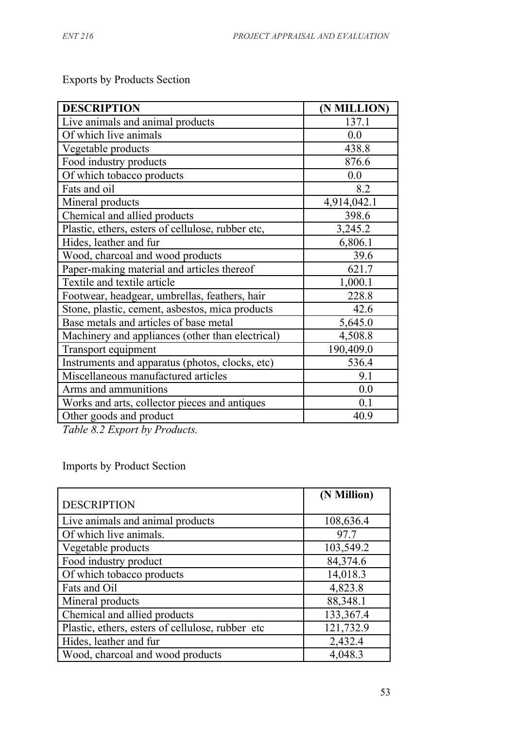| <b>DESCRIPTION</b>                                | (N MILLION) |
|---------------------------------------------------|-------------|
| Live animals and animal products                  | 137.1       |
| Of which live animals                             | 0.0         |
| Vegetable products                                | 438.8       |
| Food industry products                            | 876.6       |
| Of which tobacco products                         | 0.0         |
| Fats and oil                                      | 8.2         |
| Mineral products                                  | 4,914,042.1 |
| Chemical and allied products                      | 398.6       |
| Plastic, ethers, esters of cellulose, rubber etc, | 3,245.2     |
| Hides, leather and fur                            | 6,806.1     |
| Wood, charcoal and wood products                  | 39.6        |
| Paper-making material and articles thereof        | 621.7       |
| Textile and textile article                       | 1,000.1     |
| Footwear, headgear, umbrellas, feathers, hair     | 228.8       |
| Stone, plastic, cement, asbestos, mica products   | 42.6        |
| Base metals and articles of base metal            | 5,645.0     |
| Machinery and appliances (other than electrical)  | 4,508.8     |
| Transport equipment                               | 190,409.0   |
| Instruments and apparatus (photos, clocks, etc)   | 536.4       |
| Miscellaneous manufactured articles               | 9.1         |
| Arms and ammunitions                              | 0.0         |
| Works and arts, collector pieces and antiques     | 0.1         |
| Other goods and product                           | 40.9        |
| T1100T11                                          |             |

Exports by Products Section

*Table 8.2 Export by Products.*

# Imports by Product Section

|                                                  | (N Million) |
|--------------------------------------------------|-------------|
| <b>DESCRIPTION</b>                               |             |
| Live animals and animal products                 | 108,636.4   |
| Of which live animals.                           | 97.7        |
| Vegetable products                               | 103,549.2   |
| Food industry product                            | 84,374.6    |
| Of which tobacco products                        | 14,018.3    |
| Fats and Oil                                     | 4,823.8     |
| Mineral products                                 | 88,348.1    |
| Chemical and allied products                     | 133,367.4   |
| Plastic, ethers, esters of cellulose, rubber etc | 121,732.9   |
| Hides, leather and fur                           | 2,432.4     |
| Wood, charcoal and wood products                 | 4,048.3     |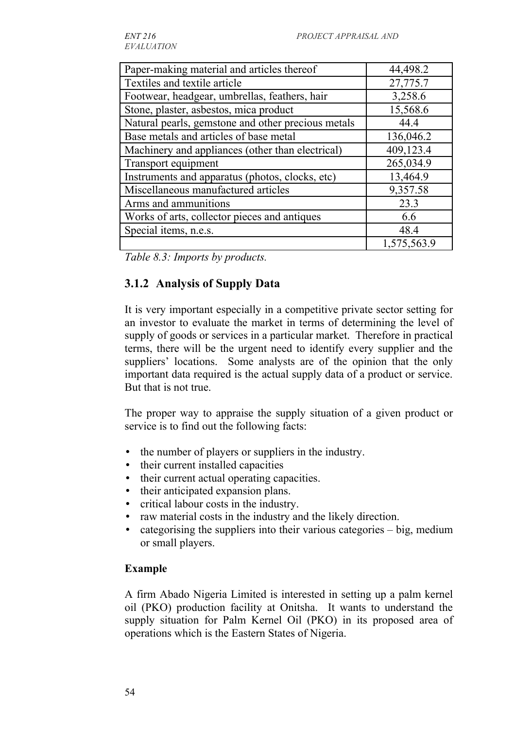*EVALUATION*

| Paper-making material and articles thereof         | 44,498.2    |
|----------------------------------------------------|-------------|
| Textiles and textile article                       | 27,775.7    |
| Footwear, headgear, umbrellas, feathers, hair      | 3,258.6     |
| Stone, plaster, asbestos, mica product             | 15,568.6    |
| Natural pearls, gemstone and other precious metals | 44.4        |
| Base metals and articles of base metal             | 136,046.2   |
| Machinery and appliances (other than electrical)   | 409,123.4   |
| Transport equipment                                | 265,034.9   |
| Instruments and apparatus (photos, clocks, etc)    | 13,464.9    |
| Miscellaneous manufactured articles                | 9,357.58    |
| Arms and ammunitions                               | 23.3        |
| Works of arts, collector pieces and antiques       | 6.6         |
| Special items, n.e.s.                              | 48.4        |
|                                                    | 1,575,563.9 |

*Table 8.3: Imports by products.*

## **3.1.2 Analysis of Supply Data**

It is very important especially in a competitive private sector setting for an investor to evaluate the market in terms of determining the level of supply of goods or services in a particular market. Therefore in practical terms, there will be the urgent need to identify every supplier and the suppliers' locations. Some analysts are of the opinion that the only important data required is the actual supply data of a product or service. But that is not true.

The proper way to appraise the supply situation of a given product or service is to find out the following facts:

- the number of players or suppliers in the industry.
- their current installed capacities
- their current actual operating capacities.
- their anticipated expansion plans.
- critical labour costs in the industry.
- raw material costs in the industry and the likely direction.
- categorising the suppliers into their various categories big, medium or small players.

## **Example**

A firm Abado Nigeria Limited is interested in setting up a palm kernel oil (PKO) production facility at Onitsha. It wants to understand the supply situation for Palm Kernel Oil (PKO) in its proposed area of operations which is the Eastern States of Nigeria.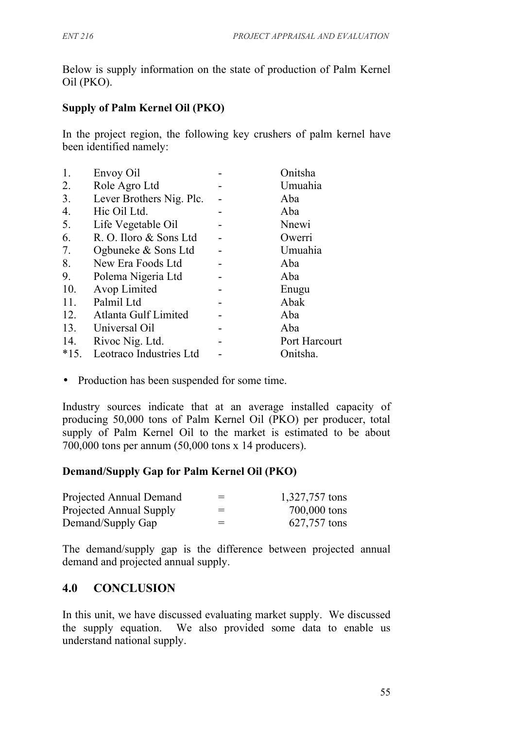Below is supply information on the state of production of Palm Kernel Oil (PKO).

## **Supply of Palm Kernel Oil (PKO)**

In the project region, the following key crushers of palm kernel have been identified namely:

| 1.     | Envoy Oil                | Onitsha       |
|--------|--------------------------|---------------|
| 2.     | Role Agro Ltd            | Umuahia       |
| 3.     | Lever Brothers Nig. Plc. | Aba           |
| 4.     | Hic Oil Ltd.             | Aba           |
| 5.     | Life Vegetable Oil       | Nnewi         |
| 6.     | R. O. Iloro & Sons Ltd   | Owerri        |
| 7.     | Ogbuneke & Sons Ltd      | Umuahia       |
| 8.     | New Era Foods Ltd        | Aba           |
| 9.     | Polema Nigeria Ltd       | Aba           |
| 10.    | Avop Limited             | Enugu         |
| 11.    | Palmil Ltd               | Abak          |
| 12.    | Atlanta Gulf Limited     | Aba           |
| 13.    | Universal Oil            | Aba           |
| 14.    | Rivoc Nig. Ltd.          | Port Harcourt |
| $*15.$ | Leotraco Industries Ltd  | Onitsha.      |
|        |                          |               |

• Production has been suspended for some time.

Industry sources indicate that at an average installed capacity of producing 50,000 tons of Palm Kernel Oil (PKO) per producer, total supply of Palm Kernel Oil to the market is estimated to be about 700,000 tons per annum (50,000 tons x 14 producers).

## **Demand/Supply Gap for Palm Kernel Oil (PKO)**

| Projected Annual Demand | $=$ | 1,327,757 tons |
|-------------------------|-----|----------------|
| Projected Annual Supply | $=$ | 700,000 tons   |
| Demand/Supply Gap       | $=$ | 627,757 tons   |

The demand/supply gap is the difference between projected annual demand and projected annual supply.

## **4.0 CONCLUSION**

In this unit, we have discussed evaluating market supply. We discussed the supply equation. We also provided some data to enable us understand national supply.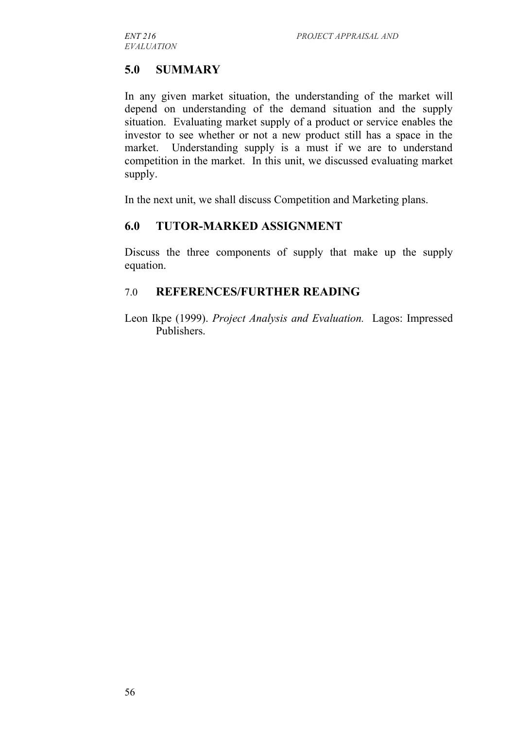## **5.0 SUMMARY**

In any given market situation, the understanding of the market will depend on understanding of the demand situation and the supply situation. Evaluating market supply of a product or service enables the investor to see whether or not a new product still has a space in the market. Understanding supply is a must if we are to understand competition in the market. In this unit, we discussed evaluating market supply.

In the next unit, we shall discuss Competition and Marketing plans.

## **6.0 TUTOR-MARKED ASSIGNMENT**

Discuss the three components of supply that make up the supply equation.

### 7.0 **REFERENCES/FURTHER READING**

Leon Ikpe (1999). *Project Analysis and Evaluation.* Lagos: Impressed Publishers.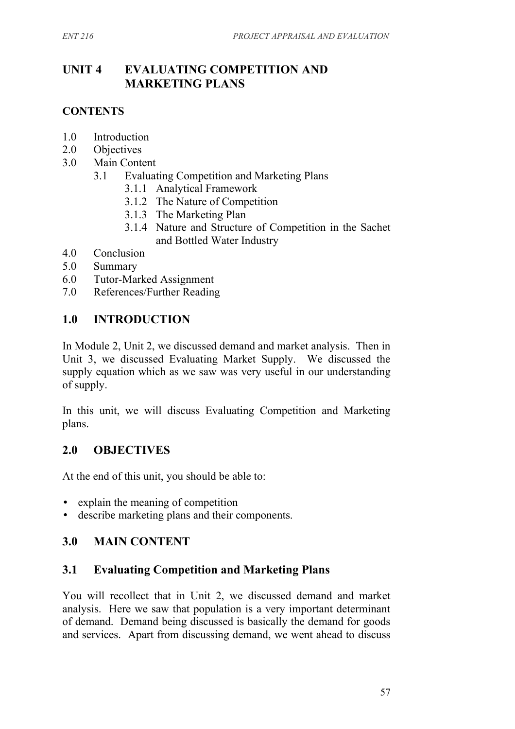## **UNIT 4 EVALUATING COMPETITION AND MARKETING PLANS**

### **CONTENTS**

- 1.0 Introduction
- 2.0 Objectives
- 3.0 Main Content
	- 3.1 Evaluating Competition and Marketing Plans
		- 3.1.1 Analytical Framework
		- 3.1.2 The Nature of Competition
		- 3.1.3 The Marketing Plan
		- 3.1.4 Nature and Structure of Competition in the Sachet and Bottled Water Industry
- 4.0 Conclusion
- 5.0 Summary
- 6.0 Tutor-Marked Assignment
- 7.0 References/Further Reading

## **1.0 INTRODUCTION**

In Module 2, Unit 2, we discussed demand and market analysis. Then in Unit 3, we discussed Evaluating Market Supply. We discussed the supply equation which as we saw was very useful in our understanding of supply.

In this unit, we will discuss Evaluating Competition and Marketing plans.

## **2.0 OBJECTIVES**

At the end of this unit, you should be able to:

- explain the meaning of competition
- describe marketing plans and their components.

## **3.0 MAIN CONTENT**

## **3.1 Evaluating Competition and Marketing Plans**

You will recollect that in Unit 2, we discussed demand and market analysis. Here we saw that population is a very important determinant of demand. Demand being discussed is basically the demand for goods and services. Apart from discussing demand, we went ahead to discuss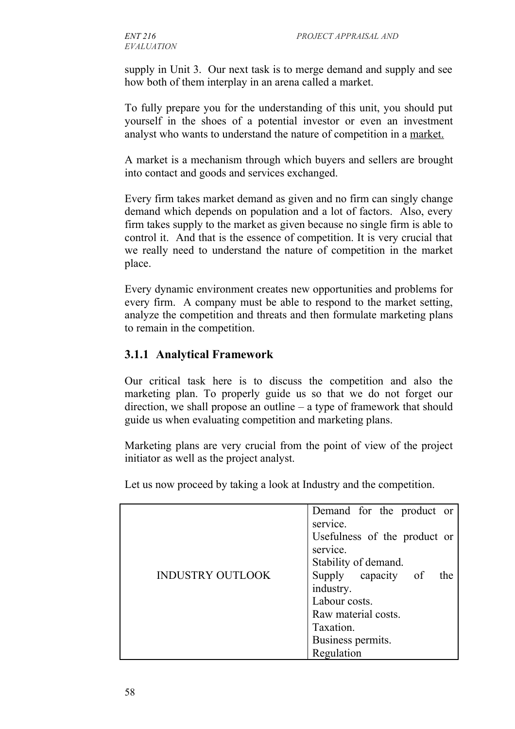supply in Unit 3. Our next task is to merge demand and supply and see how both of them interplay in an arena called a market.

To fully prepare you for the understanding of this unit, you should put yourself in the shoes of a potential investor or even an investment analyst who wants to understand the nature of competition in a market.

A market is a mechanism through which buyers and sellers are brought into contact and goods and services exchanged.

Every firm takes market demand as given and no firm can singly change demand which depends on population and a lot of factors. Also, every firm takes supply to the market as given because no single firm is able to control it. And that is the essence of competition. It is very crucial that we really need to understand the nature of competition in the market place.

Every dynamic environment creates new opportunities and problems for every firm. A company must be able to respond to the market setting, analyze the competition and threats and then formulate marketing plans to remain in the competition.

## **3.1.1 Analytical Framework**

Our critical task here is to discuss the competition and also the marketing plan. To properly guide us so that we do not forget our direction, we shall propose an outline – a type of framework that should guide us when evaluating competition and marketing plans.

Marketing plans are very crucial from the point of view of the project initiator as well as the project analyst.

Let us now proceed by taking a look at Industry and the competition.

|                         | Demand for the product or    |
|-------------------------|------------------------------|
|                         | service.                     |
|                         | Usefulness of the product or |
|                         | service.                     |
|                         | Stability of demand.         |
| <b>INDUSTRY OUTLOOK</b> | Supply capacity of<br>the t  |
|                         | industry.                    |
|                         | Labour costs.                |
|                         | Raw material costs.          |
|                         | Taxation.                    |
|                         | Business permits.            |
|                         | Regulation                   |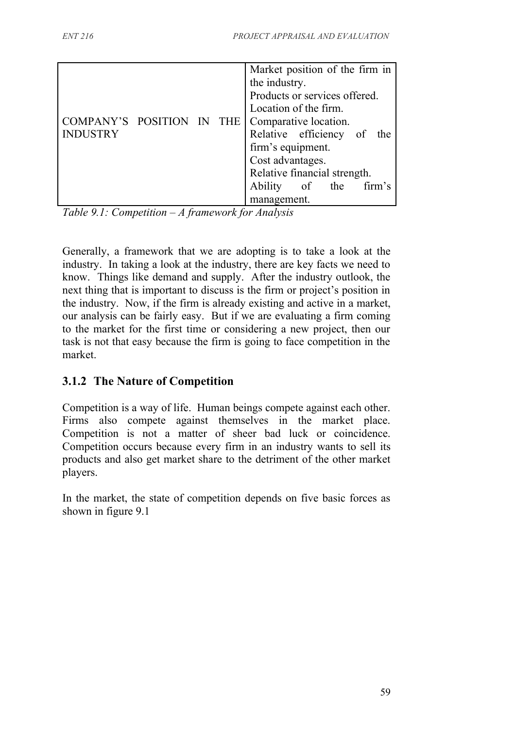|                           |  | Market position of the firm in |
|---------------------------|--|--------------------------------|
|                           |  | the industry.                  |
|                           |  | Products or services offered.  |
|                           |  | Location of the firm.          |
| COMPANY'S POSITION IN THE |  | Comparative location.          |
| <b>INDUSTRY</b>           |  | Relative efficiency of the     |
|                           |  | firm's equipment.              |
|                           |  | Cost advantages.               |
|                           |  | Relative financial strength.   |
|                           |  | Ability of the firm's          |
|                           |  | management.                    |

*Table 9.1: Competition – A framework for Analysis*

Generally, a framework that we are adopting is to take a look at the industry. In taking a look at the industry, there are key facts we need to know. Things like demand and supply. After the industry outlook, the next thing that is important to discuss is the firm or project's position in the industry. Now, if the firm is already existing and active in a market, our analysis can be fairly easy. But if we are evaluating a firm coming to the market for the first time or considering a new project, then our task is not that easy because the firm is going to face competition in the market.

## **3.1.2 The Nature of Competition**

Competition is a way of life. Human beings compete against each other. Firms also compete against themselves in the market place. Competition is not a matter of sheer bad luck or coincidence. Competition occurs because every firm in an industry wants to sell its products and also get market share to the detriment of the other market players.

In the market, the state of competition depends on five basic forces as shown in figure 9.1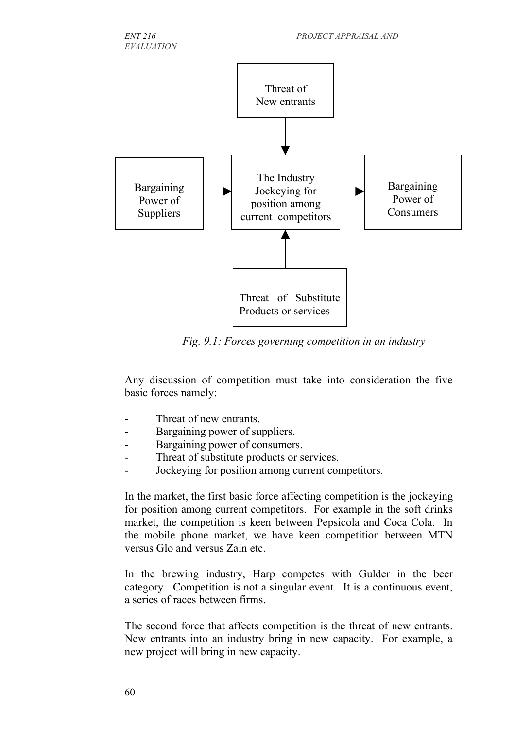



*Fig. 9.1: Forces governing competition in an industry*

Any discussion of competition must take into consideration the five basic forces namely:

- Threat of new entrants.
- Bargaining power of suppliers.
- Bargaining power of consumers.
- Threat of substitute products or services.
- Jockeying for position among current competitors.

In the market, the first basic force affecting competition is the jockeying for position among current competitors. For example in the soft drinks market, the competition is keen between Pepsicola and Coca Cola. In the mobile phone market, we have keen competition between MTN versus Glo and versus Zain etc.

In the brewing industry, Harp competes with Gulder in the beer category. Competition is not a singular event. It is a continuous event, a series of races between firms.

The second force that affects competition is the threat of new entrants. New entrants into an industry bring in new capacity. For example, a new project will bring in new capacity.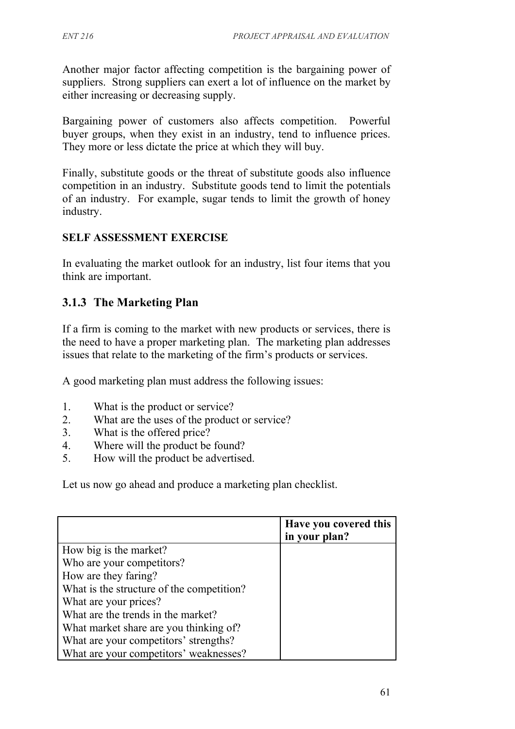Another major factor affecting competition is the bargaining power of suppliers. Strong suppliers can exert a lot of influence on the market by either increasing or decreasing supply.

Bargaining power of customers also affects competition. Powerful buyer groups, when they exist in an industry, tend to influence prices. They more or less dictate the price at which they will buy.

Finally, substitute goods or the threat of substitute goods also influence competition in an industry. Substitute goods tend to limit the potentials of an industry. For example, sugar tends to limit the growth of honey industry.

## **SELF ASSESSMENT EXERCISE**

In evaluating the market outlook for an industry, list four items that you think are important.

## **3.1.3 The Marketing Plan**

If a firm is coming to the market with new products or services, there is the need to have a proper marketing plan. The marketing plan addresses issues that relate to the marketing of the firm's products or services.

A good marketing plan must address the following issues:

- 1. What is the product or service?
- 2. What are the uses of the product or service?
- 3. What is the offered price?
- 4. Where will the product be found?
- 5. How will the product be advertised.

Let us now go ahead and produce a marketing plan checklist.

|                                           | Have you covered this<br>in your plan? |
|-------------------------------------------|----------------------------------------|
| How big is the market?                    |                                        |
| Who are your competitors?                 |                                        |
| How are they faring?                      |                                        |
| What is the structure of the competition? |                                        |
| What are your prices?                     |                                        |
| What are the trends in the market?        |                                        |
| What market share are you thinking of?    |                                        |
| What are your competitors' strengths?     |                                        |
| What are your competitors' weaknesses?    |                                        |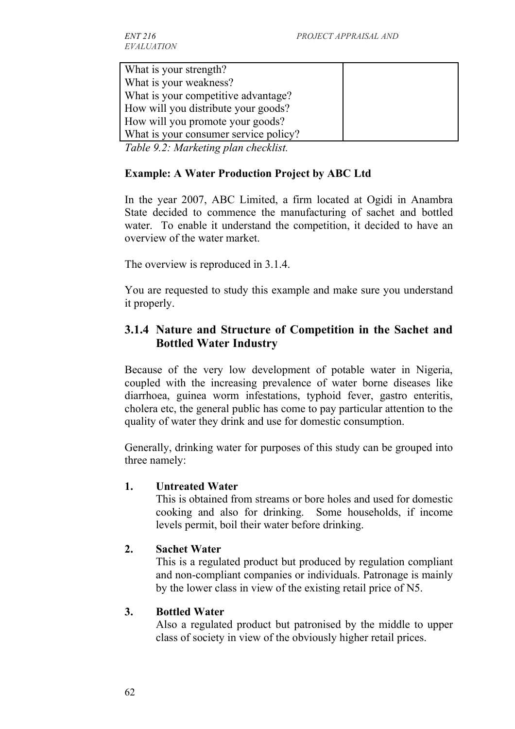What is your strength? What is your weakness? What is your competitive advantage? How will you distribute your goods? How will you promote your goods? What is your consumer service policy?

*Table 9.2: Marketing plan checklist.*

#### **Example: A Water Production Project by ABC Ltd**

In the year 2007, ABC Limited, a firm located at Ogidi in Anambra State decided to commence the manufacturing of sachet and bottled water. To enable it understand the competition, it decided to have an overview of the water market.

The overview is reproduced in 3.1.4.

You are requested to study this example and make sure you understand it properly.

## **3.1.4 Nature and Structure of Competition in the Sachet and Bottled Water Industry**

Because of the very low development of potable water in Nigeria, coupled with the increasing prevalence of water borne diseases like diarrhoea, guinea worm infestations, typhoid fever, gastro enteritis, cholera etc, the general public has come to pay particular attention to the quality of water they drink and use for domestic consumption.

Generally, drinking water for purposes of this study can be grouped into three namely:

#### **1. Untreated Water**

This is obtained from streams or bore holes and used for domestic cooking and also for drinking. Some households, if income levels permit, boil their water before drinking.

#### **2. Sachet Water**

This is a regulated product but produced by regulation compliant and non-compliant companies or individuals. Patronage is mainly by the lower class in view of the existing retail price of N5.

#### **3. Bottled Water**

Also a regulated product but patronised by the middle to upper class of society in view of the obviously higher retail prices.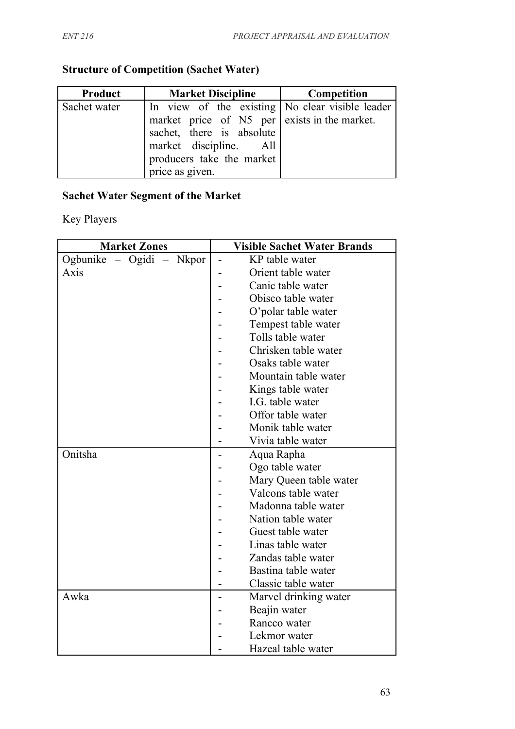# **Structure of Competition (Sachet Water)**

| Product      | <b>Market Discipline</b>                                                                                                                                                                               | <b>Competition</b> |
|--------------|--------------------------------------------------------------------------------------------------------------------------------------------------------------------------------------------------------|--------------------|
| Sachet water | In view of the existing No clear visible leader<br>market price of N5 per exists in the market.<br>sachet, there is absolute<br>market discipline. All<br>producers take the market<br>price as given. |                    |

# **Sachet Water Segment of the Market**

Key Players

| <b>Market Zones</b>      | <b>Visible Sachet Water Brands</b> |
|--------------------------|------------------------------------|
| Ogbunike - Ogidi - Nkpor | KP table water                     |
| Axis                     | Orient table water                 |
|                          | Canic table water                  |
|                          | Obisco table water                 |
|                          | O'polar table water                |
|                          | Tempest table water                |
|                          | Tolls table water                  |
|                          | Chrisken table water               |
|                          | Osaks table water                  |
|                          | Mountain table water               |
|                          | Kings table water                  |
|                          | I.G. table water                   |
|                          | Offor table water                  |
|                          | Monik table water                  |
|                          | Vivia table water                  |
| Onitsha                  | Aqua Rapha                         |
|                          | Ogo table water                    |
|                          | Mary Queen table water             |
|                          | Valcons table water                |
|                          | Madonna table water                |
|                          | Nation table water                 |
|                          | Guest table water                  |
|                          | Linas table water                  |
|                          | Zandas table water                 |
|                          | Bastina table water                |
|                          | Classic table water                |
| Awka                     | Marvel drinking water              |
|                          | Beajin water                       |
|                          | Rancco water                       |
|                          | Lekmor water                       |
|                          | Hazeal table water                 |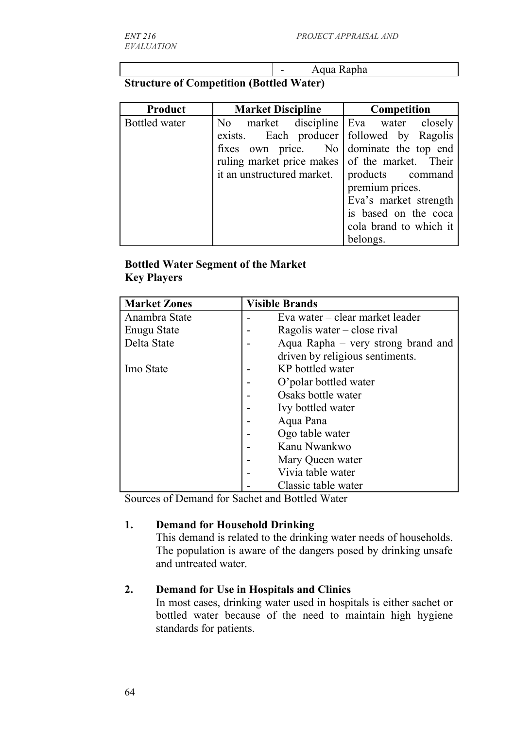- Aqua Rapha

## **Structure of Competition (Bottled Water)**

| <b>Product</b> | <b>Market Discipline</b>                       | Competition            |
|----------------|------------------------------------------------|------------------------|
| Bottled water  | No market discipline Eva water closely         |                        |
|                | exists. Each producer followed by Ragolis      |                        |
|                | fixes own price. No dominate the top end       |                        |
|                | ruling market price makes of the market. Their |                        |
|                | it an unstructured market.                     | products command       |
|                |                                                | premium prices.        |
|                |                                                | Eva's market strength  |
|                |                                                | is based on the coca   |
|                |                                                | cola brand to which it |
|                |                                                | belongs.               |

### **Bottled Water Segment of the Market Key Players**

| <b>Market Zones</b> | <b>Visible Brands</b>              |
|---------------------|------------------------------------|
| Anambra State       | Eva water – clear market leader    |
| <b>Enugu State</b>  | Ragolis water – close rival        |
| Delta State         | Aqua Rapha – very strong brand and |
|                     | driven by religious sentiments.    |
| Imo State           | KP bottled water                   |
|                     | O'polar bottled water              |
|                     | Osaks bottle water                 |
|                     | Ivy bottled water                  |
|                     | Aqua Pana                          |
|                     | Ogo table water                    |
|                     | Kanu Nwankwo                       |
|                     | Mary Queen water                   |
|                     | Vivia table water                  |
|                     | Classic table water                |

Sources of Demand for Sachet and Bottled Water

#### **1. Demand for Household Drinking**

This demand is related to the drinking water needs of households. The population is aware of the dangers posed by drinking unsafe and untreated water.

#### **2. Demand for Use in Hospitals and Clinics**

In most cases, drinking water used in hospitals is either sachet or bottled water because of the need to maintain high hygiene standards for patients.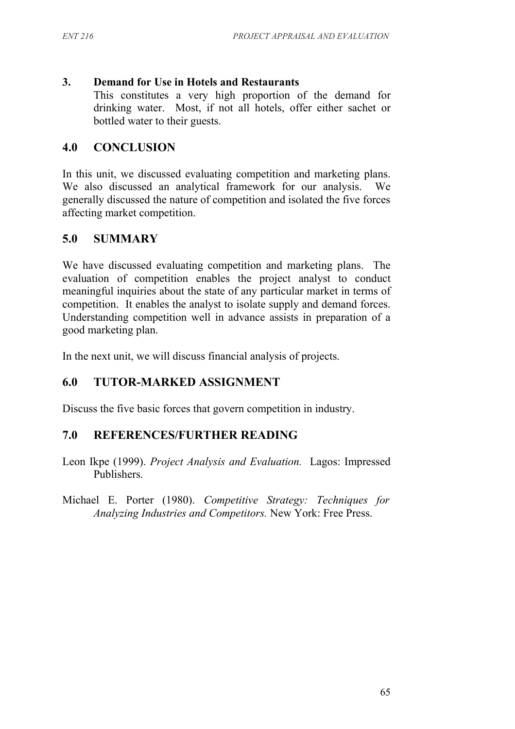#### **3. Demand for Use in Hotels and Restaurants**

This constitutes a very high proportion of the demand for drinking water. Most, if not all hotels, offer either sachet or bottled water to their guests.

## **4.0 CONCLUSION**

In this unit, we discussed evaluating competition and marketing plans. We also discussed an analytical framework for our analysis. We generally discussed the nature of competition and isolated the five forces affecting market competition.

## **5.0 SUMMARY**

We have discussed evaluating competition and marketing plans. The evaluation of competition enables the project analyst to conduct meaningful inquiries about the state of any particular market in terms of competition. It enables the analyst to isolate supply and demand forces. Understanding competition well in advance assists in preparation of a good marketing plan.

In the next unit, we will discuss financial analysis of projects.

## **6.0 TUTOR-MARKED ASSIGNMENT**

Discuss the five basic forces that govern competition in industry.

## **7.0 REFERENCES/FURTHER READING**

- Leon Ikpe (1999). *Project Analysis and Evaluation.* Lagos: Impressed Publishers.
- Michael E. Porter (1980). *Competitive Strategy: Techniques for Analyzing Industries and Competitors.* New York: Free Press.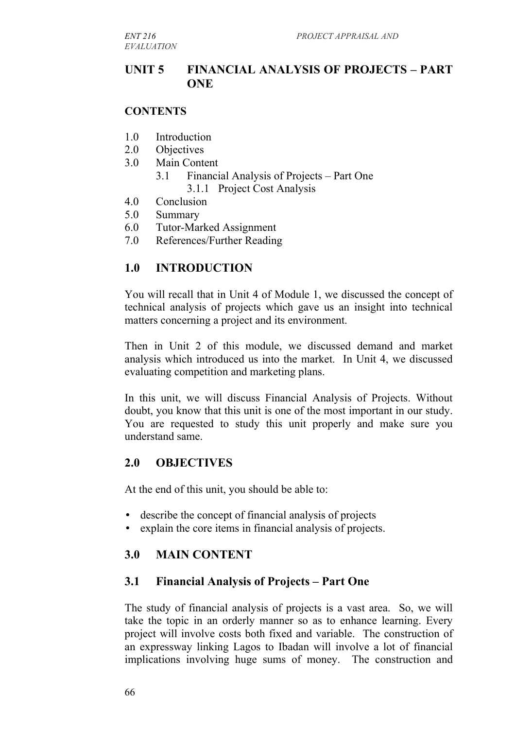*EVALUATION*

#### **UNIT 5 FINANCIAL ANALYSIS OF PROJECTS – PART ONE**

#### **CONTENTS**

- 1.0 Introduction
- 2.0 Objectives
- 3.0 Main Content
	- 3.1 Financial Analysis of Projects Part One 3.1.1 Project Cost Analysis
- 4.0 Conclusion
- 5.0 Summary
- 6.0 Tutor-Marked Assignment
- 7.0 References/Further Reading

#### **1.0 INTRODUCTION**

You will recall that in Unit 4 of Module 1, we discussed the concept of technical analysis of projects which gave us an insight into technical matters concerning a project and its environment.

Then in Unit 2 of this module, we discussed demand and market analysis which introduced us into the market. In Unit 4, we discussed evaluating competition and marketing plans.

In this unit, we will discuss Financial Analysis of Projects. Without doubt, you know that this unit is one of the most important in our study. You are requested to study this unit properly and make sure you understand same.

#### **2.0 OBJECTIVES**

At the end of this unit, you should be able to:

- describe the concept of financial analysis of projects
- explain the core items in financial analysis of projects.

## **3.0 MAIN CONTENT**

#### **3.1 Financial Analysis of Projects – Part One**

The study of financial analysis of projects is a vast area. So, we will take the topic in an orderly manner so as to enhance learning. Every project will involve costs both fixed and variable. The construction of an expressway linking Lagos to Ibadan will involve a lot of financial implications involving huge sums of money. The construction and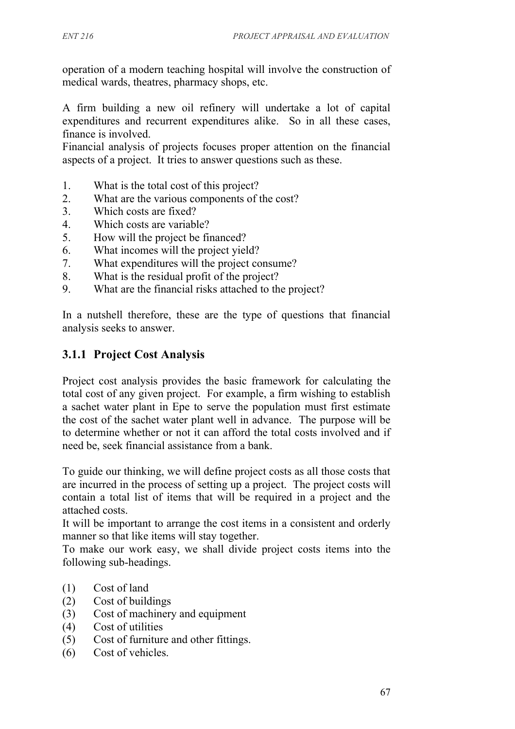operation of a modern teaching hospital will involve the construction of medical wards, theatres, pharmacy shops, etc.

A firm building a new oil refinery will undertake a lot of capital expenditures and recurrent expenditures alike. So in all these cases, finance is involved.

Financial analysis of projects focuses proper attention on the financial aspects of a project. It tries to answer questions such as these.

- 1. What is the total cost of this project?
- 2. What are the various components of the cost?
- 3. Which costs are fixed?
- 4. Which costs are variable?
- 5. How will the project be financed?
- 6. What incomes will the project yield?
- 7. What expenditures will the project consume?
- 8. What is the residual profit of the project?
- 9. What are the financial risks attached to the project?

In a nutshell therefore, these are the type of questions that financial analysis seeks to answer.

## **3.1.1 Project Cost Analysis**

Project cost analysis provides the basic framework for calculating the total cost of any given project. For example, a firm wishing to establish a sachet water plant in Epe to serve the population must first estimate the cost of the sachet water plant well in advance. The purpose will be to determine whether or not it can afford the total costs involved and if need be, seek financial assistance from a bank.

To guide our thinking, we will define project costs as all those costs that are incurred in the process of setting up a project. The project costs will contain a total list of items that will be required in a project and the attached costs.

It will be important to arrange the cost items in a consistent and orderly manner so that like items will stay together.

To make our work easy, we shall divide project costs items into the following sub-headings.

- (1) Cost of land
- (2) Cost of buildings
- (3) Cost of machinery and equipment
- (4) Cost of utilities
- (5) Cost of furniture and other fittings.
- (6) Cost of vehicles.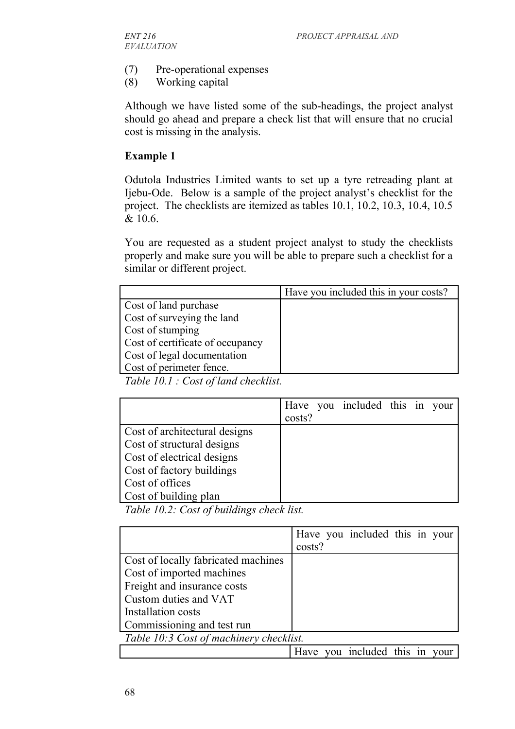- (7) Pre-operational expenses
- (8) Working capital

Although we have listed some of the sub-headings, the project analyst should go ahead and prepare a check list that will ensure that no crucial cost is missing in the analysis.

#### **Example 1**

Odutola Industries Limited wants to set up a tyre retreading plant at Ijebu-Ode. Below is a sample of the project analyst's checklist for the project. The checklists are itemized as tables 10.1, 10.2, 10.3, 10.4, 10.5 & 10.6.

You are requested as a student project analyst to study the checklists properly and make sure you will be able to prepare such a checklist for a similar or different project.

|                                                                                    | Have you included this in your costs? |
|------------------------------------------------------------------------------------|---------------------------------------|
| Cost of land purchase                                                              |                                       |
| Cost of surveying the land                                                         |                                       |
| Cost of stumping                                                                   |                                       |
| Cost of certificate of occupancy                                                   |                                       |
| Cost of legal documentation                                                        |                                       |
| Cost of perimeter fence.                                                           |                                       |
| $\pi$ ii io i $\alpha$ is $\alpha$ ii ii<br>$\mathbf{1}$ $\mathbf{1}$ $\mathbf{1}$ |                                       |

*Table 10.1 : Cost of land checklist.*

|                               |        | Have you included this in your |  |  |
|-------------------------------|--------|--------------------------------|--|--|
|                               | costs? |                                |  |  |
| Cost of architectural designs |        |                                |  |  |
| Cost of structural designs    |        |                                |  |  |
| Cost of electrical designs    |        |                                |  |  |
| Cost of factory buildings     |        |                                |  |  |
| Cost of offices               |        |                                |  |  |
| Cost of building plan         |        |                                |  |  |

*Table 10.2: Cost of buildings check list.*

|                                         |        | Have you included this in your |  |  |
|-----------------------------------------|--------|--------------------------------|--|--|
|                                         | costs? |                                |  |  |
| Cost of locally fabricated machines     |        |                                |  |  |
| Cost of imported machines               |        |                                |  |  |
| Freight and insurance costs             |        |                                |  |  |
| Custom duties and VAT                   |        |                                |  |  |
| Installation costs                      |        |                                |  |  |
| Commissioning and test run              |        |                                |  |  |
| Table 10:3 Cost of machinery checklist. |        |                                |  |  |
|                                         |        | Have you included this in your |  |  |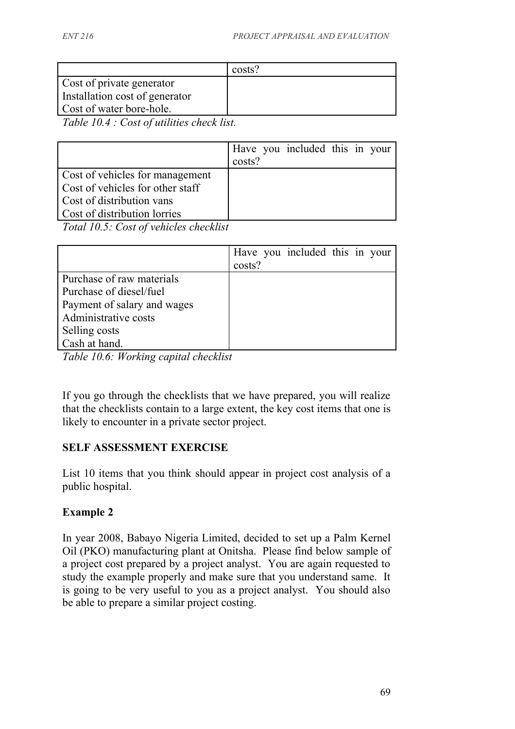|                                                                                                | costs? |
|------------------------------------------------------------------------------------------------|--------|
| Cost of private generator                                                                      |        |
| Installation cost of generator                                                                 |        |
| Cost of water bore-hole.                                                                       |        |
| $T$ 11 10 $\leftarrow$ $T$ $\leftarrow$ $T$ $\cdots$<br>$\mathbf{1}$ $\mathbf{1}$ $\mathbf{1}$ |        |

*Table 10.4 : Cost of utilities check list.*

|                                  |        | Have you included this in your |  |  |
|----------------------------------|--------|--------------------------------|--|--|
|                                  | costs? |                                |  |  |
| Cost of vehicles for management  |        |                                |  |  |
| Cost of vehicles for other staff |        |                                |  |  |
| Cost of distribution vans        |        |                                |  |  |
| Cost of distribution lorries     |        |                                |  |  |
| .                                |        |                                |  |  |

*Total 10.5: Cost of vehicles checklist*

|                             | costs? | Have you included this in your |  |  |
|-----------------------------|--------|--------------------------------|--|--|
| Purchase of raw materials   |        |                                |  |  |
| Purchase of diesel/fuel     |        |                                |  |  |
| Payment of salary and wages |        |                                |  |  |
| Administrative costs        |        |                                |  |  |
| Selling costs               |        |                                |  |  |
| Cash at hand.               |        |                                |  |  |

*Table 10.6: Working capital checklist*

If you go through the checklists that we have prepared, you will realize that the checklists contain to a large extent, the key cost items that one is likely to encounter in a private sector project.

#### **SELF ASSESSMENT EXERCISE**

List 10 items that you think should appear in project cost analysis of a public hospital.

## **Example 2**

In year 2008, Babayo Nigeria Limited, decided to set up a Palm Kernel Oil (PKO) manufacturing plant at Onitsha. Please find below sample of a project cost prepared by a project analyst. You are again requested to study the example properly and make sure that you understand same. It is going to be very useful to you as a project analyst. You should also be able to prepare a similar project costing.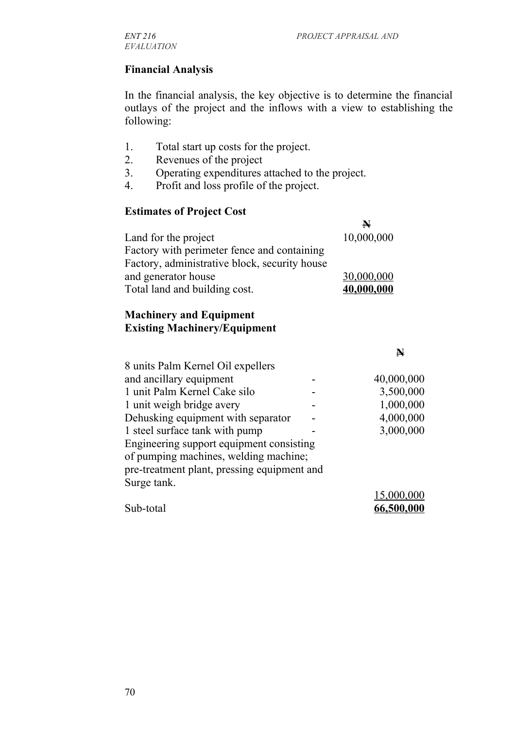#### **Financial Analysis**

In the financial analysis, the key objective is to determine the financial outlays of the project and the inflows with a view to establishing the following:

- 1. Total start up costs for the project.
- 2. Revenues of the project
- 3. Operating expenditures attached to the project.
- 4. Profit and loss profile of the project.

#### **Estimates of Project Cost**

|                                               | $\blacktriangleright$ |
|-----------------------------------------------|-----------------------|
| Land for the project                          | 10,000,000            |
| Factory with perimeter fence and containing   |                       |
| Factory, administrative block, security house |                       |
| and generator house                           | 30,000,000            |
| Total land and building cost.                 | 40,000,000            |

#### **Machinery and Equipment Existing Machinery/Equipment**

|                                             | N          |
|---------------------------------------------|------------|
| 8 units Palm Kernel Oil expellers           |            |
| and ancillary equipment                     | 40,000,000 |
| 1 unit Palm Kernel Cake silo                | 3,500,000  |
| 1 unit weigh bridge avery                   | 1,000,000  |
| Dehusking equipment with separator          | 4,000,000  |
| 1 steel surface tank with pump              | 3,000,000  |
| Engineering support equipment consisting    |            |
| of pumping machines, welding machine;       |            |
| pre-treatment plant, pressing equipment and |            |
| Surge tank.                                 |            |
|                                             | 15,000,000 |
| Sub-total                                   | 66,500,000 |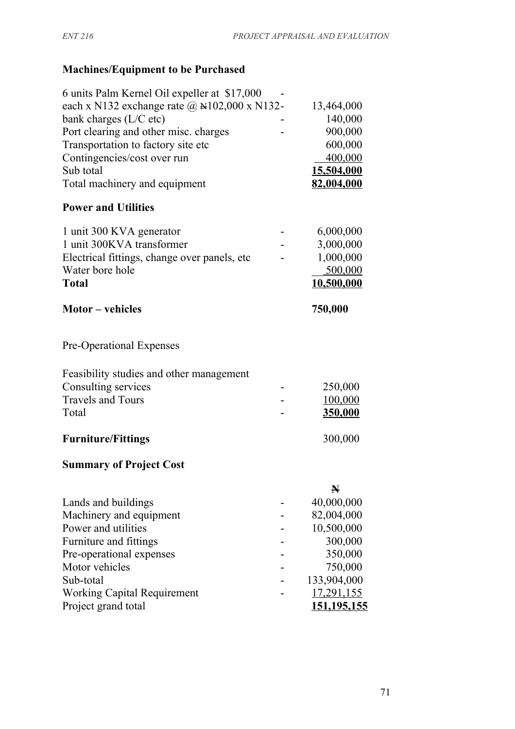# **Machines/Equipment to be Purchased**

| 6 units Palm Kernel Oil expeller at \$17,000        |                       |
|-----------------------------------------------------|-----------------------|
| each x N132 exchange rate $\omega$ N102,000 x N132- | 13,464,000            |
| bank charges (L/C etc)                              | 140,000               |
| Port clearing and other misc. charges               | 900,000               |
| Transportation to factory site etc                  | 600,000               |
| Contingencies/cost over run                         | 400,000               |
| Sub total                                           | 15,504,000            |
| Total machinery and equipment                       | 82,004,000            |
| <b>Power and Utilities</b>                          |                       |
| 1 unit 300 KVA generator                            | 6,000,000             |
| 1 unit 300KVA transformer                           | 3,000,000             |
| Electrical fittings, change over panels, etc.       | 1,000,000             |
| Water bore hole                                     | 500,000               |
| <b>Total</b>                                        | 10,500,000            |
| <b>Motor</b> – vehicles                             | 750,000               |
| <b>Pre-Operational Expenses</b>                     |                       |
| Feasibility studies and other management            |                       |
| Consulting services                                 | 250,000               |
| <b>Travels and Tours</b>                            | 100,000               |
| Total                                               | 350,000               |
| <b>Furniture/Fittings</b>                           | 300,000               |
| <b>Summary of Project Cost</b>                      |                       |
|                                                     | $\blacktriangleright$ |
| Lands and buildings                                 | 40,000,000            |
| Machinery and equipment                             | 82,004,000            |
| Power and utilities                                 | 10,500,000            |
| Furniture and fittings                              | 300,000               |
| Pre-operational expenses                            | 350,000               |
| Motor vehicles                                      | 750,000               |
| Sub-total                                           | 133,904,000           |
| <b>Working Capital Requirement</b>                  | <u>17,291,155</u>     |
| Project grand total                                 | 151,195,155           |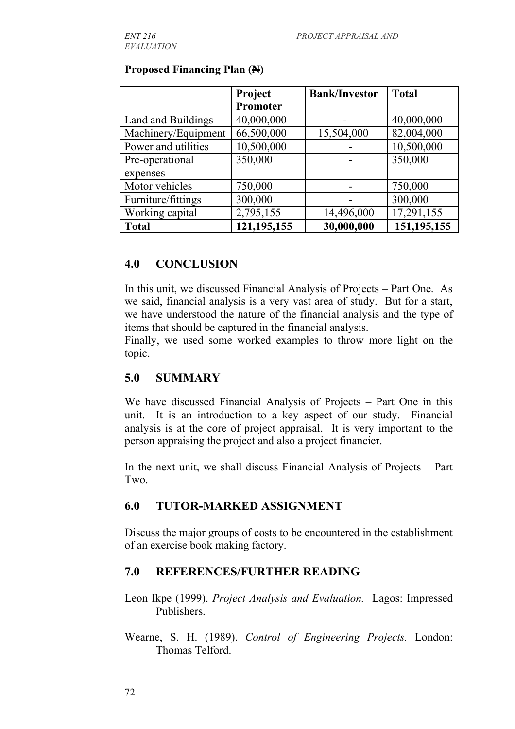|                     | Project       | <b>Bank/Investor</b> | <b>Total</b>  |
|---------------------|---------------|----------------------|---------------|
|                     | Promoter      |                      |               |
| Land and Buildings  | 40,000,000    |                      | 40,000,000    |
| Machinery/Equipment | 66,500,000    | 15,504,000           | 82,004,000    |
| Power and utilities | 10,500,000    |                      | 10,500,000    |
| Pre-operational     | 350,000       |                      | 350,000       |
| expenses            |               |                      |               |
| Motor vehicles      | 750,000       |                      | 750,000       |
| Furniture/fittings  | 300,000       |                      | 300,000       |
| Working capital     | 2,795,155     | 14,496,000           | 17,291,155    |
| <b>Total</b>        | 121, 195, 155 | 30,000,000           | 151, 195, 155 |

#### **Proposed Financing Plan (N)**

#### **4.0 CONCLUSION**

In this unit, we discussed Financial Analysis of Projects – Part One. As we said, financial analysis is a very vast area of study. But for a start, we have understood the nature of the financial analysis and the type of items that should be captured in the financial analysis.

Finally, we used some worked examples to throw more light on the topic.

## **5.0 SUMMARY**

We have discussed Financial Analysis of Projects – Part One in this unit. It is an introduction to a key aspect of our study. Financial analysis is at the core of project appraisal. It is very important to the person appraising the project and also a project financier.

In the next unit, we shall discuss Financial Analysis of Projects – Part Two.

## **6.0 TUTOR-MARKED ASSIGNMENT**

Discuss the major groups of costs to be encountered in the establishment of an exercise book making factory.

## **7.0 REFERENCES/FURTHER READING**

Leon Ikpe (1999). *Project Analysis and Evaluation.* Lagos: Impressed Publishers.

Wearne, S. H. (1989). *Control of Engineering Projects.* London: Thomas Telford.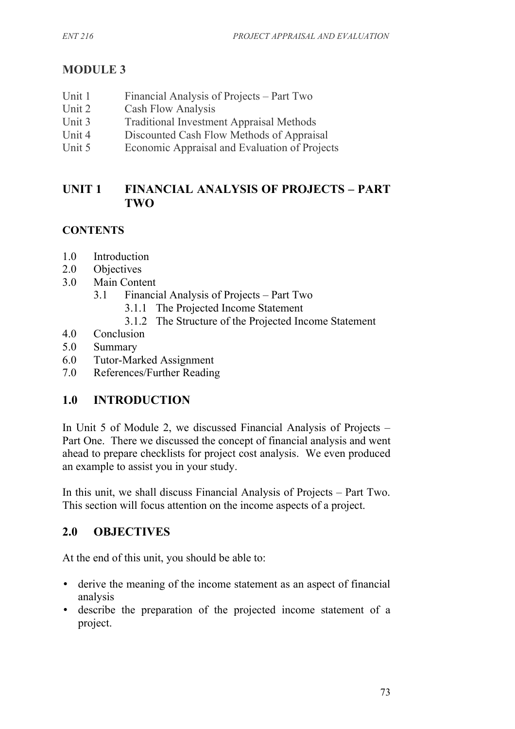# **MODULE 3**

- Unit 1 Financial Analysis of Projects Part Two Unit 2 Cash Flow Analysis
- Unit 3 Traditional Investment Appraisal Methods
- Unit 4 Discounted Cash Flow Methods of Appraisal
- Unit 5 Economic Appraisal and Evaluation of Projects

## **UNIT 1 FINANCIAL ANALYSIS OF PROJECTS – PART TWO**

## **CONTENTS**

- 1.0 Introduction
- 2.0 Objectives
- 3.0 Main Content
	- 3.1 Financial Analysis of Projects Part Two
		- 3.1.1 The Projected Income Statement
		- 3.1.2 The Structure of the Projected Income Statement
- 4.0 Conclusion
- 5.0 Summary
- 6.0 Tutor-Marked Assignment
- 7.0 References/Further Reading

## **1.0 INTRODUCTION**

In Unit 5 of Module 2, we discussed Financial Analysis of Projects – Part One. There we discussed the concept of financial analysis and went ahead to prepare checklists for project cost analysis. We even produced an example to assist you in your study.

In this unit, we shall discuss Financial Analysis of Projects – Part Two. This section will focus attention on the income aspects of a project.

## **2.0 OBJECTIVES**

At the end of this unit, you should be able to:

- derive the meaning of the income statement as an aspect of financial analysis
- describe the preparation of the projected income statement of a project.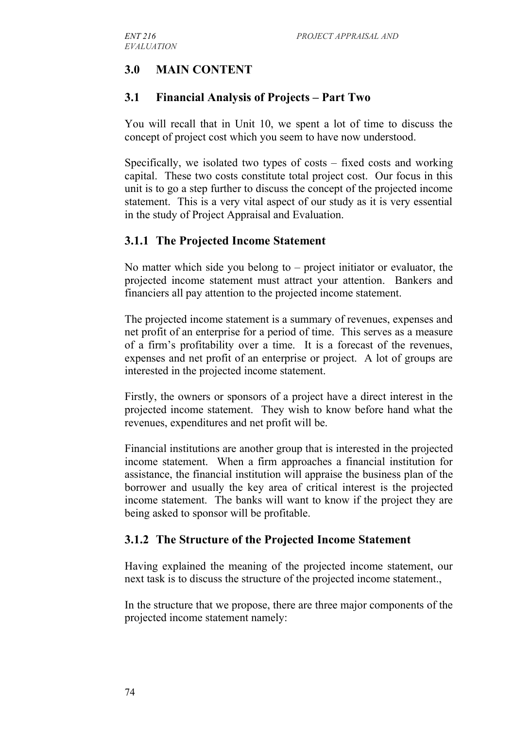# **3.0 MAIN CONTENT**

## **3.1 Financial Analysis of Projects – Part Two**

You will recall that in Unit 10, we spent a lot of time to discuss the concept of project cost which you seem to have now understood.

Specifically, we isolated two types of costs – fixed costs and working capital. These two costs constitute total project cost. Our focus in this unit is to go a step further to discuss the concept of the projected income statement. This is a very vital aspect of our study as it is very essential in the study of Project Appraisal and Evaluation.

## **3.1.1 The Projected Income Statement**

No matter which side you belong to – project initiator or evaluator, the projected income statement must attract your attention. Bankers and financiers all pay attention to the projected income statement.

The projected income statement is a summary of revenues, expenses and net profit of an enterprise for a period of time. This serves as a measure of a firm's profitability over a time. It is a forecast of the revenues, expenses and net profit of an enterprise or project. A lot of groups are interested in the projected income statement.

Firstly, the owners or sponsors of a project have a direct interest in the projected income statement. They wish to know before hand what the revenues, expenditures and net profit will be.

Financial institutions are another group that is interested in the projected income statement. When a firm approaches a financial institution for assistance, the financial institution will appraise the business plan of the borrower and usually the key area of critical interest is the projected income statement. The banks will want to know if the project they are being asked to sponsor will be profitable.

## **3.1.2 The Structure of the Projected Income Statement**

Having explained the meaning of the projected income statement, our next task is to discuss the structure of the projected income statement.,

In the structure that we propose, there are three major components of the projected income statement namely: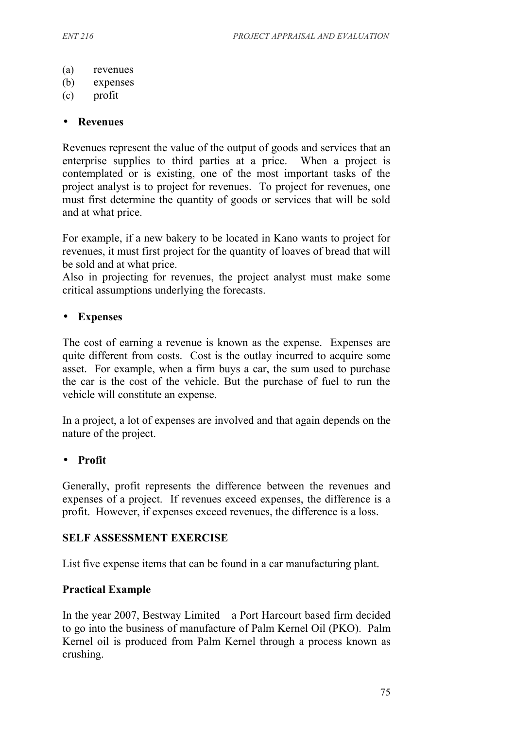- (a) revenues
- (b) expenses
- (c) profit

#### • **Revenues**

Revenues represent the value of the output of goods and services that an enterprise supplies to third parties at a price. When a project is contemplated or is existing, one of the most important tasks of the project analyst is to project for revenues. To project for revenues, one must first determine the quantity of goods or services that will be sold and at what price.

For example, if a new bakery to be located in Kano wants to project for revenues, it must first project for the quantity of loaves of bread that will be sold and at what price.

Also in projecting for revenues, the project analyst must make some critical assumptions underlying the forecasts.

#### • **Expenses**

The cost of earning a revenue is known as the expense. Expenses are quite different from costs. Cost is the outlay incurred to acquire some asset. For example, when a firm buys a car, the sum used to purchase the car is the cost of the vehicle. But the purchase of fuel to run the vehicle will constitute an expense.

In a project, a lot of expenses are involved and that again depends on the nature of the project.

#### • **Profit**

Generally, profit represents the difference between the revenues and expenses of a project. If revenues exceed expenses, the difference is a profit. However, if expenses exceed revenues, the difference is a loss.

#### **SELF ASSESSMENT EXERCISE**

List five expense items that can be found in a car manufacturing plant.

#### **Practical Example**

In the year 2007, Bestway Limited – a Port Harcourt based firm decided to go into the business of manufacture of Palm Kernel Oil (PKO). Palm Kernel oil is produced from Palm Kernel through a process known as crushing.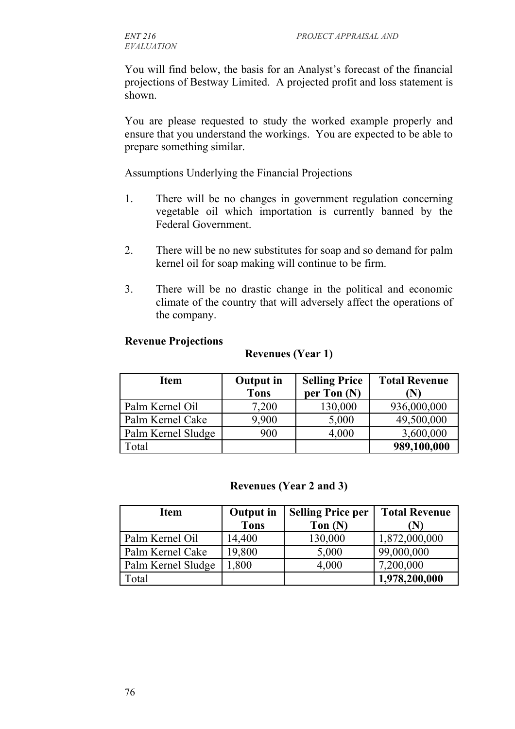You will find below, the basis for an Analyst's forecast of the financial projections of Bestway Limited. A projected profit and loss statement is shown.

You are please requested to study the worked example properly and ensure that you understand the workings. You are expected to be able to prepare something similar.

Assumptions Underlying the Financial Projections

- 1. There will be no changes in government regulation concerning vegetable oil which importation is currently banned by the Federal Government.
- 2. There will be no new substitutes for soap and so demand for palm kernel oil for soap making will continue to be firm.
- 3. There will be no drastic change in the political and economic climate of the country that will adversely affect the operations of the company.

#### **Revenue Projections**

#### **Revenues (Year 1)**

| <b>Item</b>        | <b>Output in</b> | <b>Selling Price</b> | <b>Total Revenue</b> |
|--------------------|------------------|----------------------|----------------------|
|                    | <b>Tons</b>      | per Ton $(N)$        | (N)                  |
| Palm Kernel Oil    | 7,200            | 130,000              | 936,000,000          |
| Palm Kernel Cake   | 9.900            | 5,000                | 49,500,000           |
| Palm Kernel Sludge | 900              | 4,000                | 3,600,000            |
| Total              |                  |                      | 989,100,000          |

#### **Revenues (Year 2 and 3)**

| <b>Item</b>        | <b>Output in</b> | <b>Selling Price per</b> | <b>Total Revenue</b> |
|--------------------|------------------|--------------------------|----------------------|
|                    | <b>Tons</b>      | Ton $(N)$                | $(N^{\circ})$        |
| Palm Kernel Oil    | 14,400           | 130,000                  | 1,872,000,000        |
| Palm Kernel Cake   | 19,800           | 5,000                    | 99,000,000           |
| Palm Kernel Sludge | 1,800            | 4,000                    | 7,200,000            |
| Total              |                  |                          | 1,978,200,000        |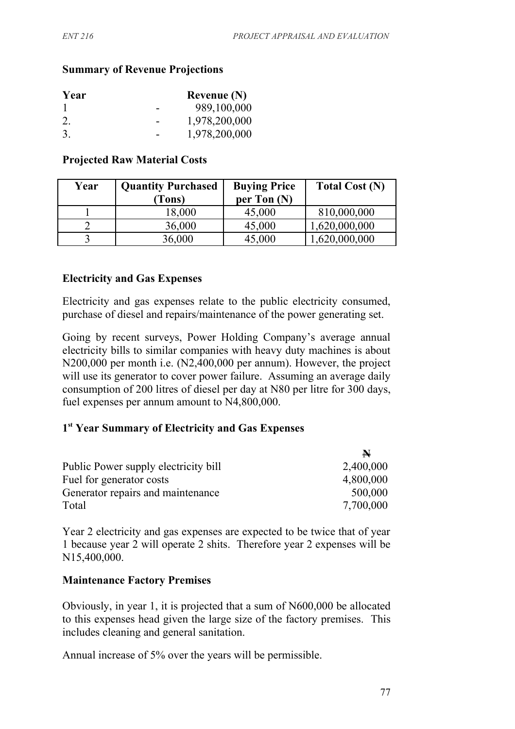#### **Summary of Revenue Projections**

| Year | Revenue $(N)$ |
|------|---------------|
|      | 989,100,000   |
| 2.   | 1,978,200,000 |
| 3.   | 1,978,200,000 |

#### **Projected Raw Material Costs**

| Year | <b>Quantity Purchased</b> | <b>Buying Price</b> | <b>Total Cost (N)</b> |
|------|---------------------------|---------------------|-----------------------|
|      | (Tons)                    | per Ton $(N)$       |                       |
|      | 18,000                    | 45,000              | 810,000,000           |
|      | 36,000                    | 45,000              | 1,620,000,000         |
|      | 36,000                    | 45,000              | ,620,000,000          |

#### **Electricity and Gas Expenses**

Electricity and gas expenses relate to the public electricity consumed, purchase of diesel and repairs/maintenance of the power generating set.

Going by recent surveys, Power Holding Company's average annual electricity bills to similar companies with heavy duty machines is about N200,000 per month i.e. (N2,400,000 per annum). However, the project will use its generator to cover power failure. Assuming an average daily consumption of 200 litres of diesel per day at N80 per litre for 300 days, fuel expenses per annum amount to N4,800,000.

#### **1 st Year Summary of Electricity and Gas Expenses**

|                                      | $\blacktriangleright$ |
|--------------------------------------|-----------------------|
| Public Power supply electricity bill | 2,400,000             |
| Fuel for generator costs             | 4,800,000             |
| Generator repairs and maintenance    | 500,000               |
| Total                                | 7,700,000             |

Year 2 electricity and gas expenses are expected to be twice that of year 1 because year 2 will operate 2 shits. Therefore year 2 expenses will be N15,400,000.

#### **Maintenance Factory Premises**

Obviously, in year 1, it is projected that a sum of N600,000 be allocated to this expenses head given the large size of the factory premises. This includes cleaning and general sanitation.

Annual increase of 5% over the years will be permissible.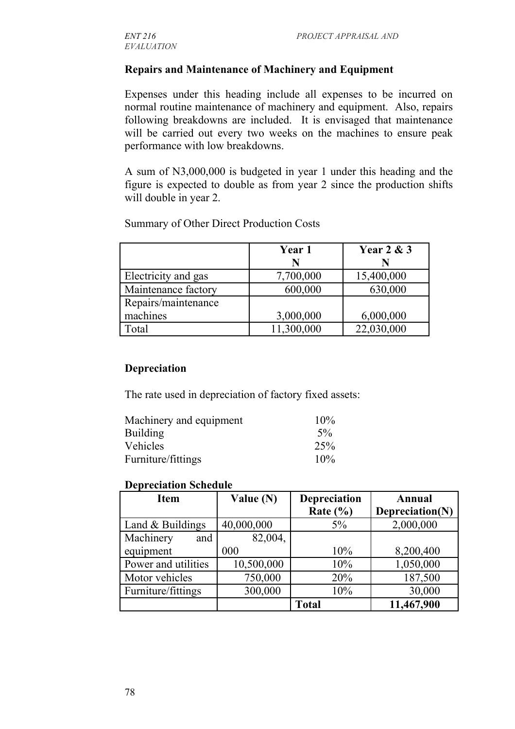#### **Repairs and Maintenance of Machinery and Equipment**

Expenses under this heading include all expenses to be incurred on normal routine maintenance of machinery and equipment. Also, repairs following breakdowns are included. It is envisaged that maintenance will be carried out every two weeks on the machines to ensure peak performance with low breakdowns.

A sum of N3,000,000 is budgeted in year 1 under this heading and the figure is expected to double as from year 2 since the production shifts will double in year 2.

|                     | Year 1     | <b>Year 2 &amp; 3</b> |
|---------------------|------------|-----------------------|
|                     | N          |                       |
| Electricity and gas | 7,700,000  | 15,400,000            |
| Maintenance factory | 600,000    | 630,000               |
| Repairs/maintenance |            |                       |
| machines            | 3,000,000  | 6,000,000             |
| [otal               | 11,300,000 | 22,030,000            |

Summary of Other Direct Production Costs

#### **Depreciation**

The rate used in depreciation of factory fixed assets:

| Machinery and equipment | 10%   |
|-------------------------|-------|
| <b>Building</b>         | $5\%$ |
| Vehicles                | 25%   |
| Furniture/fittings      | 10%   |

#### **Depreciation Schedule**

| <b>Item</b>         | Value $(N)$ | Depreciation | Annual          |
|---------------------|-------------|--------------|-----------------|
|                     |             | Rate $(\% )$ | Depreciation(N) |
| Land $&$ Buildings  | 40,000,000  | 5%           | 2,000,000       |
| Machinery<br>and    | 82,004,     |              |                 |
| equipment           | 000         | 10%          | 8,200,400       |
| Power and utilities | 10,500,000  | 10%          | 1,050,000       |
| Motor vehicles      | 750,000     | 20%          | 187,500         |
| Furniture/fittings  | 300,000     | 10%          | 30,000          |
|                     |             | <b>Total</b> | 11,467,900      |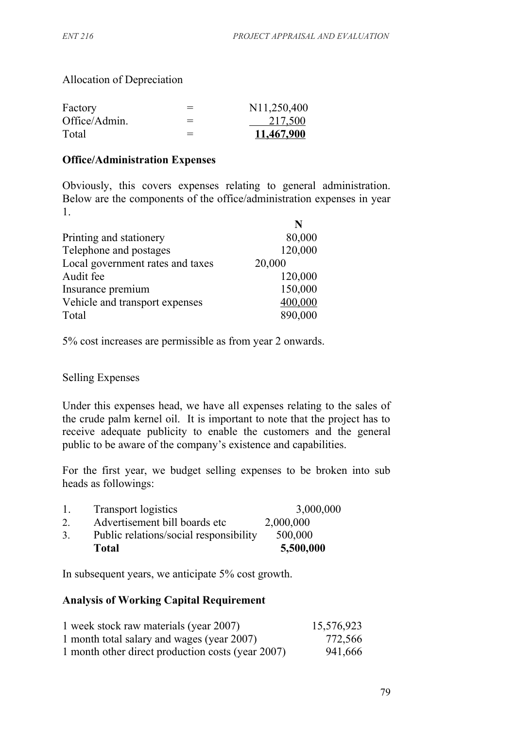Allocation of Depreciation

| Factory       | $=$ | N <sub>11</sub> ,250,400 |
|---------------|-----|--------------------------|
| Office/Admin. | $=$ | 217,500                  |
| Total         | $=$ | 11,467,900               |

#### **Office/Administration Expenses**

Obviously, this covers expenses relating to general administration. Below are the components of the office/administration expenses in year 1.

|                                  | N       |
|----------------------------------|---------|
| Printing and stationery          | 80,000  |
| Telephone and postages           | 120,000 |
| Local government rates and taxes | 20,000  |
| Audit fee                        | 120,000 |
| Insurance premium                | 150,000 |
| Vehicle and transport expenses   | 400,000 |
| Total                            | 890,000 |

5% cost increases are permissible as from year 2 onwards.

Selling Expenses

Under this expenses head, we have all expenses relating to the sales of the crude palm kernel oil. It is important to note that the project has to receive adequate publicity to enable the customers and the general public to be aware of the company's existence and capabilities.

For the first year, we budget selling expenses to be broken into sub heads as followings:

| -1. | <b>Transport logistics</b>             | 3,000,000 |
|-----|----------------------------------------|-----------|
| 2.  | Advertisement bill boards etc          | 2,000,000 |
| 3.  | Public relations/social responsibility | 500,000   |
|     | <b>Total</b>                           | 5,500,000 |

In subsequent years, we anticipate 5% cost growth.

#### **Analysis of Working Capital Requirement**

| 1 week stock raw materials (year 2007)            | 15,576,923 |
|---------------------------------------------------|------------|
| 1 month total salary and wages (year 2007)        | 772,566    |
| 1 month other direct production costs (year 2007) | 941,666    |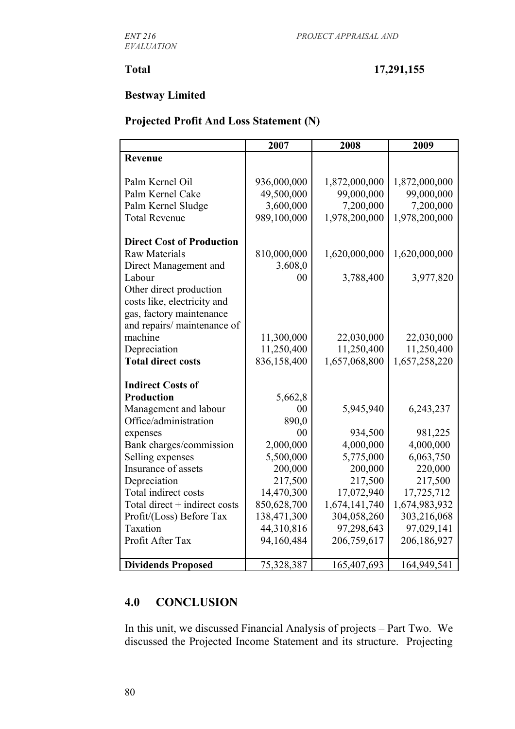#### **Total 17,291,155**

### **Bestway Limited**

### **Projected Profit And Loss Statement (N)**

|                                  | 2007        | 2008          | 2009          |
|----------------------------------|-------------|---------------|---------------|
| Revenue                          |             |               |               |
|                                  |             |               |               |
| Palm Kernel Oil                  | 936,000,000 | 1,872,000,000 | 1,872,000,000 |
| Palm Kernel Cake                 | 49,500,000  | 99,000,000    | 99,000,000    |
| Palm Kernel Sludge               | 3,600,000   | 7,200,000     | 7,200,000     |
| <b>Total Revenue</b>             | 989,100,000 | 1,978,200,000 | 1,978,200,000 |
| <b>Direct Cost of Production</b> |             |               |               |
| <b>Raw Materials</b>             | 810,000,000 | 1,620,000,000 | 1,620,000,000 |
| Direct Management and            | 3,608,0     |               |               |
| Labour                           | 00          | 3,788,400     | 3,977,820     |
| Other direct production          |             |               |               |
| costs like, electricity and      |             |               |               |
| gas, factory maintenance         |             |               |               |
| and repairs/ maintenance of      |             |               |               |
| machine                          | 11,300,000  | 22,030,000    | 22,030,000    |
| Depreciation                     | 11,250,400  | 11,250,400    | 11,250,400    |
| <b>Total direct costs</b>        | 836,158,400 | 1,657,068,800 | 1,657,258,220 |
|                                  |             |               |               |
| <b>Indirect Costs of</b>         |             |               |               |
| <b>Production</b>                | 5,662,8     |               |               |
| Management and labour            | 00          | 5,945,940     | 6,243,237     |
| Office/administration            | 890,0       |               |               |
| expenses                         | 00          | 934,500       | 981,225       |
| Bank charges/commission          | 2,000,000   | 4,000,000     | 4,000,000     |
| Selling expenses                 | 5,500,000   | 5,775,000     | 6,063,750     |
| Insurance of assets              | 200,000     | 200,000       | 220,000       |
| Depreciation                     | 217,500     | 217,500       | 217,500       |
| Total indirect costs             | 14,470,300  | 17,072,940    | 17,725,712    |
| Total direct + indirect costs    | 850,628,700 | 1,674,141,740 | 1,674,983,932 |
| Profit/(Loss) Before Tax         | 138,471,300 | 304,058,260   | 303,216,068   |
| Taxation                         | 44,310,816  | 97,298,643    | 97,029,141    |
| Profit After Tax                 | 94,160,484  | 206,759,617   | 206,186,927   |
|                                  |             |               |               |
| <b>Dividends Proposed</b>        | 75,328,387  | 165,407,693   | 164,949,541   |

## **4.0 CONCLUSION**

In this unit, we discussed Financial Analysis of projects – Part Two. We discussed the Projected Income Statement and its structure. Projecting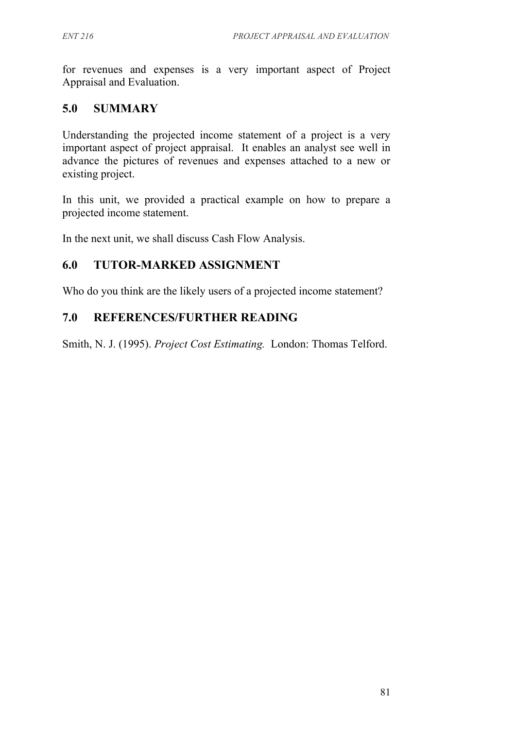for revenues and expenses is a very important aspect of Project Appraisal and Evaluation.

## **5.0 SUMMARY**

Understanding the projected income statement of a project is a very important aspect of project appraisal. It enables an analyst see well in advance the pictures of revenues and expenses attached to a new or existing project.

In this unit, we provided a practical example on how to prepare a projected income statement.

In the next unit, we shall discuss Cash Flow Analysis.

## **6.0 TUTOR-MARKED ASSIGNMENT**

Who do you think are the likely users of a projected income statement?

## **7.0 REFERENCES/FURTHER READING**

Smith, N. J. (1995). *Project Cost Estimating.* London: Thomas Telford.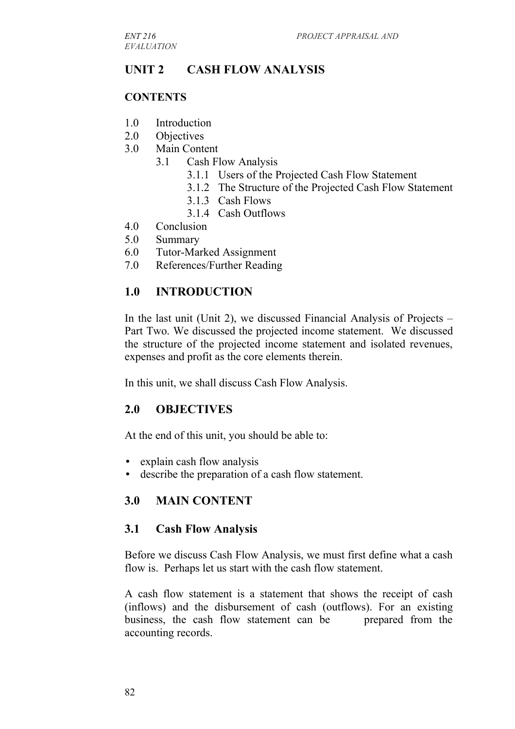# **UNIT 2 CASH FLOW ANALYSIS**

#### **CONTENTS**

- 1.0 Introduction
- 2.0 Objectives
- 3.0 Main Content
	- 3.1 Cash Flow Analysis
		- 3.1.1 Users of the Projected Cash Flow Statement
		- 3.1.2 The Structure of the Projected Cash Flow Statement
		- 3.1.3 Cash Flows
		- 3.1.4 Cash Outflows
- 4.0 Conclusion
- 5.0 Summary
- 6.0 Tutor-Marked Assignment
- 7.0 References/Further Reading

## **1.0 INTRODUCTION**

In the last unit (Unit 2), we discussed Financial Analysis of Projects – Part Two. We discussed the projected income statement. We discussed the structure of the projected income statement and isolated revenues, expenses and profit as the core elements therein.

In this unit, we shall discuss Cash Flow Analysis.

## **2.0 OBJECTIVES**

At the end of this unit, you should be able to:

- explain cash flow analysis
- describe the preparation of a cash flow statement.

## **3.0 MAIN CONTENT**

#### **3.1 Cash Flow Analysis**

Before we discuss Cash Flow Analysis, we must first define what a cash flow is. Perhaps let us start with the cash flow statement.

A cash flow statement is a statement that shows the receipt of cash (inflows) and the disbursement of cash (outflows). For an existing business, the cash flow statement can be prepared from the accounting records.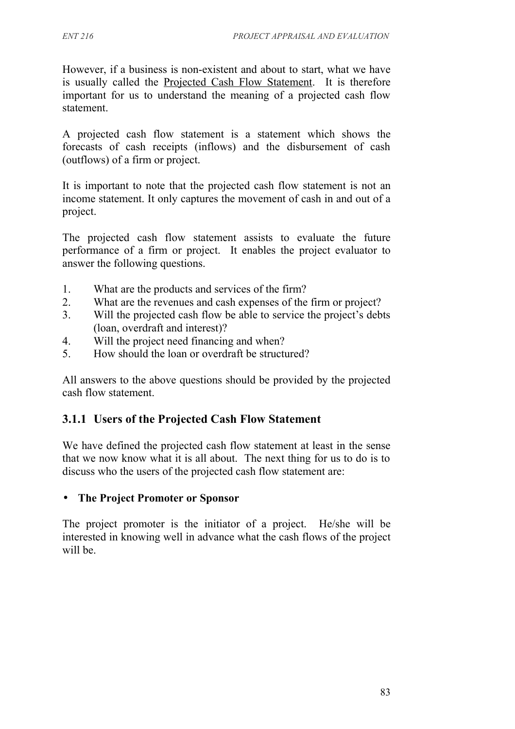However, if a business is non-existent and about to start, what we have is usually called the Projected Cash Flow Statement. It is therefore important for us to understand the meaning of a projected cash flow statement.

A projected cash flow statement is a statement which shows the forecasts of cash receipts (inflows) and the disbursement of cash (outflows) of a firm or project.

It is important to note that the projected cash flow statement is not an income statement. It only captures the movement of cash in and out of a project.

The projected cash flow statement assists to evaluate the future performance of a firm or project. It enables the project evaluator to answer the following questions.

- 1. What are the products and services of the firm?
- 2. What are the revenues and cash expenses of the firm or project?
- 3. Will the projected cash flow be able to service the project's debts (loan, overdraft and interest)?
- 4. Will the project need financing and when?
- 5. How should the loan or overdraft be structured?

All answers to the above questions should be provided by the projected cash flow statement.

## **3.1.1 Users of the Projected Cash Flow Statement**

We have defined the projected cash flow statement at least in the sense that we now know what it is all about. The next thing for us to do is to discuss who the users of the projected cash flow statement are:

## • **The Project Promoter or Sponsor**

The project promoter is the initiator of a project. He/she will be interested in knowing well in advance what the cash flows of the project will be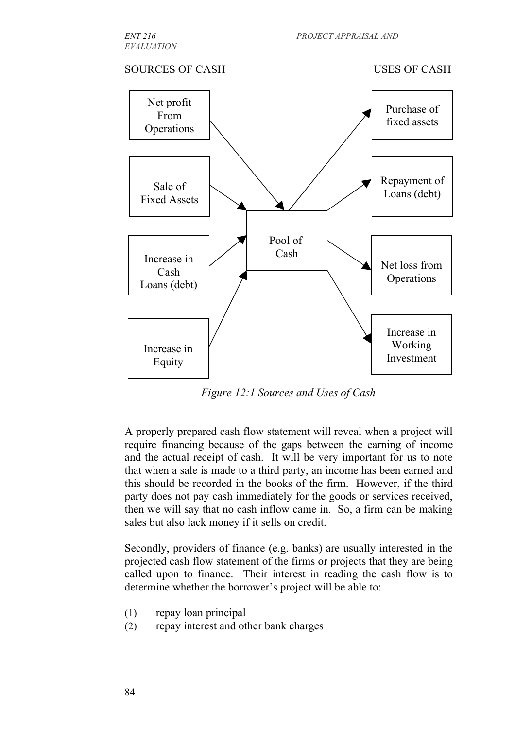#### SOURCES OF CASH USES OF CASH



*Figure 12:1 Sources and Uses of Cash*

A properly prepared cash flow statement will reveal when a project will require financing because of the gaps between the earning of income and the actual receipt of cash. It will be very important for us to note that when a sale is made to a third party, an income has been earned and this should be recorded in the books of the firm. However, if the third party does not pay cash immediately for the goods or services received, then we will say that no cash inflow came in. So, a firm can be making sales but also lack money if it sells on credit.

Secondly, providers of finance (e.g. banks) are usually interested in the projected cash flow statement of the firms or projects that they are being called upon to finance. Their interest in reading the cash flow is to determine whether the borrower's project will be able to:

- (1) repay loan principal
- (2) repay interest and other bank charges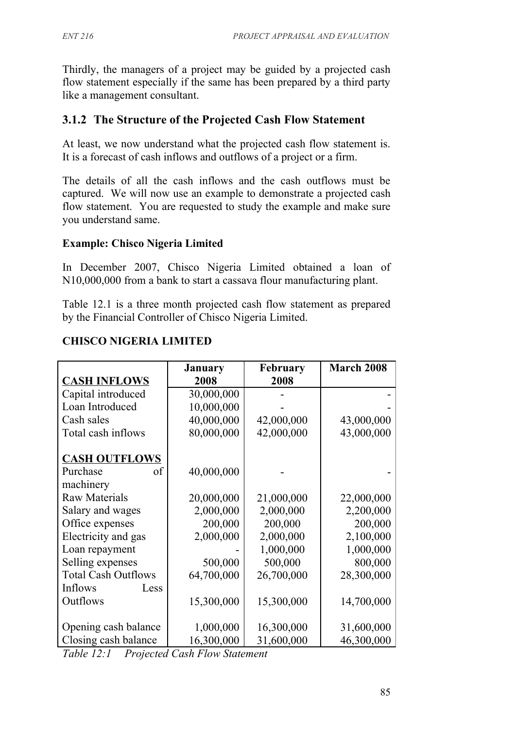Thirdly, the managers of a project may be guided by a projected cash flow statement especially if the same has been prepared by a third party like a management consultant.

## **3.1.2 The Structure of the Projected Cash Flow Statement**

At least, we now understand what the projected cash flow statement is. It is a forecast of cash inflows and outflows of a project or a firm.

The details of all the cash inflows and the cash outflows must be captured. We will now use an example to demonstrate a projected cash flow statement. You are requested to study the example and make sure you understand same.

#### **Example: Chisco Nigeria Limited**

In December 2007, Chisco Nigeria Limited obtained a loan of N10,000,000 from a bank to start a cassava flour manufacturing plant.

Table 12.1 is a three month projected cash flow statement as prepared by the Financial Controller of Chisco Nigeria Limited.

|                            | <b>January</b> | <b>February</b> | <b>March 2008</b> |
|----------------------------|----------------|-----------------|-------------------|
| <b>CASH INFLOWS</b>        | 2008           | 2008            |                   |
| Capital introduced         | 30,000,000     |                 |                   |
| Loan Introduced            | 10,000,000     |                 |                   |
| Cash sales                 | 40,000,000     | 42,000,000      | 43,000,000        |
| Total cash inflows         | 80,000,000     | 42,000,000      | 43,000,000        |
| <b>CASH OUTFLOWS</b>       |                |                 |                   |
| Purchase<br>of             | 40,000,000     |                 |                   |
| machinery                  |                |                 |                   |
| <b>Raw Materials</b>       | 20,000,000     | 21,000,000      | 22,000,000        |
| Salary and wages           | 2,000,000      | 2,000,000       | 2,200,000         |
| Office expenses            | 200,000        | 200,000         | 200,000           |
| Electricity and gas        | 2,000,000      | 2,000,000       | 2,100,000         |
| Loan repayment             |                | 1,000,000       | 1,000,000         |
| Selling expenses           | 500,000        | 500,000         | 800,000           |
| <b>Total Cash Outflows</b> | 64,700,000     | 26,700,000      | 28,300,000        |
| Inflows<br>Less            |                |                 |                   |
| Outflows                   | 15,300,000     | 15,300,000      | 14,700,000        |
|                            |                |                 |                   |
| Opening cash balance       | 1,000,000      | 16,300,000      | 31,600,000        |
| Closing cash balance       | 16,300,000     | 31,600,000      | 46,300,000        |

#### **CHISCO NIGERIA LIMITED**

*Table 12:1 Projected Cash Flow Statement*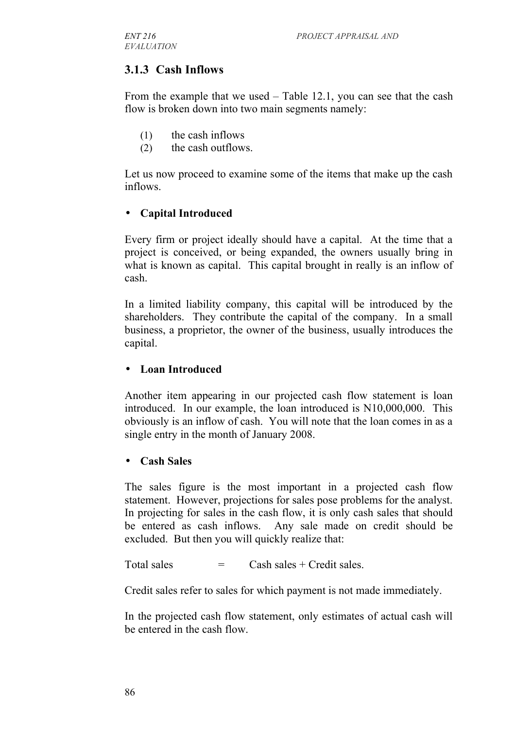## **3.1.3 Cash Inflows**

From the example that we used – Table 12.1, you can see that the cash flow is broken down into two main segments namely:

- (1) the cash inflows
- (2) the cash outflows.

Let us now proceed to examine some of the items that make up the cash inflows.

#### • **Capital Introduced**

Every firm or project ideally should have a capital. At the time that a project is conceived, or being expanded, the owners usually bring in what is known as capital. This capital brought in really is an inflow of cash.

In a limited liability company, this capital will be introduced by the shareholders. They contribute the capital of the company. In a small business, a proprietor, the owner of the business, usually introduces the capital.

#### • **Loan Introduced**

Another item appearing in our projected cash flow statement is loan introduced. In our example, the loan introduced is N10,000,000. This obviously is an inflow of cash. You will note that the loan comes in as a single entry in the month of January 2008.

#### • **Cash Sales**

The sales figure is the most important in a projected cash flow statement. However, projections for sales pose problems for the analyst. In projecting for sales in the cash flow, it is only cash sales that should be entered as cash inflows. Any sale made on credit should be excluded. But then you will quickly realize that:

Total sales  $=$  Cash sales + Credit sales.

Credit sales refer to sales for which payment is not made immediately.

In the projected cash flow statement, only estimates of actual cash will be entered in the cash flow.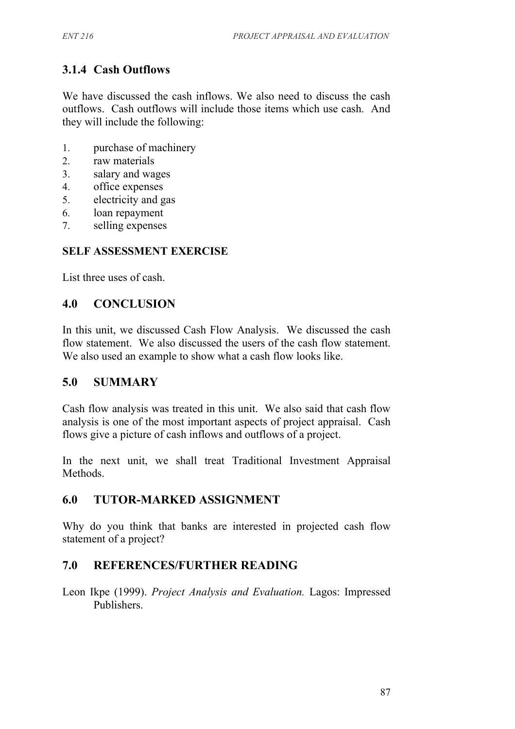# **3.1.4 Cash Outflows**

We have discussed the cash inflows. We also need to discuss the cash outflows. Cash outflows will include those items which use cash. And they will include the following:

- 1. purchase of machinery
- 2. raw materials
- 3. salary and wages
- 4. office expenses
- 5. electricity and gas
- 6. loan repayment
- 7. selling expenses

## **SELF ASSESSMENT EXERCISE**

List three uses of cash.

## **4.0 CONCLUSION**

In this unit, we discussed Cash Flow Analysis. We discussed the cash flow statement. We also discussed the users of the cash flow statement. We also used an example to show what a cash flow looks like.

## **5.0 SUMMARY**

Cash flow analysis was treated in this unit. We also said that cash flow analysis is one of the most important aspects of project appraisal. Cash flows give a picture of cash inflows and outflows of a project.

In the next unit, we shall treat Traditional Investment Appraisal Methods.

## **6.0 TUTOR-MARKED ASSIGNMENT**

Why do you think that banks are interested in projected cash flow statement of a project?

## **7.0 REFERENCES/FURTHER READING**

Leon Ikpe (1999). *Project Analysis and Evaluation.* Lagos: Impressed Publishers.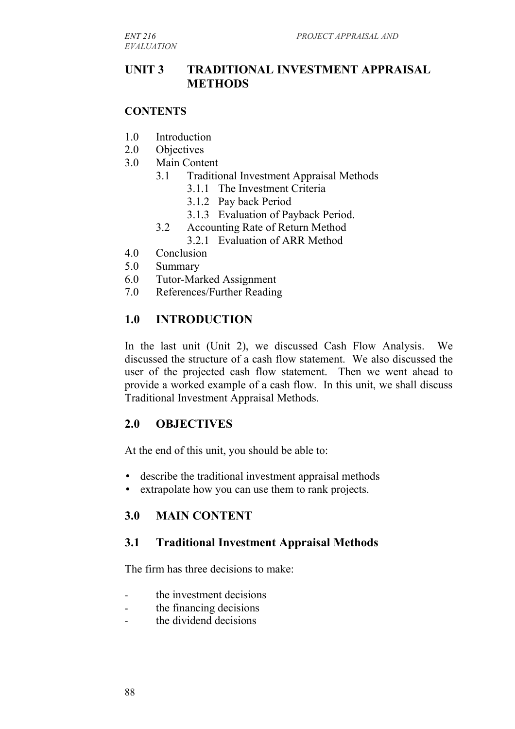*EVALUATION*

## **UNIT 3 TRADITIONAL INVESTMENT APPRAISAL METHODS**

#### **CONTENTS**

- 1.0 Introduction
- 2.0 Objectives
- 3.0 Main Content
	- 3.1 Traditional Investment Appraisal Methods
		- 3.1.1 The Investment Criteria
		- 3.1.2 Pay back Period
		- 3.1.3 Evaluation of Payback Period.
	- 3.2 Accounting Rate of Return Method

3.2.1 Evaluation of ARR Method

- 4.0 Conclusion
- 5.0 Summary
- 6.0 Tutor-Marked Assignment
- 7.0 References/Further Reading

#### **1.0 INTRODUCTION**

In the last unit (Unit 2), we discussed Cash Flow Analysis. We discussed the structure of a cash flow statement. We also discussed the user of the projected cash flow statement. Then we went ahead to provide a worked example of a cash flow. In this unit, we shall discuss Traditional Investment Appraisal Methods.

#### **2.0 OBJECTIVES**

At the end of this unit, you should be able to:

- describe the traditional investment appraisal methods
- extrapolate how you can use them to rank projects.

#### **3.0 MAIN CONTENT**

#### **3.1 Traditional Investment Appraisal Methods**

The firm has three decisions to make:

- the investment decisions
- the financing decisions
- the dividend decisions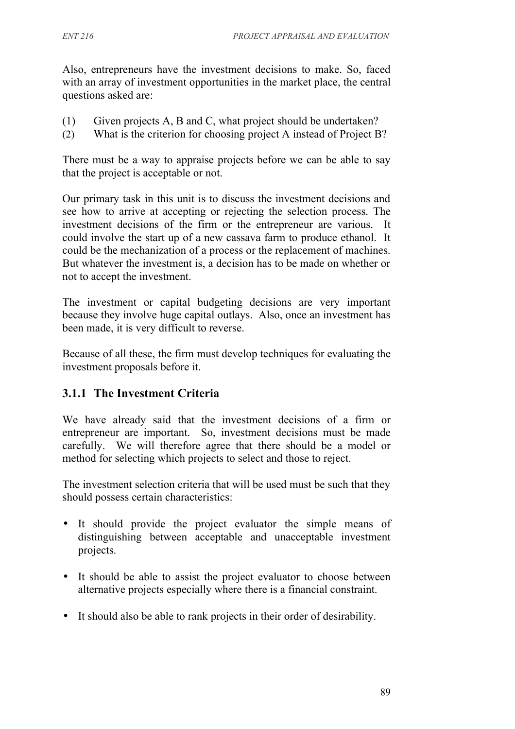Also, entrepreneurs have the investment decisions to make. So, faced with an array of investment opportunities in the market place, the central questions asked are:

- (1) Given projects A, B and C, what project should be undertaken?
- (2) What is the criterion for choosing project A instead of Project B?

There must be a way to appraise projects before we can be able to say that the project is acceptable or not.

Our primary task in this unit is to discuss the investment decisions and see how to arrive at accepting or rejecting the selection process. The investment decisions of the firm or the entrepreneur are various. It could involve the start up of a new cassava farm to produce ethanol. It could be the mechanization of a process or the replacement of machines. But whatever the investment is, a decision has to be made on whether or not to accept the investment.

The investment or capital budgeting decisions are very important because they involve huge capital outlays. Also, once an investment has been made, it is very difficult to reverse.

Because of all these, the firm must develop techniques for evaluating the investment proposals before it.

## **3.1.1 The Investment Criteria**

We have already said that the investment decisions of a firm or entrepreneur are important. So, investment decisions must be made carefully. We will therefore agree that there should be a model or method for selecting which projects to select and those to reject.

The investment selection criteria that will be used must be such that they should possess certain characteristics:

- It should provide the project evaluator the simple means of distinguishing between acceptable and unacceptable investment projects.
- It should be able to assist the project evaluator to choose between alternative projects especially where there is a financial constraint.
- It should also be able to rank projects in their order of desirability.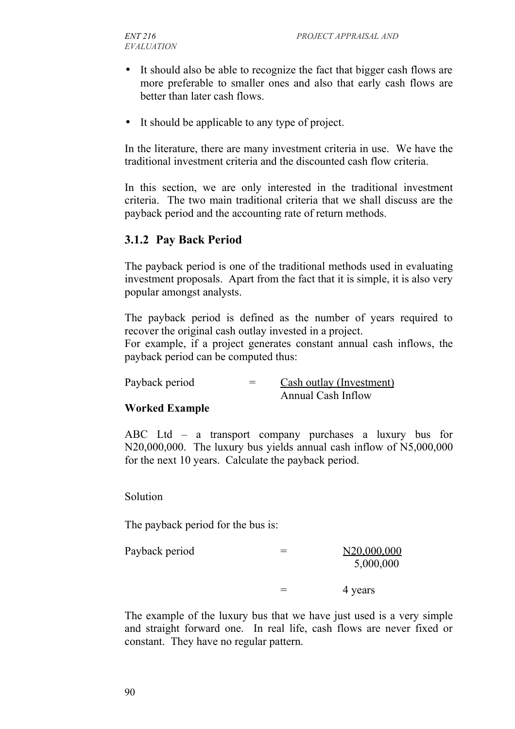- It should also be able to recognize the fact that bigger cash flows are more preferable to smaller ones and also that early cash flows are better than later cash flows.
- It should be applicable to any type of project.

In the literature, there are many investment criteria in use. We have the traditional investment criteria and the discounted cash flow criteria.

In this section, we are only interested in the traditional investment criteria. The two main traditional criteria that we shall discuss are the payback period and the accounting rate of return methods.

#### **3.1.2 Pay Back Period**

The payback period is one of the traditional methods used in evaluating investment proposals. Apart from the fact that it is simple, it is also very popular amongst analysts.

The payback period is defined as the number of years required to recover the original cash outlay invested in a project.

For example, if a project generates constant annual cash inflows, the payback period can be computed thus:

Payback period  $=$  Cash outlay (Investment) Annual Cash Inflow

#### **Worked Example**

ABC Ltd – a transport company purchases a luxury bus for N20,000,000. The luxury bus yields annual cash inflow of N5,000,000 for the next 10 years. Calculate the payback period.

Solution

The payback period for the bus is:

| Payback period |   | N20,000,000<br>5,000,000 |
|----------------|---|--------------------------|
|                | = | 4 years                  |

The example of the luxury bus that we have just used is a very simple and straight forward one. In real life, cash flows are never fixed or constant. They have no regular pattern.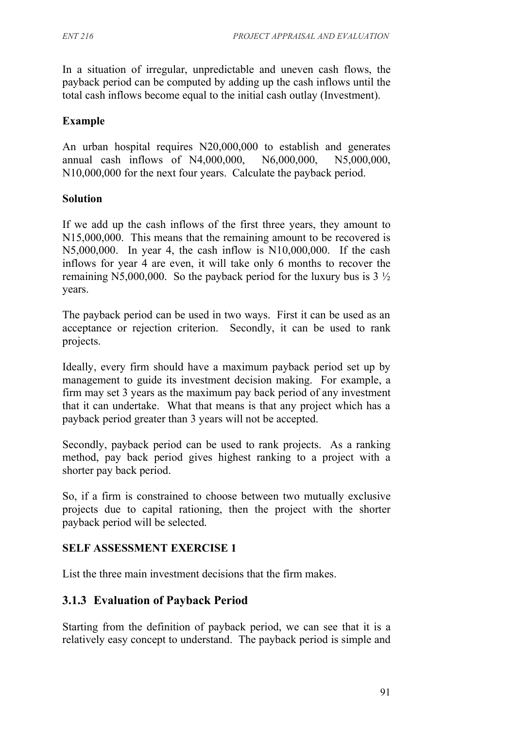In a situation of irregular, unpredictable and uneven cash flows, the payback period can be computed by adding up the cash inflows until the total cash inflows become equal to the initial cash outlay (Investment).

#### **Example**

An urban hospital requires N20,000,000 to establish and generates annual cash inflows of N4,000,000, N6,000,000, N5,000,000, N10,000,000 for the next four years. Calculate the payback period.

#### **Solution**

If we add up the cash inflows of the first three years, they amount to N15,000,000. This means that the remaining amount to be recovered is N5,000,000. In year 4, the cash inflow is N10,000,000. If the cash inflows for year 4 are even, it will take only 6 months to recover the remaining N5,000,000. So the payback period for the luxury bus is  $3\frac{1}{2}$ years.

The payback period can be used in two ways. First it can be used as an acceptance or rejection criterion. Secondly, it can be used to rank projects.

Ideally, every firm should have a maximum payback period set up by management to guide its investment decision making. For example, a firm may set 3 years as the maximum pay back period of any investment that it can undertake. What that means is that any project which has a payback period greater than 3 years will not be accepted.

Secondly, payback period can be used to rank projects. As a ranking method, pay back period gives highest ranking to a project with a shorter pay back period.

So, if a firm is constrained to choose between two mutually exclusive projects due to capital rationing, then the project with the shorter payback period will be selected.

#### **SELF ASSESSMENT EXERCISE 1**

List the three main investment decisions that the firm makes.

## **3.1.3 Evaluation of Payback Period**

Starting from the definition of payback period, we can see that it is a relatively easy concept to understand. The payback period is simple and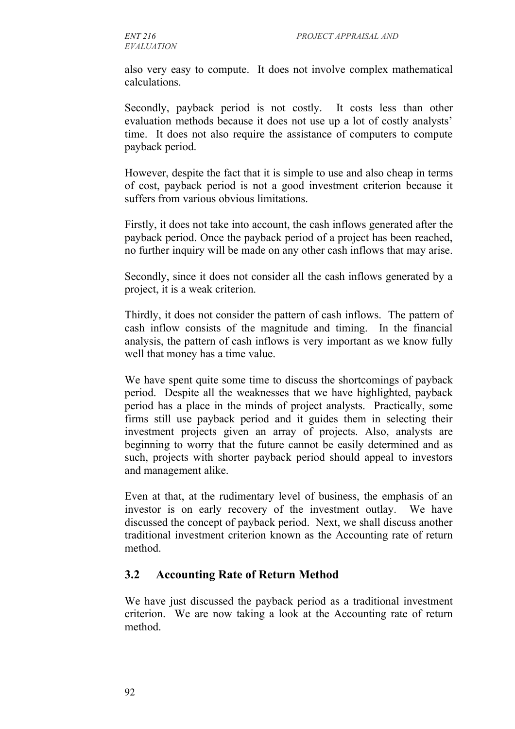also very easy to compute. It does not involve complex mathematical calculations.

Secondly, payback period is not costly. It costs less than other evaluation methods because it does not use up a lot of costly analysts' time. It does not also require the assistance of computers to compute payback period.

However, despite the fact that it is simple to use and also cheap in terms of cost, payback period is not a good investment criterion because it suffers from various obvious limitations.

Firstly, it does not take into account, the cash inflows generated after the payback period. Once the payback period of a project has been reached, no further inquiry will be made on any other cash inflows that may arise.

Secondly, since it does not consider all the cash inflows generated by a project, it is a weak criterion.

Thirdly, it does not consider the pattern of cash inflows. The pattern of cash inflow consists of the magnitude and timing. In the financial analysis, the pattern of cash inflows is very important as we know fully well that money has a time value.

We have spent quite some time to discuss the shortcomings of payback period. Despite all the weaknesses that we have highlighted, payback period has a place in the minds of project analysts. Practically, some firms still use payback period and it guides them in selecting their investment projects given an array of projects. Also, analysts are beginning to worry that the future cannot be easily determined and as such, projects with shorter payback period should appeal to investors and management alike.

Even at that, at the rudimentary level of business, the emphasis of an investor is on early recovery of the investment outlay. We have discussed the concept of payback period. Next, we shall discuss another traditional investment criterion known as the Accounting rate of return method.

## **3.2 Accounting Rate of Return Method**

We have just discussed the payback period as a traditional investment criterion. We are now taking a look at the Accounting rate of return method.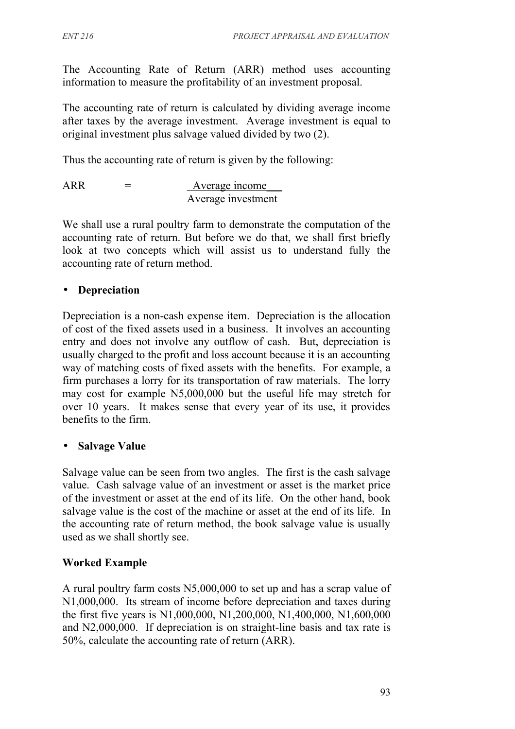The Accounting Rate of Return (ARR) method uses accounting information to measure the profitability of an investment proposal.

The accounting rate of return is calculated by dividing average income after taxes by the average investment. Average investment is equal to original investment plus salvage valued divided by two (2).

Thus the accounting rate of return is given by the following:

$$
ARR = \frac{Average income}{Average investment}
$$

We shall use a rural poultry farm to demonstrate the computation of the accounting rate of return. But before we do that, we shall first briefly look at two concepts which will assist us to understand fully the accounting rate of return method.

## • **Depreciation**

Depreciation is a non-cash expense item. Depreciation is the allocation of cost of the fixed assets used in a business. It involves an accounting entry and does not involve any outflow of cash. But, depreciation is usually charged to the profit and loss account because it is an accounting way of matching costs of fixed assets with the benefits. For example, a firm purchases a lorry for its transportation of raw materials. The lorry may cost for example N5,000,000 but the useful life may stretch for over 10 years. It makes sense that every year of its use, it provides benefits to the firm.

## • **Salvage Value**

Salvage value can be seen from two angles. The first is the cash salvage value. Cash salvage value of an investment or asset is the market price of the investment or asset at the end of its life. On the other hand, book salvage value is the cost of the machine or asset at the end of its life. In the accounting rate of return method, the book salvage value is usually used as we shall shortly see.

## **Worked Example**

A rural poultry farm costs N5,000,000 to set up and has a scrap value of N1,000,000. Its stream of income before depreciation and taxes during the first five years is N1,000,000, N1,200,000, N1,400,000, N1,600,000 and N2,000,000. If depreciation is on straight-line basis and tax rate is 50%, calculate the accounting rate of return (ARR).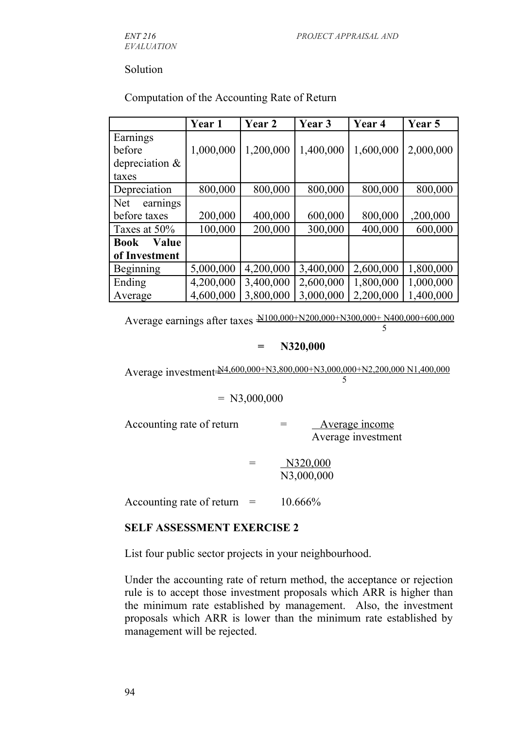*EVALUATION*

#### Solution

|                        | Year 1    | Year 2    | Year 3    | Year 4    | Year 5    |
|------------------------|-----------|-----------|-----------|-----------|-----------|
| Earnings               |           |           |           |           |           |
| before                 | 1,000,000 | 1,200,000 | 1,400,000 | 1,600,000 | 2,000,000 |
| depreciation $\&$      |           |           |           |           |           |
| taxes                  |           |           |           |           |           |
| Depreciation           | 800,000   | 800,000   | 800,000   | 800,000   | 800,000   |
| <b>Net</b><br>earnings |           |           |           |           |           |
| before taxes           | 200,000   | 400,000   | 600,000   | 800,000   | ,200,000  |
| Taxes at 50%           | 100,000   | 200,000   | 300,000   | 400,000   | 600,000   |
| Value<br><b>Book</b>   |           |           |           |           |           |
| of Investment          |           |           |           |           |           |
| Beginning              | 5,000,000 | 4,200,000 | 3,400,000 | 2,600,000 | 1,800,000 |
| Ending                 | 4,200,000 | 3,400,000 | 2,600,000 | 1,800,000 | 1,000,000 |
| Average                | 4,600,000 | 3,800,000 | 3,000,000 | 2,200,000 | 1,400,000 |

#### Computation of the Accounting Rate of Return

Average earnings after taxes  $\frac{\text{N100,000+N200,000+N300,000+N400,000}+000,000}{7}$ 5

#### **= N320,000**

Average investment  $\frac{N4,600,000+N3,800,000+N3,000,000+N2,200,000 N1,400,000}{5}$ 5

#### $= N3,000,000$

Accounting rate of return  $=$  Average income Average investment

> $=$  N320,000 N3,000,000

Accounting rate of return  $=$  10.666%

#### **SELF ASSESSMENT EXERCISE 2**

List four public sector projects in your neighbourhood.

Under the accounting rate of return method, the acceptance or rejection rule is to accept those investment proposals which ARR is higher than the minimum rate established by management. Also, the investment proposals which ARR is lower than the minimum rate established by management will be rejected.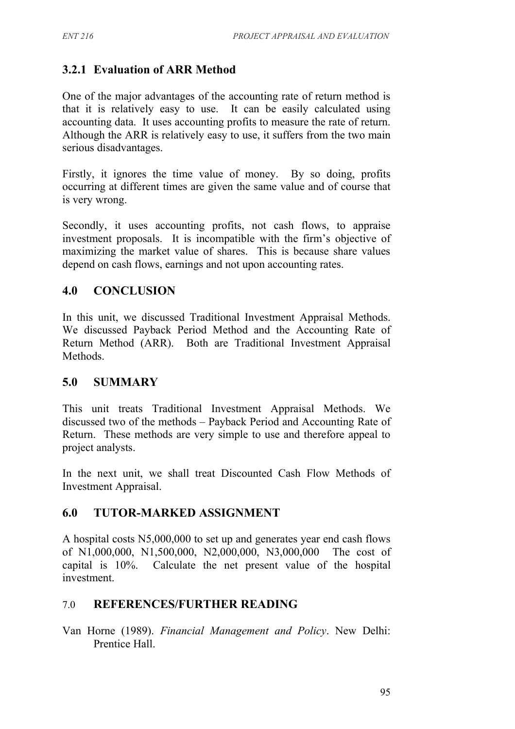## **3.2.1 Evaluation of ARR Method**

One of the major advantages of the accounting rate of return method is that it is relatively easy to use. It can be easily calculated using accounting data. It uses accounting profits to measure the rate of return. Although the ARR is relatively easy to use, it suffers from the two main serious disadvantages.

Firstly, it ignores the time value of money. By so doing, profits occurring at different times are given the same value and of course that is very wrong.

Secondly, it uses accounting profits, not cash flows, to appraise investment proposals. It is incompatible with the firm's objective of maximizing the market value of shares. This is because share values depend on cash flows, earnings and not upon accounting rates.

## **4.0 CONCLUSION**

In this unit, we discussed Traditional Investment Appraisal Methods. We discussed Payback Period Method and the Accounting Rate of Return Method (ARR). Both are Traditional Investment Appraisal Methods.

## **5.0 SUMMARY**

This unit treats Traditional Investment Appraisal Methods. We discussed two of the methods – Payback Period and Accounting Rate of Return. These methods are very simple to use and therefore appeal to project analysts.

In the next unit, we shall treat Discounted Cash Flow Methods of Investment Appraisal.

## **6.0 TUTOR-MARKED ASSIGNMENT**

A hospital costs N5,000,000 to set up and generates year end cash flows of N1,000,000, N1,500,000, N2,000,000, N3,000,000 The cost of capital is 10%. Calculate the net present value of the hospital investment.

## 7.0 **REFERENCES/FURTHER READING**

Van Horne (1989). *Financial Management and Policy*. New Delhi: Prentice Hall.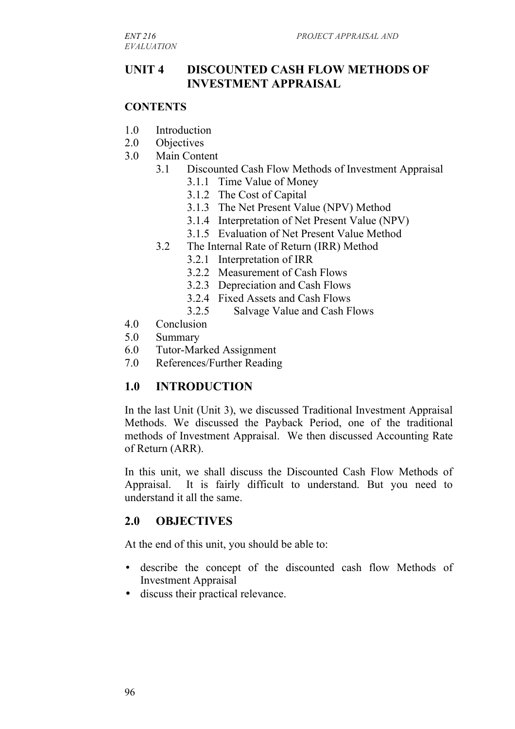## **UNIT 4 DISCOUNTED CASH FLOW METHODS OF INVESTMENT APPRAISAL**

#### **CONTENTS**

- 1.0 Introduction
- 2.0 Objectives
- 3.0 Main Content
	- 3.1 Discounted Cash Flow Methods of Investment Appraisal
		- 3.1.1 Time Value of Money
		- 3.1.2 The Cost of Capital
		- 3.1.3 The Net Present Value (NPV) Method
		- 3.1.4 Interpretation of Net Present Value (NPV)
		- 3.1.5 Evaluation of Net Present Value Method
	- 3.2 The Internal Rate of Return (IRR) Method
		- 3.2.1 Interpretation of IRR
		- 3.2.2 Measurement of Cash Flows
		- 3.2.3 Depreciation and Cash Flows
		- 3.2.4 Fixed Assets and Cash Flows
		- 3.2.5 Salvage Value and Cash Flows
- 4.0 Conclusion
- 5.0 Summary
- 6.0 Tutor-Marked Assignment
- 7.0 References/Further Reading

## **1.0 INTRODUCTION**

In the last Unit (Unit 3), we discussed Traditional Investment Appraisal Methods. We discussed the Payback Period, one of the traditional methods of Investment Appraisal. We then discussed Accounting Rate of Return (ARR).

In this unit, we shall discuss the Discounted Cash Flow Methods of Appraisal. It is fairly difficult to understand. But you need to understand it all the same.

#### **2.0 OBJECTIVES**

At the end of this unit, you should be able to:

- describe the concept of the discounted cash flow Methods of Investment Appraisal
- discuss their practical relevance.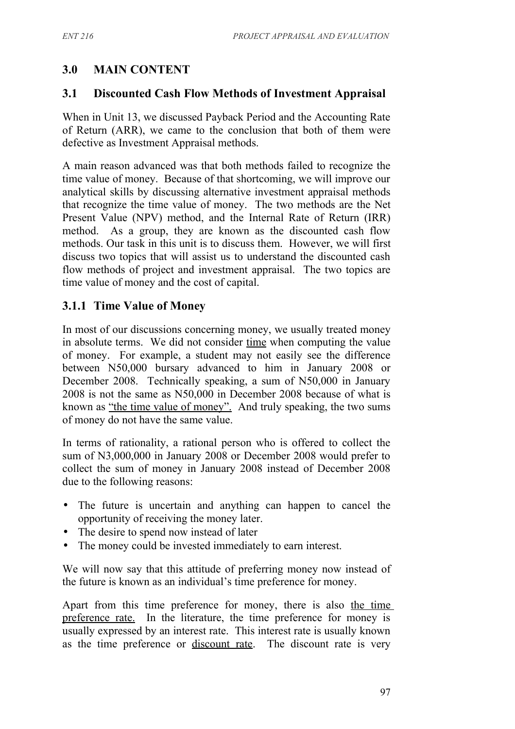## **3.0 MAIN CONTENT**

## **3.1 Discounted Cash Flow Methods of Investment Appraisal**

When in Unit 13, we discussed Payback Period and the Accounting Rate of Return (ARR), we came to the conclusion that both of them were defective as Investment Appraisal methods.

A main reason advanced was that both methods failed to recognize the time value of money. Because of that shortcoming, we will improve our analytical skills by discussing alternative investment appraisal methods that recognize the time value of money. The two methods are the Net Present Value (NPV) method, and the Internal Rate of Return (IRR) method. As a group, they are known as the discounted cash flow methods. Our task in this unit is to discuss them. However, we will first discuss two topics that will assist us to understand the discounted cash flow methods of project and investment appraisal. The two topics are time value of money and the cost of capital.

## **3.1.1 Time Value of Money**

In most of our discussions concerning money, we usually treated money in absolute terms. We did not consider time when computing the value of money. For example, a student may not easily see the difference between N50,000 bursary advanced to him in January 2008 or December 2008. Technically speaking, a sum of N50,000 in January 2008 is not the same as N50,000 in December 2008 because of what is known as "the time value of money". And truly speaking, the two sums of money do not have the same value.

In terms of rationality, a rational person who is offered to collect the sum of N3,000,000 in January 2008 or December 2008 would prefer to collect the sum of money in January 2008 instead of December 2008 due to the following reasons:

- The future is uncertain and anything can happen to cancel the opportunity of receiving the money later.
- The desire to spend now instead of later
- The money could be invested immediately to earn interest.

We will now say that this attitude of preferring money now instead of the future is known as an individual's time preference for money.

Apart from this time preference for money, there is also the time preference rate. In the literature, the time preference for money is usually expressed by an interest rate. This interest rate is usually known as the time preference or discount rate. The discount rate is very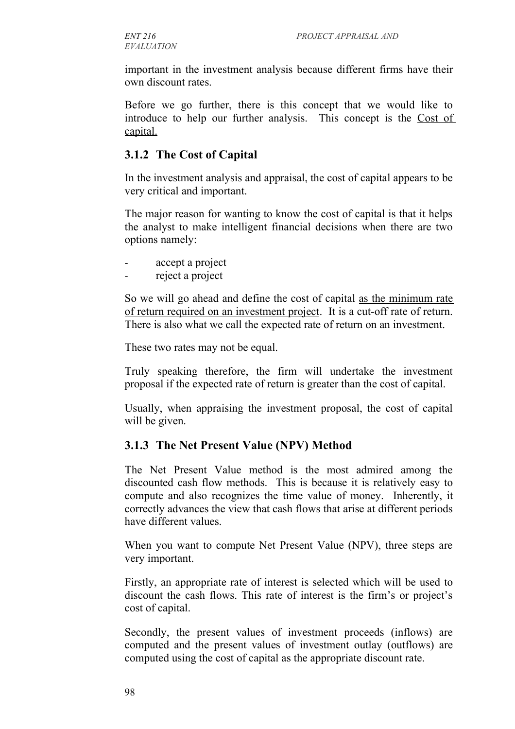important in the investment analysis because different firms have their own discount rates.

Before we go further, there is this concept that we would like to introduce to help our further analysis. This concept is the Cost of capital.

#### **3.1.2 The Cost of Capital**

In the investment analysis and appraisal, the cost of capital appears to be very critical and important.

The major reason for wanting to know the cost of capital is that it helps the analyst to make intelligent financial decisions when there are two options namely:

- accept a project
- reject a project

So we will go ahead and define the cost of capital as the minimum rate of return required on an investment project. It is a cut-off rate of return. There is also what we call the expected rate of return on an investment.

These two rates may not be equal.

Truly speaking therefore, the firm will undertake the investment proposal if the expected rate of return is greater than the cost of capital.

Usually, when appraising the investment proposal, the cost of capital will be given.

## **3.1.3 The Net Present Value (NPV) Method**

The Net Present Value method is the most admired among the discounted cash flow methods. This is because it is relatively easy to compute and also recognizes the time value of money. Inherently, it correctly advances the view that cash flows that arise at different periods have different values.

When you want to compute Net Present Value (NPV), three steps are very important.

Firstly, an appropriate rate of interest is selected which will be used to discount the cash flows. This rate of interest is the firm's or project's cost of capital.

Secondly, the present values of investment proceeds (inflows) are computed and the present values of investment outlay (outflows) are computed using the cost of capital as the appropriate discount rate.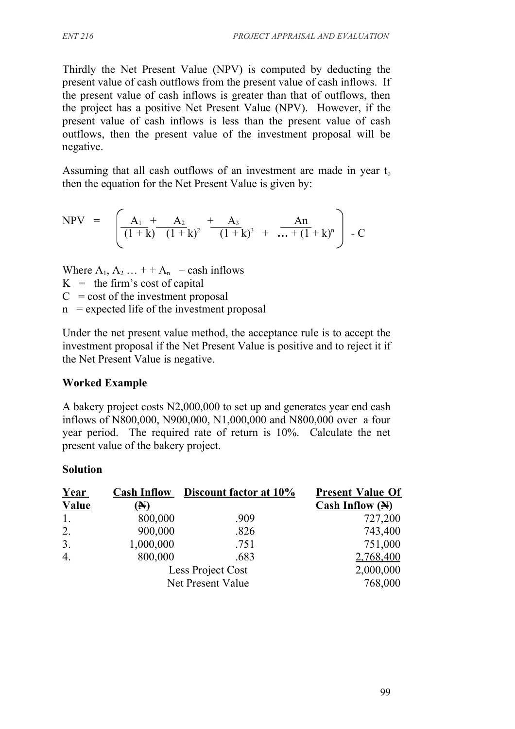Thirdly the Net Present Value (NPV) is computed by deducting the present value of cash outflows from the present value of cash inflows. If the present value of cash inflows is greater than that of outflows, then the project has a positive Net Present Value (NPV). However, if the present value of cash inflows is less than the present value of cash outflows, then the present value of the investment proposal will be negative.

Assuming that all cash outflows of an investment are made in year  $t_0$ then the equation for the Net Present Value is given by:

$$
NPV = \left[ \frac{A_1 + A_2}{(1+k)} + \frac{A_3}{(1+k)^2} + \frac{A_3}{(1+k)^3} + \frac{An}{... + (1+k)^n} \right] - C
$$

Where  $A_1, A_2, \ldots + A_n$  = cash inflows  $K =$  the firm's cost of capital  $C = \text{cost of the investment proposal}$  $n =$  expected life of the investment proposal

Under the net present value method, the acceptance rule is to accept the investment proposal if the Net Present Value is positive and to reject it if the Net Present Value is negative.

## **Worked Example**

A bakery project costs N2,000,000 to set up and generates year end cash inflows of N800,000, N900,000, N1,000,000 and N800,000 over a four year period. The required rate of return is 10%. Calculate the net present value of the bakery project.

### **Solution**

| Year              |            | <b>Cash Inflow</b> Discount factor at 10% | <b>Present Value Of</b> |
|-------------------|------------|-------------------------------------------|-------------------------|
| <b>Value</b>      | $\bf{(A)}$ |                                           | Cash Inflow $(A)$       |
| 1.                | 800,000    | .909                                      | 727,200                 |
| 2.                | 900,000    | .826                                      | 743,400                 |
| 3.                | 1,000,000  | .751                                      | 751,000                 |
| $\overline{4}$ .  | 800,000    | .683                                      | 2,768,400               |
|                   |            | Less Project Cost                         | 2,000,000               |
| Net Present Value |            |                                           | 768,000                 |
|                   |            |                                           |                         |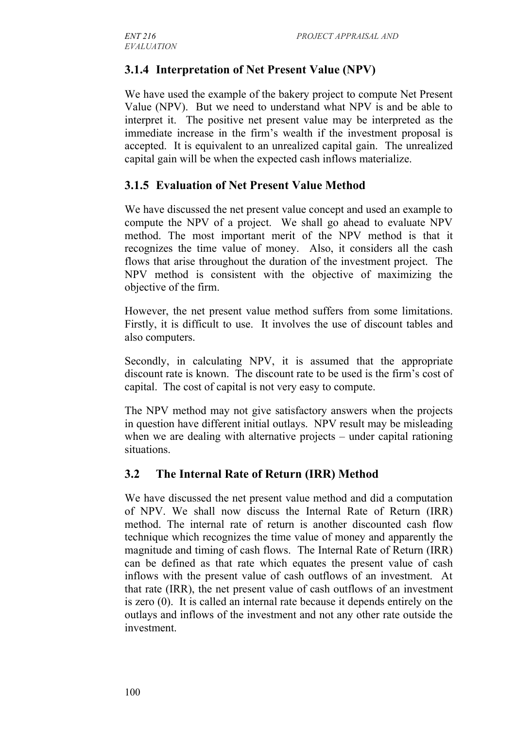# **3.1.4 Interpretation of Net Present Value (NPV)**

We have used the example of the bakery project to compute Net Present Value (NPV). But we need to understand what NPV is and be able to interpret it. The positive net present value may be interpreted as the immediate increase in the firm's wealth if the investment proposal is accepted. It is equivalent to an unrealized capital gain. The unrealized capital gain will be when the expected cash inflows materialize.

## **3.1.5 Evaluation of Net Present Value Method**

We have discussed the net present value concept and used an example to compute the NPV of a project. We shall go ahead to evaluate NPV method. The most important merit of the NPV method is that it recognizes the time value of money. Also, it considers all the cash flows that arise throughout the duration of the investment project. The NPV method is consistent with the objective of maximizing the objective of the firm.

However, the net present value method suffers from some limitations. Firstly, it is difficult to use. It involves the use of discount tables and also computers.

Secondly, in calculating NPV, it is assumed that the appropriate discount rate is known. The discount rate to be used is the firm's cost of capital. The cost of capital is not very easy to compute.

The NPV method may not give satisfactory answers when the projects in question have different initial outlays. NPV result may be misleading when we are dealing with alternative projects – under capital rationing situations.

## **3.2 The Internal Rate of Return (IRR) Method**

We have discussed the net present value method and did a computation of NPV. We shall now discuss the Internal Rate of Return (IRR) method. The internal rate of return is another discounted cash flow technique which recognizes the time value of money and apparently the magnitude and timing of cash flows. The Internal Rate of Return (IRR) can be defined as that rate which equates the present value of cash inflows with the present value of cash outflows of an investment. At that rate (IRR), the net present value of cash outflows of an investment is zero (0). It is called an internal rate because it depends entirely on the outlays and inflows of the investment and not any other rate outside the investment.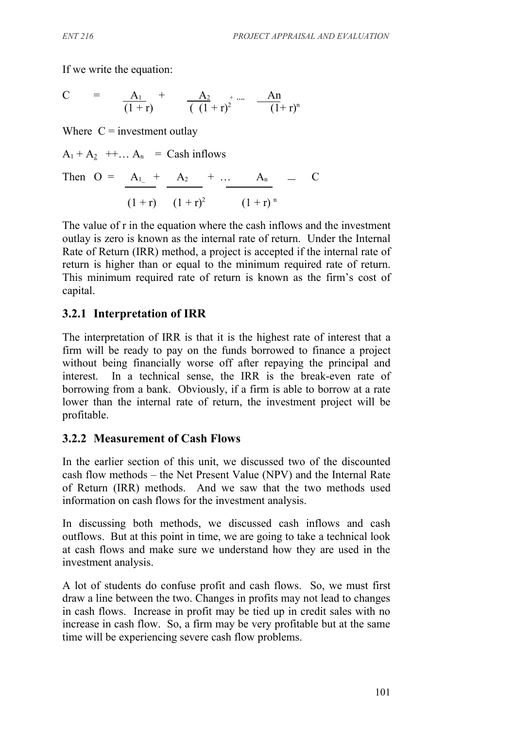If we write the equation:

C = 
$$
\frac{A_1}{(1+r)}
$$
 +  $\frac{A_2}{(1+r)^2}$  + ....  $\frac{An}{(1+r)^n}$ 

Where  $C =$  investment outlay

$$
A_1 + A_2 + \dots A_n = \text{Cash inflows}
$$

Then 
$$
O = \frac{A_1}{t} + \frac{A_2}{t} + \frac{A_3}{t} + \frac{A_n}{t} - C
$$
  
(1 + r)  $(1 + r)^2$   $(1 + r)^n$ 

The value of r in the equation where the cash inflows and the investment outlay is zero is known as the internal rate of return. Under the Internal Rate of Return (IRR) method, a project is accepted if the internal rate of return is higher than or equal to the minimum required rate of return. This minimum required rate of return is known as the firm's cost of capital.

## **3.2.1 Interpretation of IRR**

The interpretation of IRR is that it is the highest rate of interest that a firm will be ready to pay on the funds borrowed to finance a project without being financially worse off after repaying the principal and interest. In a technical sense, the IRR is the break-even rate of borrowing from a bank. Obviously, if a firm is able to borrow at a rate lower than the internal rate of return, the investment project will be profitable.

### **3.2.2 Measurement of Cash Flows**

In the earlier section of this unit, we discussed two of the discounted cash flow methods – the Net Present Value (NPV) and the Internal Rate of Return (IRR) methods. And we saw that the two methods used information on cash flows for the investment analysis.

In discussing both methods, we discussed cash inflows and cash outflows. But at this point in time, we are going to take a technical look at cash flows and make sure we understand how they are used in the investment analysis.

A lot of students do confuse profit and cash flows. So, we must first draw a line between the two. Changes in profits may not lead to changes in cash flows. Increase in profit may be tied up in credit sales with no increase in cash flow. So, a firm may be very profitable but at the same time will be experiencing severe cash flow problems.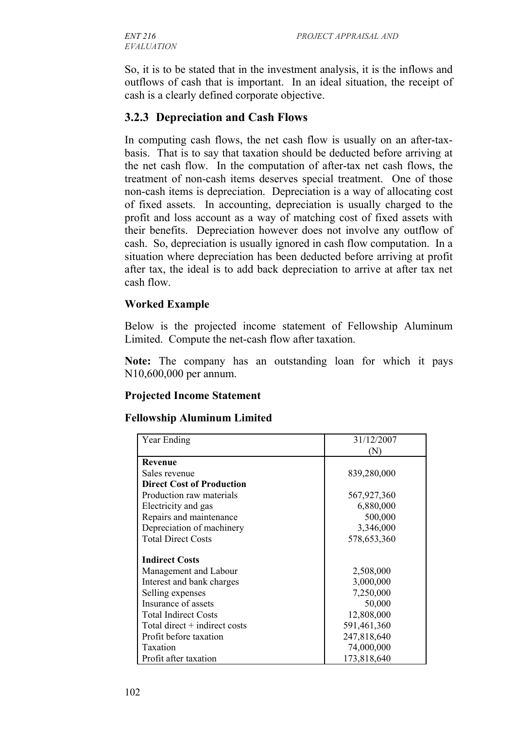*EVALUATION*

So, it is to be stated that in the investment analysis, it is the inflows and outflows of cash that is important. In an ideal situation, the receipt of cash is a clearly defined corporate objective.

## **3.2.3 Depreciation and Cash Flows**

In computing cash flows, the net cash flow is usually on an after-taxbasis. That is to say that taxation should be deducted before arriving at the net cash flow. In the computation of after-tax net cash flows, the treatment of non-cash items deserves special treatment. One of those non-cash items is depreciation. Depreciation is a way of allocating cost of fixed assets. In accounting, depreciation is usually charged to the profit and loss account as a way of matching cost of fixed assets with their benefits. Depreciation however does not involve any outflow of cash. So, depreciation is usually ignored in cash flow computation. In a situation where depreciation has been deducted before arriving at profit after tax, the ideal is to add back depreciation to arrive at after tax net cash flow.

#### **Worked Example**

Below is the projected income statement of Fellowship Aluminum Limited. Compute the net-cash flow after taxation.

**Note:** The company has an outstanding loan for which it pays N10,600,000 per annum.

### **Projected Income Statement**

#### **Fellowship Aluminum Limited**

| Year Ending                      | 31/12/2007  |
|----------------------------------|-------------|
|                                  | (N)         |
| Revenue                          |             |
| Sales revenue                    | 839,280,000 |
| <b>Direct Cost of Production</b> |             |
| Production raw materials         | 567,927,360 |
| Electricity and gas              | 6,880,000   |
| Repairs and maintenance          | 500,000     |
| Depreciation of machinery        | 3,346,000   |
| <b>Total Direct Costs</b>        | 578,653,360 |
|                                  |             |
| <b>Indirect Costs</b>            |             |
| Management and Labour            | 2,508,000   |
| Interest and bank charges        | 3,000,000   |
| Selling expenses                 | 7,250,000   |
| Insurance of assets              | 50,000      |
| <b>Total Indirect Costs</b>      | 12,808,000  |
| Total direct $+$ indirect costs  | 591,461,360 |
| Profit before taxation           | 247,818,640 |
| Taxation                         | 74,000,000  |
| Profit after taxation            | 173,818,640 |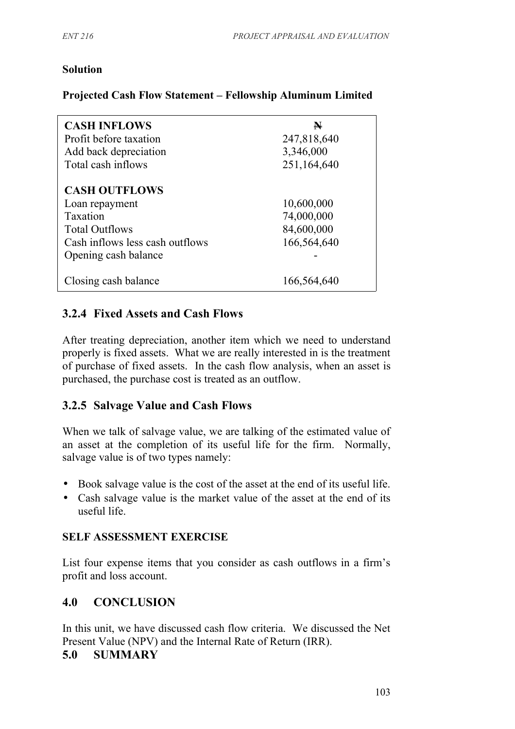#### **Solution**

#### **Projected Cash Flow Statement – Fellowship Aluminum Limited**

| <b>CASH INFLOWS</b><br>Profit before taxation<br>Add back depreciation<br>Total cash inflows                                                  | $\blacktriangleright$<br>247,818,640<br>3,346,000<br>251,164,640 |
|-----------------------------------------------------------------------------------------------------------------------------------------------|------------------------------------------------------------------|
| <b>CASH OUTFLOWS</b><br>Loan repayment<br><b>Taxation</b><br><b>Total Outflows</b><br>Cash inflows less cash outflows<br>Opening cash balance | 10,600,000<br>74,000,000<br>84,600,000<br>166,564,640            |
| Closing cash balance                                                                                                                          | 166,564,640                                                      |

## **3.2.4 Fixed Assets and Cash Flows**

After treating depreciation, another item which we need to understand properly is fixed assets. What we are really interested in is the treatment of purchase of fixed assets. In the cash flow analysis, when an asset is purchased, the purchase cost is treated as an outflow.

### **3.2.5 Salvage Value and Cash Flows**

When we talk of salvage value, we are talking of the estimated value of an asset at the completion of its useful life for the firm. Normally, salvage value is of two types namely:

- Book salvage value is the cost of the asset at the end of its useful life.
- Cash salvage value is the market value of the asset at the end of its useful life.

### **SELF ASSESSMENT EXERCISE**

List four expense items that you consider as cash outflows in a firm's profit and loss account.

## **4.0 CONCLUSION**

In this unit, we have discussed cash flow criteria. We discussed the Net Present Value (NPV) and the Internal Rate of Return (IRR).

### **5.0 SUMMARY**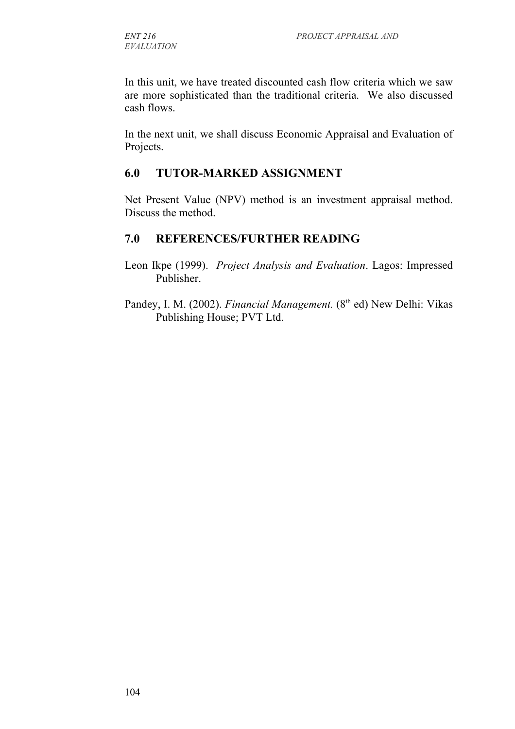In this unit, we have treated discounted cash flow criteria which we saw are more sophisticated than the traditional criteria. We also discussed cash flows.

In the next unit, we shall discuss Economic Appraisal and Evaluation of Projects.

## **6.0 TUTOR-MARKED ASSIGNMENT**

Net Present Value (NPV) method is an investment appraisal method. Discuss the method.

## **7.0 REFERENCES/FURTHER READING**

- Leon Ikpe (1999). *Project Analysis and Evaluation*. Lagos: Impressed Publisher.
- Pandey, I. M. (2002). *Financial Management*. (8<sup>th</sup> ed) New Delhi: Vikas Publishing House; PVT Ltd.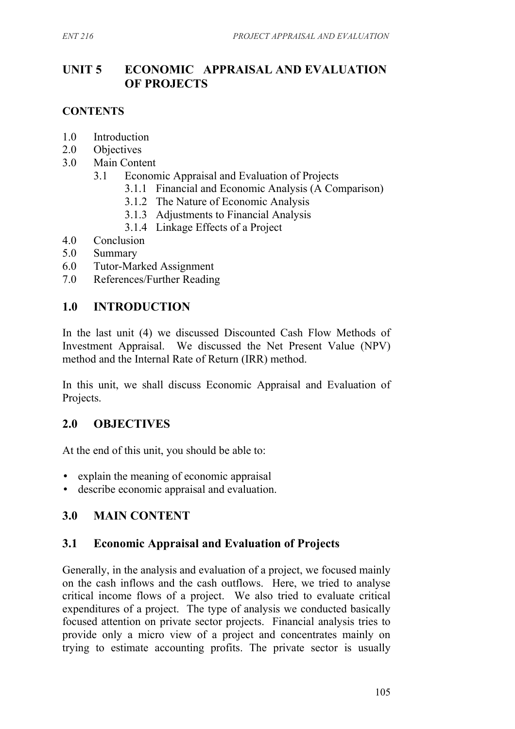## **UNIT 5 ECONOMIC APPRAISAL AND EVALUATION OF PROJECTS**

#### **CONTENTS**

- 1.0 Introduction
- 2.0 Objectives
- 3.0 Main Content
	- 3.1 Economic Appraisal and Evaluation of Projects
		- 3.1.1 Financial and Economic Analysis (A Comparison)
		- 3.1.2 The Nature of Economic Analysis
		- 3.1.3 Adjustments to Financial Analysis
		- 3.1.4 Linkage Effects of a Project
- 4.0 Conclusion
- 5.0 Summary
- 6.0 Tutor-Marked Assignment
- 7.0 References/Further Reading

### **1.0 INTRODUCTION**

In the last unit (4) we discussed Discounted Cash Flow Methods of Investment Appraisal. We discussed the Net Present Value (NPV) method and the Internal Rate of Return (IRR) method.

In this unit, we shall discuss Economic Appraisal and Evaluation of Projects.

### **2.0 OBJECTIVES**

At the end of this unit, you should be able to:

- explain the meaning of economic appraisal
- describe economic appraisal and evaluation.

### **3.0 MAIN CONTENT**

### **3.1 Economic Appraisal and Evaluation of Projects**

Generally, in the analysis and evaluation of a project, we focused mainly on the cash inflows and the cash outflows. Here, we tried to analyse critical income flows of a project. We also tried to evaluate critical expenditures of a project. The type of analysis we conducted basically focused attention on private sector projects. Financial analysis tries to provide only a micro view of a project and concentrates mainly on trying to estimate accounting profits. The private sector is usually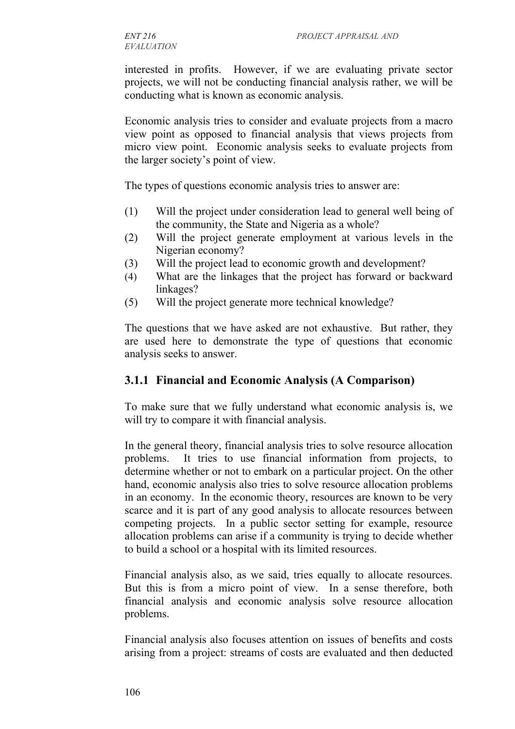interested in profits. However, if we are evaluating private sector projects, we will not be conducting financial analysis rather, we will be conducting what is known as economic analysis.

Economic analysis tries to consider and evaluate projects from a macro view point as opposed to financial analysis that views projects from micro view point. Economic analysis seeks to evaluate projects from the larger society's point of view.

The types of questions economic analysis tries to answer are:

- (1) Will the project under consideration lead to general well being of the community, the State and Nigeria as a whole?
- (2) Will the project generate employment at various levels in the Nigerian economy?
- (3) Will the project lead to economic growth and development?
- (4) What are the linkages that the project has forward or backward linkages?
- (5) Will the project generate more technical knowledge?

The questions that we have asked are not exhaustive. But rather, they are used here to demonstrate the type of questions that economic analysis seeks to answer.

### **3.1.1 Financial and Economic Analysis (A Comparison)**

To make sure that we fully understand what economic analysis is, we will try to compare it with financial analysis.

In the general theory, financial analysis tries to solve resource allocation problems. It tries to use financial information from projects, to determine whether or not to embark on a particular project. On the other hand, economic analysis also tries to solve resource allocation problems in an economy. In the economic theory, resources are known to be very scarce and it is part of any good analysis to allocate resources between competing projects. In a public sector setting for example, resource allocation problems can arise if a community is trying to decide whether to build a school or a hospital with its limited resources.

Financial analysis also, as we said, tries equally to allocate resources. But this is from a micro point of view. In a sense therefore, both financial analysis and economic analysis solve resource allocation problems.

Financial analysis also focuses attention on issues of benefits and costs arising from a project: streams of costs are evaluated and then deducted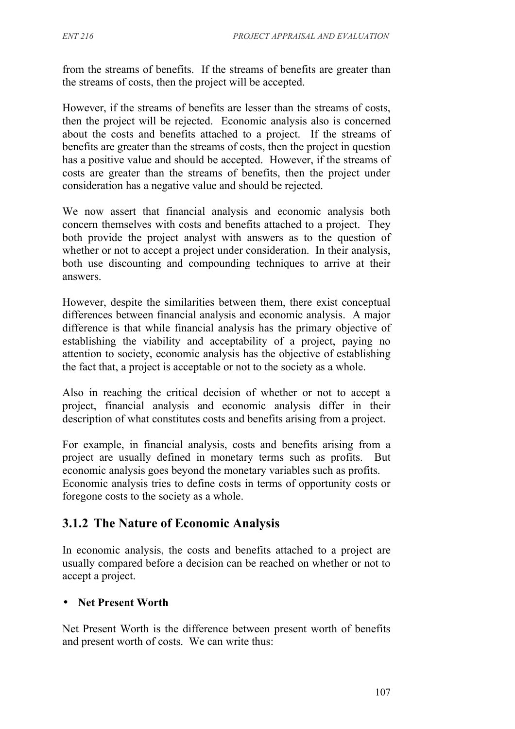from the streams of benefits. If the streams of benefits are greater than the streams of costs, then the project will be accepted.

However, if the streams of benefits are lesser than the streams of costs, then the project will be rejected. Economic analysis also is concerned about the costs and benefits attached to a project. If the streams of benefits are greater than the streams of costs, then the project in question has a positive value and should be accepted. However, if the streams of costs are greater than the streams of benefits, then the project under consideration has a negative value and should be rejected.

We now assert that financial analysis and economic analysis both concern themselves with costs and benefits attached to a project. They both provide the project analyst with answers as to the question of whether or not to accept a project under consideration. In their analysis, both use discounting and compounding techniques to arrive at their answers.

However, despite the similarities between them, there exist conceptual differences between financial analysis and economic analysis. A major difference is that while financial analysis has the primary objective of establishing the viability and acceptability of a project, paying no attention to society, economic analysis has the objective of establishing the fact that, a project is acceptable or not to the society as a whole.

Also in reaching the critical decision of whether or not to accept a project, financial analysis and economic analysis differ in their description of what constitutes costs and benefits arising from a project.

For example, in financial analysis, costs and benefits arising from a project are usually defined in monetary terms such as profits. But economic analysis goes beyond the monetary variables such as profits. Economic analysis tries to define costs in terms of opportunity costs or foregone costs to the society as a whole.

# **3.1.2 The Nature of Economic Analysis**

In economic analysis, the costs and benefits attached to a project are usually compared before a decision can be reached on whether or not to accept a project.

### • **Net Present Worth**

Net Present Worth is the difference between present worth of benefits and present worth of costs. We can write thus: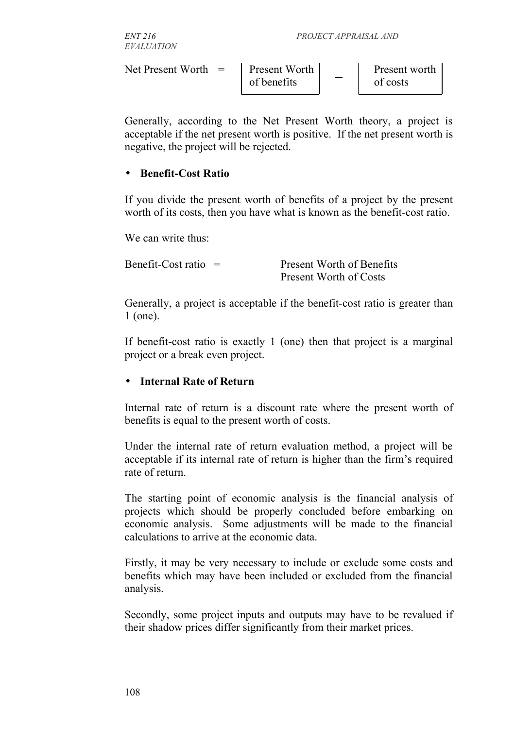| <i>ENT 216</i><br><b>EVALUATION</b>   | PROJECT APPRAISAL AND |  |                                   |  |
|---------------------------------------|-----------------------|--|-----------------------------------|--|
| Net Present Worth $=$   Present Worth | of benefits           |  | Present worth $\vert$<br>of costs |  |

Generally, according to the Net Present Worth theory, a project is acceptable if the net present worth is positive. If the net present worth is negative, the project will be rejected.

#### • **Benefit-Cost Ratio**

If you divide the present worth of benefits of a project by the present worth of its costs, then you have what is known as the benefit-cost ratio.

We can write thus:

Benefit-Cost ratio = Present Worth of Benefits Present Worth of Costs

Generally, a project is acceptable if the benefit-cost ratio is greater than 1 (one).

If benefit-cost ratio is exactly 1 (one) then that project is a marginal project or a break even project.

#### • **Internal Rate of Return**

Internal rate of return is a discount rate where the present worth of benefits is equal to the present worth of costs.

Under the internal rate of return evaluation method, a project will be acceptable if its internal rate of return is higher than the firm's required rate of return.

The starting point of economic analysis is the financial analysis of projects which should be properly concluded before embarking on economic analysis. Some adjustments will be made to the financial calculations to arrive at the economic data.

Firstly, it may be very necessary to include or exclude some costs and benefits which may have been included or excluded from the financial analysis.

Secondly, some project inputs and outputs may have to be revalued if their shadow prices differ significantly from their market prices.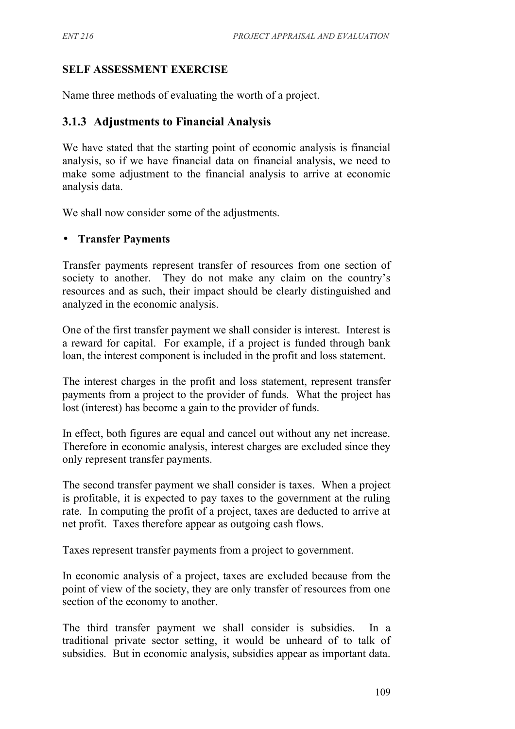### **SELF ASSESSMENT EXERCISE**

Name three methods of evaluating the worth of a project.

### **3.1.3 Adjustments to Financial Analysis**

We have stated that the starting point of economic analysis is financial analysis, so if we have financial data on financial analysis, we need to make some adjustment to the financial analysis to arrive at economic analysis data.

We shall now consider some of the adjustments.

#### • **Transfer Payments**

Transfer payments represent transfer of resources from one section of society to another. They do not make any claim on the country's resources and as such, their impact should be clearly distinguished and analyzed in the economic analysis.

One of the first transfer payment we shall consider is interest. Interest is a reward for capital. For example, if a project is funded through bank loan, the interest component is included in the profit and loss statement.

The interest charges in the profit and loss statement, represent transfer payments from a project to the provider of funds. What the project has lost (interest) has become a gain to the provider of funds.

In effect, both figures are equal and cancel out without any net increase. Therefore in economic analysis, interest charges are excluded since they only represent transfer payments.

The second transfer payment we shall consider is taxes. When a project is profitable, it is expected to pay taxes to the government at the ruling rate. In computing the profit of a project, taxes are deducted to arrive at net profit. Taxes therefore appear as outgoing cash flows.

Taxes represent transfer payments from a project to government.

In economic analysis of a project, taxes are excluded because from the point of view of the society, they are only transfer of resources from one section of the economy to another.

The third transfer payment we shall consider is subsidies. In a traditional private sector setting, it would be unheard of to talk of subsidies. But in economic analysis, subsidies appear as important data.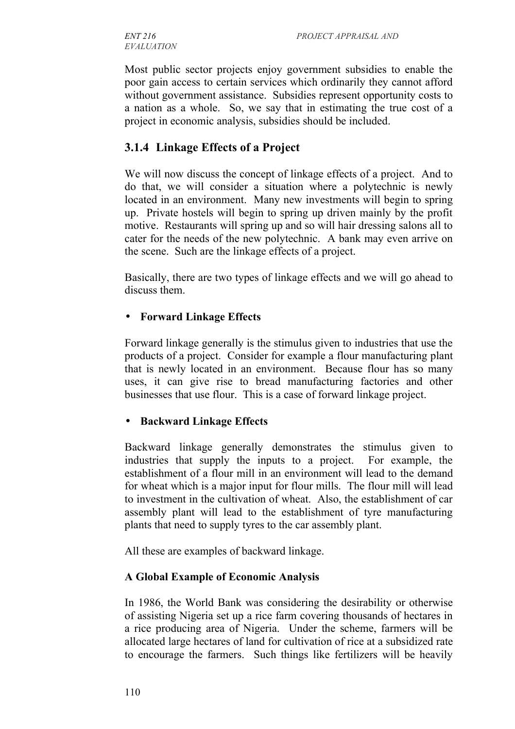*EVALUATION*

Most public sector projects enjoy government subsidies to enable the poor gain access to certain services which ordinarily they cannot afford without government assistance. Subsidies represent opportunity costs to a nation as a whole. So, we say that in estimating the true cost of a project in economic analysis, subsidies should be included.

## **3.1.4 Linkage Effects of a Project**

We will now discuss the concept of linkage effects of a project. And to do that, we will consider a situation where a polytechnic is newly located in an environment. Many new investments will begin to spring up. Private hostels will begin to spring up driven mainly by the profit motive. Restaurants will spring up and so will hair dressing salons all to cater for the needs of the new polytechnic. A bank may even arrive on the scene. Such are the linkage effects of a project.

Basically, there are two types of linkage effects and we will go ahead to discuss them.

#### • **Forward Linkage Effects**

Forward linkage generally is the stimulus given to industries that use the products of a project. Consider for example a flour manufacturing plant that is newly located in an environment. Because flour has so many uses, it can give rise to bread manufacturing factories and other businesses that use flour. This is a case of forward linkage project.

#### • **Backward Linkage Effects**

Backward linkage generally demonstrates the stimulus given to industries that supply the inputs to a project. For example, the establishment of a flour mill in an environment will lead to the demand for wheat which is a major input for flour mills. The flour mill will lead to investment in the cultivation of wheat. Also, the establishment of car assembly plant will lead to the establishment of tyre manufacturing plants that need to supply tyres to the car assembly plant.

All these are examples of backward linkage.

#### **A Global Example of Economic Analysis**

In 1986, the World Bank was considering the desirability or otherwise of assisting Nigeria set up a rice farm covering thousands of hectares in a rice producing area of Nigeria. Under the scheme, farmers will be allocated large hectares of land for cultivation of rice at a subsidized rate to encourage the farmers. Such things like fertilizers will be heavily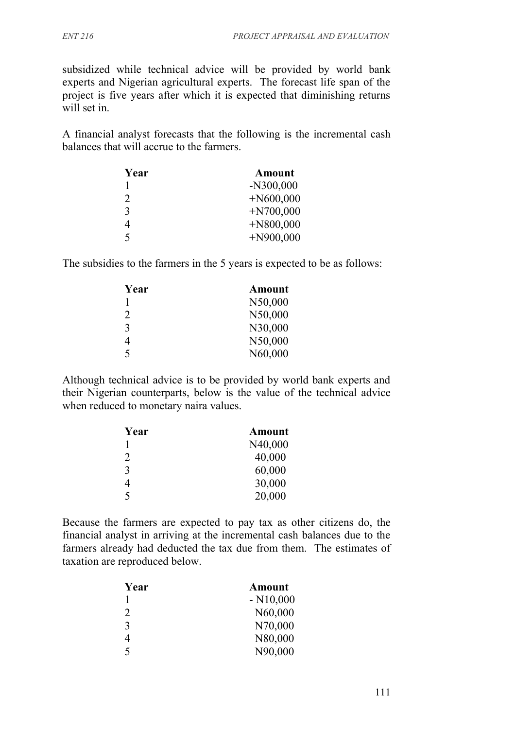subsidized while technical advice will be provided by world bank experts and Nigerian agricultural experts. The forecast life span of the project is five years after which it is expected that diminishing returns will set in.

A financial analyst forecasts that the following is the incremental cash balances that will accrue to the farmers.

| Year          | <b>Amount</b> |
|---------------|---------------|
|               | $-N300,000$   |
| $\mathcal{D}$ | $+N600,000$   |
| 3             | $+N700,000$   |
|               | $+N800,000$   |
| 5             | $+N900,000$   |

The subsidies to the farmers in the 5 years is expected to be as follows:

| Year                        | <b>Amount</b> |
|-----------------------------|---------------|
|                             | N50,000       |
| $\mathcal{D}_{\mathcal{L}}$ | N50,000       |
| 3                           | N30,000       |
| 4                           | N50,000       |
| 5                           | N60,000       |

Although technical advice is to be provided by world bank experts and their Nigerian counterparts, below is the value of the technical advice when reduced to monetary naira values.

| Year           | <b>Amount</b> |
|----------------|---------------|
|                | N40,000       |
| $\overline{2}$ | 40,000        |
| 3              | 60,000        |
| 4              | 30,000        |
| 5              | 20,000        |

Because the farmers are expected to pay tax as other citizens do, the financial analyst in arriving at the incremental cash balances due to the farmers already had deducted the tax due from them. The estimates of taxation are reproduced below.

| Year                     | <b>Amount</b> |
|--------------------------|---------------|
|                          | $- N10,000$   |
| 2                        | N60,000       |
| 3                        | N70,000       |
| 4                        | N80,000       |
| $\overline{\mathcal{L}}$ | N90,000       |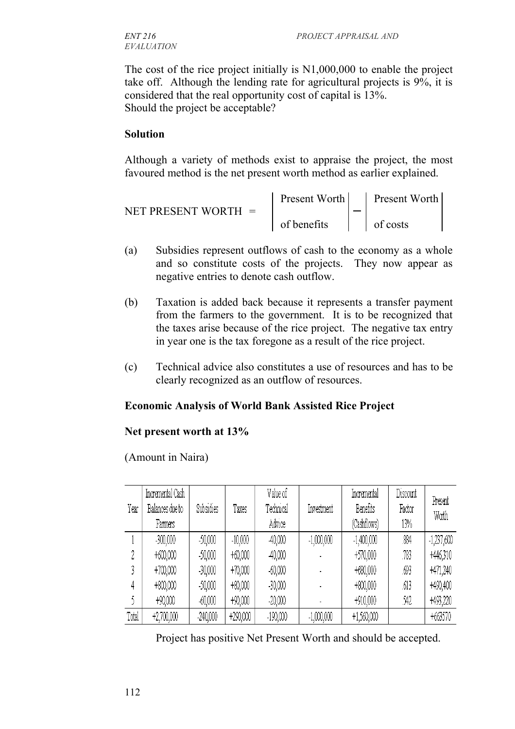The cost of the rice project initially is N1,000,000 to enable the project take off. Although the lending rate for agricultural projects is 9%, it is considered that the real opportunity cost of capital is 13%. Should the project be acceptable?

#### **Solution**

Although a variety of methods exist to appraise the project, the most favoured method is the net present worth method as earlier explained.

|                       | Present Worth      |  | Present Worth      |  |
|-----------------------|--------------------|--|--------------------|--|
| NET PRESENT WORTH $=$ |                    |  |                    |  |
|                       | $\int$ of benefits |  | $\vert$   of costs |  |

- (a) Subsidies represent outflows of cash to the economy as a whole and so constitute costs of the projects. They now appear as negative entries to denote cash outflow.
- (b) Taxation is added back because it represents a transfer payment from the farmers to the government. It is to be recognized that the taxes arise because of the rice project. The negative tax entry in year one is the tax foregone as a result of the rice project.
- (c) Technical advice also constitutes a use of resources and has to be clearly recognized as an outflow of resources.

#### **Economic Analysis of World Bank Assisted Rice Project**

#### **Net present worth at 13%**

(Amount in Naira)

| Year  | Incremental Cash<br>Balances due to | Subsidies  | Taxes     | Value of<br>Technical | Investment   | Incremental<br>Benefits | Discount<br>Factor | Present<br>Wath |
|-------|-------------------------------------|------------|-----------|-----------------------|--------------|-------------------------|--------------------|-----------------|
|       | Farmers                             |            |           | Advice                |              | (Cashflows)             | 13%                |                 |
|       | $-300,000$                          | $-50,000$  | $-10,000$ | 40,000                | $-1,000,000$ | $-1,400,000$            | .884               | $-1,237,600$    |
| 9.    | $+600,000$                          | $-50,000$  | $+60,000$ | 40,000                |              | +570,000                | .783               | +446,310        |
|       | $+700,000$                          | $-30,000$  | $+70,000$ | $-60,000$             |              | +680,000                | .693               | +471,240        |
| 4     | $+800,000$                          | $-50,000$  | $+80,000$ | $-30,000$             |              | $+800,000$              | .613               | +490,400        |
|       | +90,000                             | $-60,000$  | $+90,000$ | $-20,000$             |              | +910,000                | .542               | +493,220        |
| Total | +2,700,000                          | $-240,000$ | +290,000  | $-190,000$            | $-1,000,000$ | $+1,560,000$            |                    | +663570         |

Project has positive Net Present Worth and should be accepted.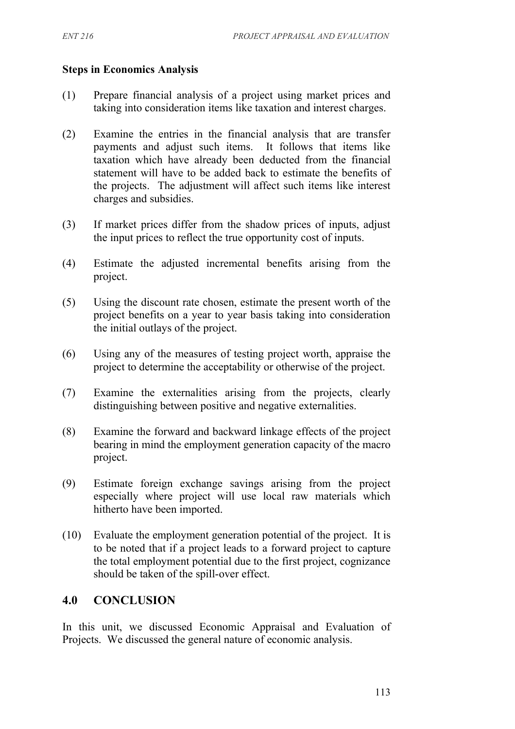#### **Steps in Economics Analysis**

- (1) Prepare financial analysis of a project using market prices and taking into consideration items like taxation and interest charges.
- (2) Examine the entries in the financial analysis that are transfer payments and adjust such items. It follows that items like taxation which have already been deducted from the financial statement will have to be added back to estimate the benefits of the projects. The adjustment will affect such items like interest charges and subsidies.
- (3) If market prices differ from the shadow prices of inputs, adjust the input prices to reflect the true opportunity cost of inputs.
- (4) Estimate the adjusted incremental benefits arising from the project.
- (5) Using the discount rate chosen, estimate the present worth of the project benefits on a year to year basis taking into consideration the initial outlays of the project.
- (6) Using any of the measures of testing project worth, appraise the project to determine the acceptability or otherwise of the project.
- (7) Examine the externalities arising from the projects, clearly distinguishing between positive and negative externalities.
- (8) Examine the forward and backward linkage effects of the project bearing in mind the employment generation capacity of the macro project.
- (9) Estimate foreign exchange savings arising from the project especially where project will use local raw materials which hitherto have been imported.
- (10) Evaluate the employment generation potential of the project. It is to be noted that if a project leads to a forward project to capture the total employment potential due to the first project, cognizance should be taken of the spill-over effect.

### **4.0 CONCLUSION**

In this unit, we discussed Economic Appraisal and Evaluation of Projects. We discussed the general nature of economic analysis.